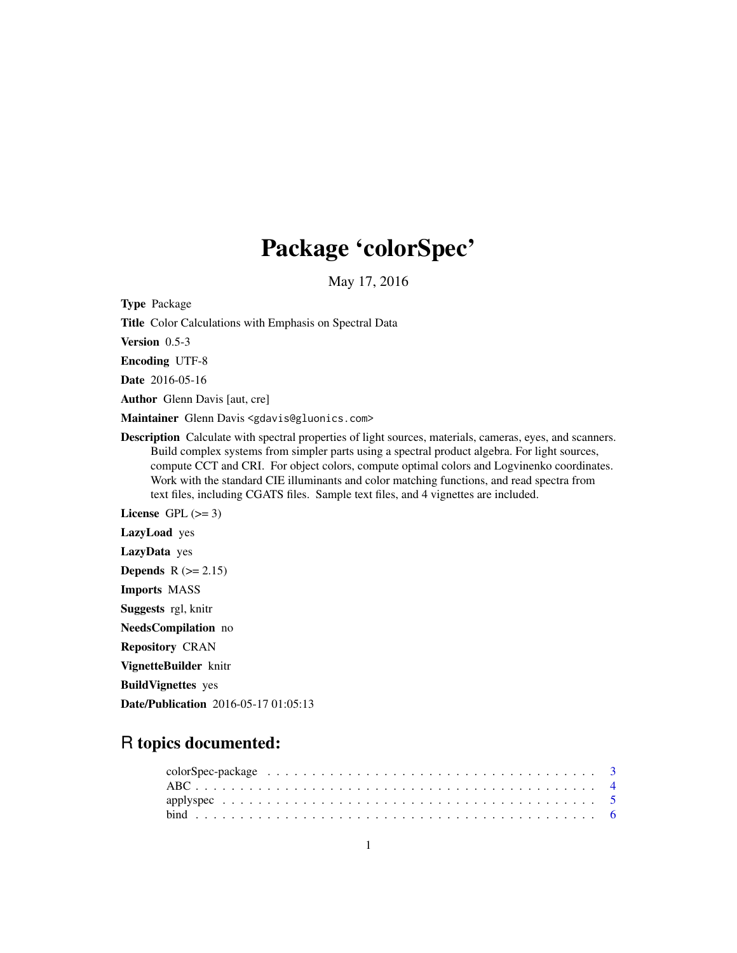# Package 'colorSpec'

May 17, 2016

<span id="page-0-0"></span>Type Package

Title Color Calculations with Emphasis on Spectral Data

Version 0.5-3

Encoding UTF-8

Date 2016-05-16

Author Glenn Davis [aut, cre]

Maintainer Glenn Davis <gdavis@gluonics.com>

Description Calculate with spectral properties of light sources, materials, cameras, eyes, and scanners. Build complex systems from simpler parts using a spectral product algebra. For light sources, compute CCT and CRI. For object colors, compute optimal colors and Logvinenko coordinates. Work with the standard CIE illuminants and color matching functions, and read spectra from text files, including CGATS files. Sample text files, and 4 vignettes are included.

License GPL  $(>= 3)$ 

LazyLoad yes

LazyData yes

Depends  $R$  ( $> = 2.15$ )

Imports MASS

Suggests rgl, knitr

NeedsCompilation no

Repository CRAN

VignetteBuilder knitr

BuildVignettes yes

Date/Publication 2016-05-17 01:05:13

# R topics documented: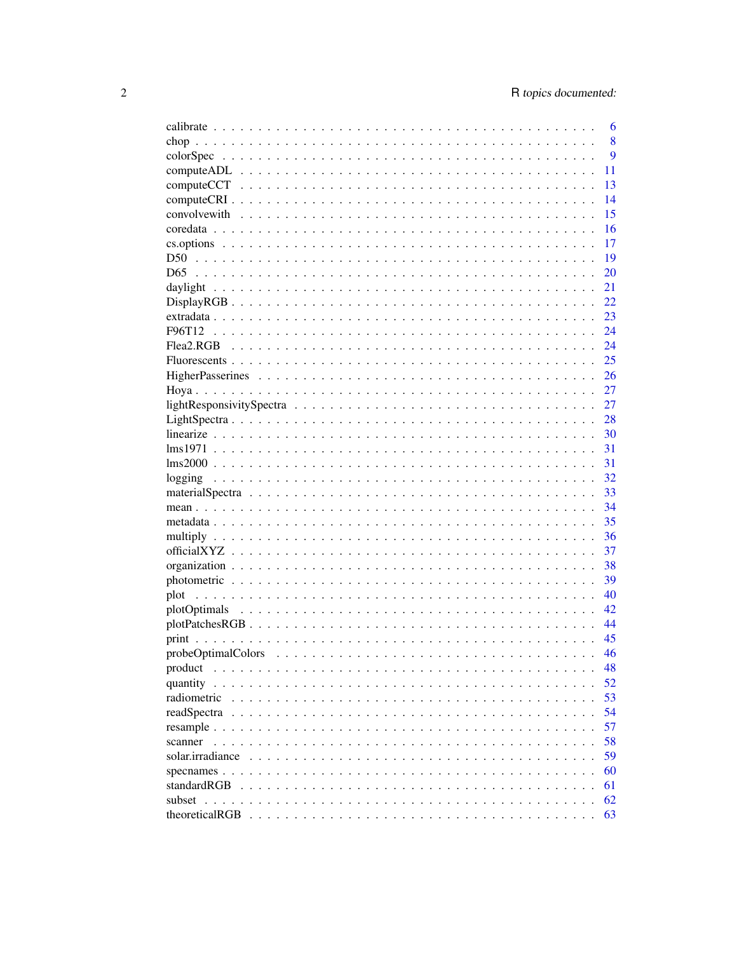|                                                                                                      | 6  |
|------------------------------------------------------------------------------------------------------|----|
|                                                                                                      | 8  |
|                                                                                                      | 9  |
|                                                                                                      | 11 |
|                                                                                                      | 13 |
|                                                                                                      | 14 |
|                                                                                                      | 15 |
|                                                                                                      | 16 |
|                                                                                                      | 17 |
|                                                                                                      | 19 |
| D <sub>65</sub>                                                                                      | 20 |
|                                                                                                      | 21 |
| $Display RGB$                                                                                        | 22 |
|                                                                                                      | 23 |
|                                                                                                      | 24 |
| Flea2.RGB                                                                                            | 24 |
|                                                                                                      | 25 |
|                                                                                                      |    |
|                                                                                                      | 26 |
|                                                                                                      | 27 |
|                                                                                                      | 27 |
|                                                                                                      | 28 |
|                                                                                                      | 30 |
|                                                                                                      | 31 |
|                                                                                                      | 31 |
|                                                                                                      | 32 |
|                                                                                                      | 33 |
|                                                                                                      | 34 |
|                                                                                                      | 35 |
|                                                                                                      | 36 |
|                                                                                                      | 37 |
|                                                                                                      | 38 |
|                                                                                                      | 39 |
|                                                                                                      | 40 |
|                                                                                                      | 42 |
| $plotPatchesRGB \ldots \ldots \ldots \ldots \ldots \ldots \ldots \ldots \ldots \ldots \ldots \ldots$ | 44 |
|                                                                                                      | 45 |
|                                                                                                      | 46 |
| product                                                                                              | 48 |
|                                                                                                      | 52 |
| radiometric                                                                                          | 53 |
|                                                                                                      | 54 |
|                                                                                                      | 57 |
|                                                                                                      | 58 |
| scanner                                                                                              |    |
| solar.irradiance                                                                                     | 59 |
|                                                                                                      | 60 |
| standardRGB                                                                                          | 61 |
|                                                                                                      | 62 |
|                                                                                                      | 63 |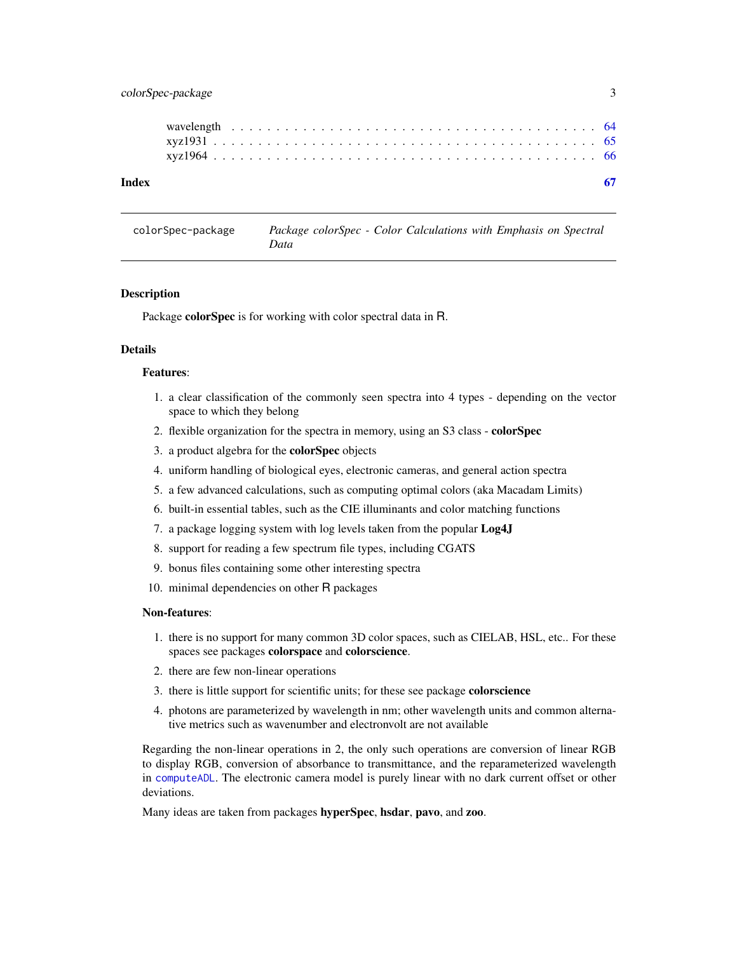# <span id="page-2-0"></span>colorSpec-package 3

| Index |  |  |  |  |  |  |  |  |  |  |  |  |  |  |  |  |  |  |  |  |  |
|-------|--|--|--|--|--|--|--|--|--|--|--|--|--|--|--|--|--|--|--|--|--|
|       |  |  |  |  |  |  |  |  |  |  |  |  |  |  |  |  |  |  |  |  |  |
|       |  |  |  |  |  |  |  |  |  |  |  |  |  |  |  |  |  |  |  |  |  |
|       |  |  |  |  |  |  |  |  |  |  |  |  |  |  |  |  |  |  |  |  |  |

colorSpec-package *Package colorSpec - Color Calculations with Emphasis on Spectral Data*

#### **Description**

Package colorSpec is for working with color spectral data in R.

# Details

# Features:

- 1. a clear classification of the commonly seen spectra into 4 types depending on the vector space to which they belong
- 2. flexible organization for the spectra in memory, using an S3 class colorSpec
- 3. a product algebra for the colorSpec objects
- 4. uniform handling of biological eyes, electronic cameras, and general action spectra
- 5. a few advanced calculations, such as computing optimal colors (aka Macadam Limits)
- 6. built-in essential tables, such as the CIE illuminants and color matching functions
- 7. a package logging system with log levels taken from the popular Log4J
- 8. support for reading a few spectrum file types, including CGATS
- 9. bonus files containing some other interesting spectra
- 10. minimal dependencies on other R packages

#### Non-features:

- 1. there is no support for many common 3D color spaces, such as CIELAB, HSL, etc.. For these spaces see packages colorspace and colorscience.
- 2. there are few non-linear operations
- 3. there is little support for scientific units; for these see package colorscience
- 4. photons are parameterized by wavelength in nm; other wavelength units and common alternative metrics such as wavenumber and electronvolt are not available

Regarding the non-linear operations in 2, the only such operations are conversion of linear RGB to display RGB, conversion of absorbance to transmittance, and the reparameterized wavelength in [computeADL](#page-10-1). The electronic camera model is purely linear with no dark current offset or other deviations.

Many ideas are taken from packages hyperSpec, hsdar, pavo, and zoo.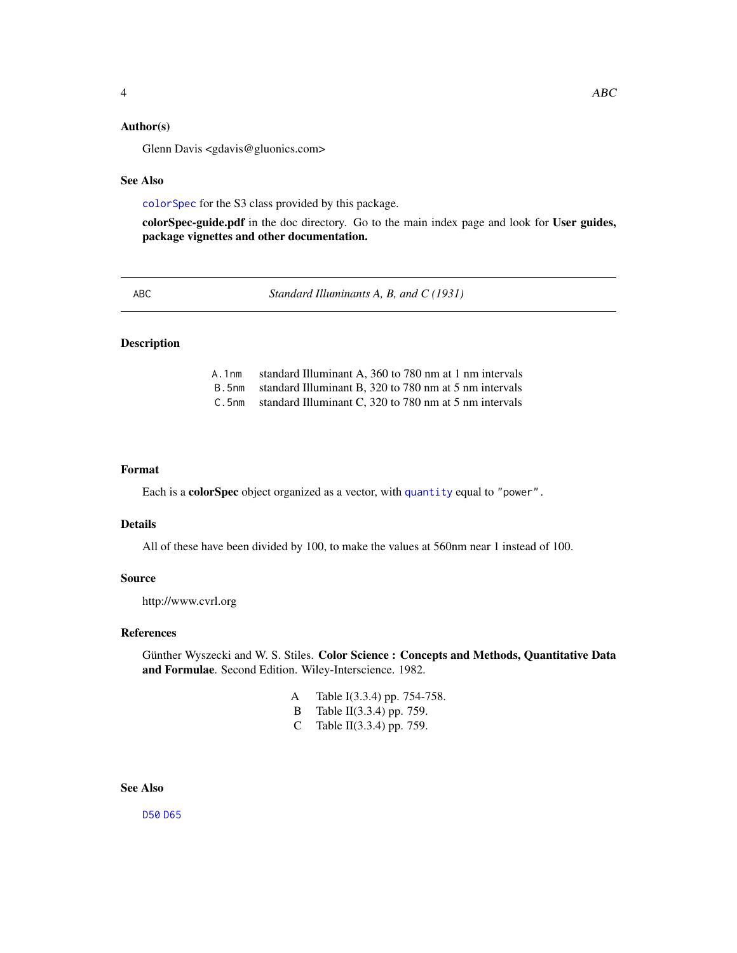<span id="page-3-0"></span>Glenn Davis <gdavis@gluonics.com>

#### See Also

[colorSpec](#page-8-1) for the S3 class provided by this package.

colorSpec-guide.pdf in the doc directory. Go to the main index page and look for User guides, package vignettes and other documentation.

<span id="page-3-1"></span>ABC *Standard Illuminants A, B, and C (1931)*

# Description

- A.1nm standard Illuminant A, 360 to 780 nm at 1 nm intervals
- B.5nm standard Illuminant B, 320 to 780 nm at 5 nm intervals
- C.5nm standard Illuminant C, 320 to 780 nm at 5 nm intervals

# Format

Each is a colorSpec object organized as a vector, with [quantity](#page-51-1) equal to "power".

#### Details

All of these have been divided by 100, to make the values at 560nm near 1 instead of 100.

#### Source

http://www.cvrl.org

# References

Günther Wyszecki and W. S. Stiles. Color Science : Concepts and Methods, Quantitative Data and Formulae. Second Edition. Wiley-Interscience. 1982.

- A Table I(3.3.4) pp. 754-758.
- B Table II(3.3.4) pp. 759.
- C Table II(3.3.4) pp. 759.

# See Also

[D50](#page-18-1) [D65](#page-19-1)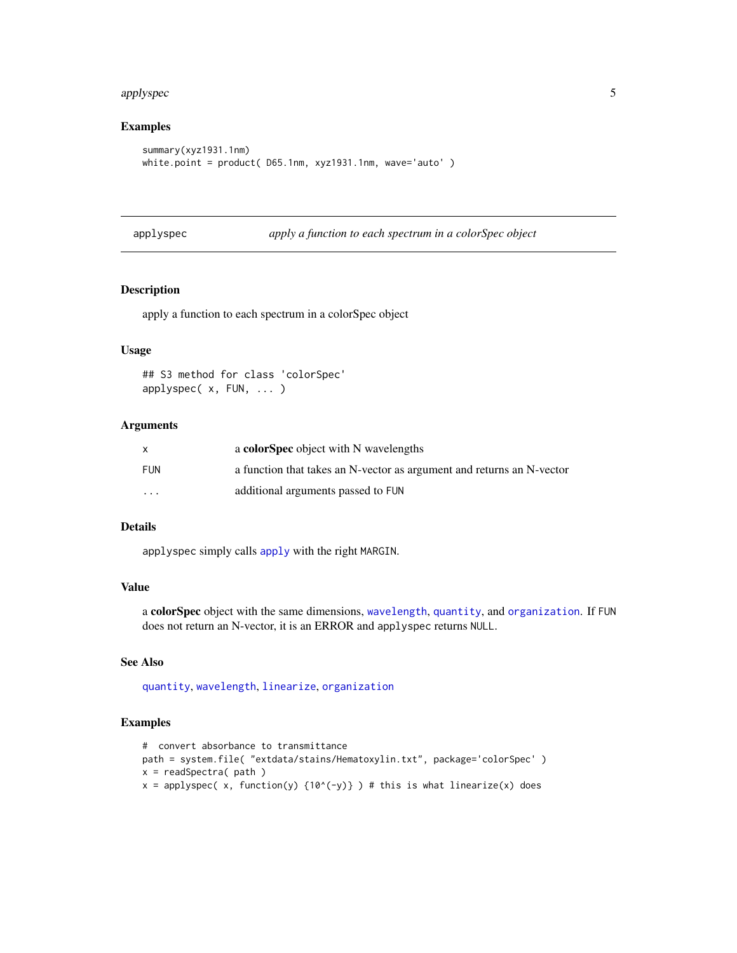#### <span id="page-4-0"></span>applyspec 5

# Examples

```
summary(xyz1931.1nm)
white.point = product( D65.1nm, xyz1931.1nm, wave='auto')
```
<span id="page-4-1"></span>applyspec *apply a function to each spectrum in a colorSpec object*

# Description

apply a function to each spectrum in a colorSpec object

# Usage

```
## S3 method for class 'colorSpec'
applyspec( x, FUN, ... )
```
# **Arguments**

|                         | a colorSpec object with N wavelengths                                 |
|-------------------------|-----------------------------------------------------------------------|
| FUN                     | a function that takes an N-vector as argument and returns an N-vector |
| $\cdot$ $\cdot$ $\cdot$ | additional arguments passed to FUN                                    |

#### Details

applyspec simply calls [apply](#page-0-0) with the right MARGIN.

# Value

a colorSpec object with the same dimensions, [wavelength](#page-63-1), [quantity](#page-51-1), and [organization](#page-37-1). If FUN does not return an N-vector, it is an ERROR and applyspec returns NULL.

# See Also

[quantity](#page-51-1), [wavelength](#page-63-1), [linearize](#page-29-1), [organization](#page-37-1)

# Examples

```
# convert absorbance to transmittance
path = system.file( "extdata/stains/Hematoxylin.txt", package='colorSpec' )
x = readSpectra( path )x = applyspec(x, function(y) {10^x(-y)} ) # this is what linearize(x) does
```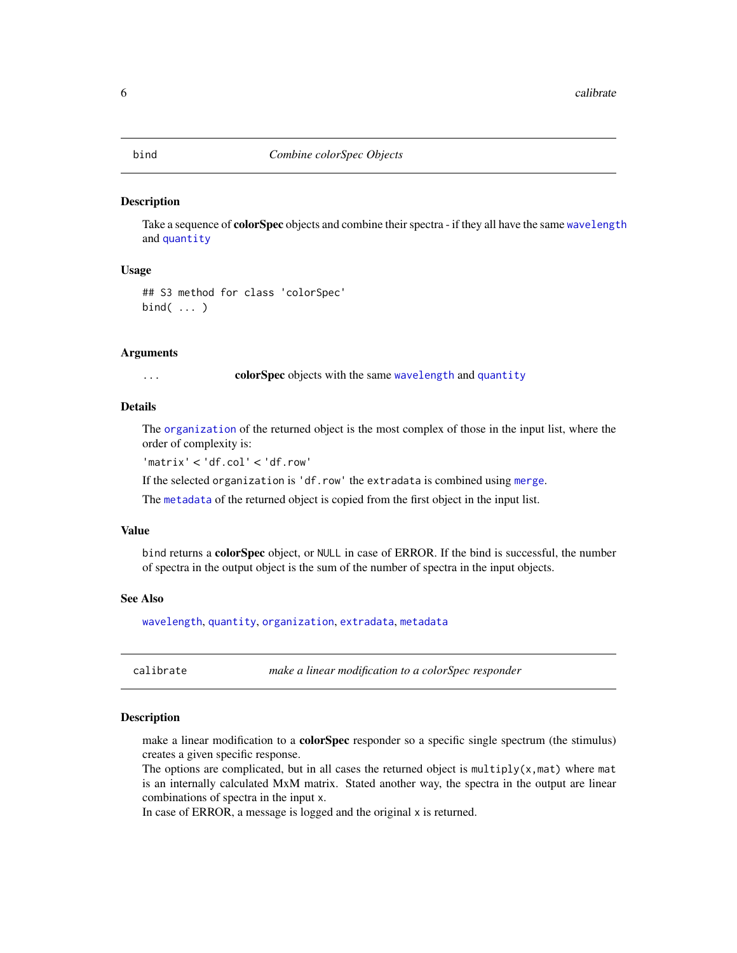<span id="page-5-2"></span><span id="page-5-0"></span>

#### Description

Take a sequence of **colorSpec** objects and combine their spectra - if they all have the same [wavelength](#page-63-1) and [quantity](#page-51-1)

# Usage

```
## S3 method for class 'colorSpec'
bind( ... )
```
#### **Arguments**

... **colorSpec** objects with the same [wavelength](#page-63-1) and [quantity](#page-51-1)

# Details

The [organization](#page-37-1) of the returned object is the most complex of those in the input list, where the order of complexity is:

'matrix' < 'df.col' < 'df.row'

If the selected organization is 'df.row' the extradata is combined using [merge](#page-0-0).

The [metadata](#page-34-1) of the returned object is copied from the first object in the input list.

#### Value

bind returns a colorSpec object, or NULL in case of ERROR. If the bind is successful, the number of spectra in the output object is the sum of the number of spectra in the input objects.

#### See Also

[wavelength](#page-63-1), [quantity](#page-51-1), [organization](#page-37-1), [extradata](#page-22-1), [metadata](#page-34-1)

<span id="page-5-1"></span>calibrate *make a linear modification to a colorSpec responder*

# Description

make a linear modification to a **colorSpec** responder so a specific single spectrum (the stimulus) creates a given specific response.

The options are complicated, but in all cases the returned object is multiply( $x$ , mat) where mat is an internally calculated MxM matrix. Stated another way, the spectra in the output are linear combinations of spectra in the input x.

In case of ERROR, a message is logged and the original x is returned.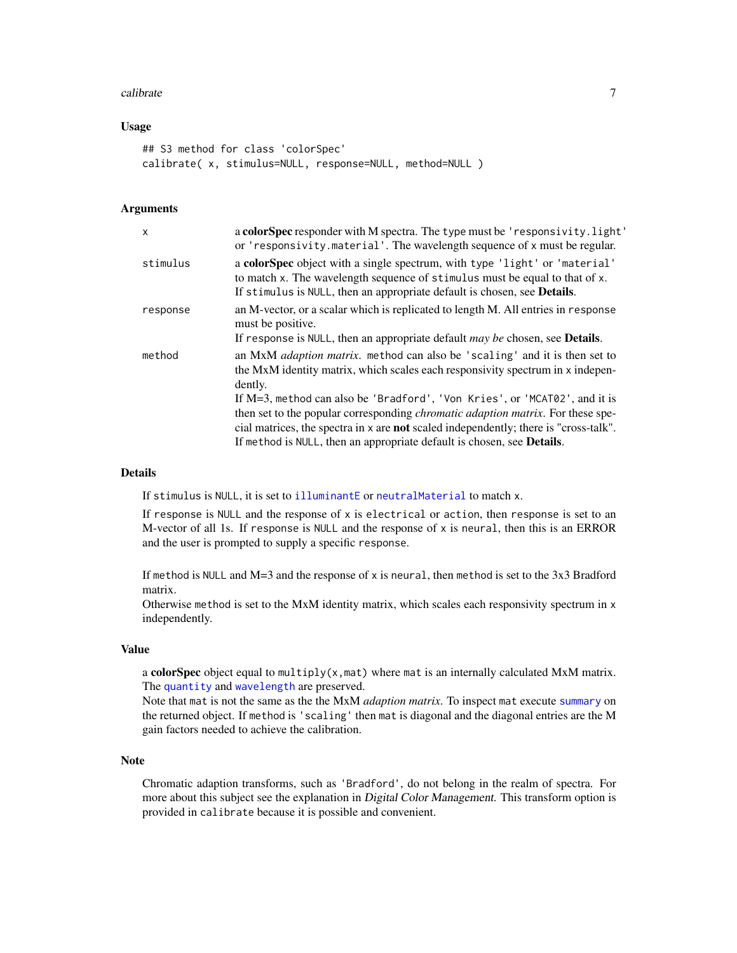#### <span id="page-6-0"></span>calibrate 7 and 200 methods of the contract of the contract of the contract of the contract of the contract of the contract of the contract of the contract of the contract of the contract of the contract of the contract of

# Usage

```
## S3 method for class 'colorSpec'
calibrate( x, stimulus=NULL, response=NULL, method=NULL )
```
#### Arguments

| $\times$ | a colorSpec responder with M spectra. The type must be 'responsivity.light'<br>or 'responsivity.material'. The wavelength sequence of x must be regular.                                                                                                                                                                                                                                                                                                                                                                                  |
|----------|-------------------------------------------------------------------------------------------------------------------------------------------------------------------------------------------------------------------------------------------------------------------------------------------------------------------------------------------------------------------------------------------------------------------------------------------------------------------------------------------------------------------------------------------|
| stimulus | a colorSpec object with a single spectrum, with type 'light' or 'material'<br>to match x. The wavelength sequence of stimulus must be equal to that of x.<br>If stimulus is NULL, then an appropriate default is chosen, see Details.                                                                                                                                                                                                                                                                                                     |
| response | an M-vector, or a scalar which is replicated to length M. All entries in response<br>must be positive.<br>If response is NULL, then an appropriate default $may$ be chosen, see <b>Details</b> .                                                                                                                                                                                                                                                                                                                                          |
| method   | an MxM <i>adaption matrix</i> , method can also be 'scaling' and it is then set to<br>the MxM identity matrix, which scales each responsivity spectrum in x indepen-<br>dently.<br>If M=3, method can also be 'Bradford', 'Von Kries', or 'MCAT02', and it is<br>then set to the popular corresponding <i>chromatic adaption matrix</i> . For these spe-<br>cial matrices, the spectra in x are <b>not</b> scaled independently; there is "cross-talk".<br>If method is NULL, then an appropriate default is chosen, see <b>Details</b> . |

#### Details

If stimulus is NULL, it is set to [illuminantE](#page-27-1) or [neutralMaterial](#page-32-1) to match x.

If response is NULL and the response of x is electrical or action, then response is set to an M-vector of all 1s. If response is NULL and the response of x is neural, then this is an ERROR and the user is prompted to supply a specific response.

If method is NULL and M=3 and the response of x is neural, then method is set to the 3x3 Bradford matrix.

Otherwise method is set to the MxM identity matrix, which scales each responsivity spectrum in x independently.

# Value

a colorSpec object equal to multiply( $x$ , mat) where mat is an internally calculated MxM matrix. The [quantity](#page-51-1) and [wavelength](#page-63-1) are preserved.

Note that mat is not the same as the the MxM *adaption matrix*. To inspect mat execute [summary](#page-0-0) on the returned object. If method is 'scaling' then mat is diagonal and the diagonal entries are the M gain factors needed to achieve the calibration.

# Note

Chromatic adaption transforms, such as 'Bradford', do not belong in the realm of spectra. For more about this subject see the explanation in *Digital Color Management*. This transform option is provided in calibrate because it is possible and convenient.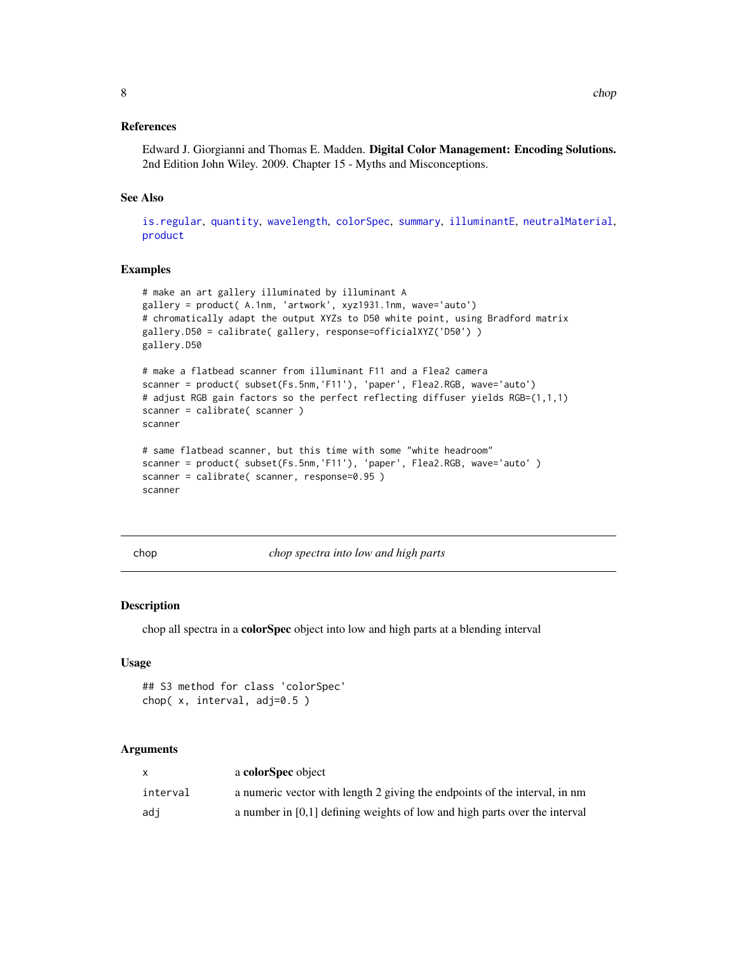# <span id="page-7-0"></span>References

Edward J. Giorgianni and Thomas E. Madden. Digital Color Management: Encoding Solutions. 2nd Edition John Wiley. 2009. Chapter 15 - Myths and Misconceptions.

# See Also

[is.regular](#page-63-2), [quantity](#page-51-1), [wavelength](#page-63-1), [colorSpec](#page-8-1), [summary](#page-0-0), [illuminantE](#page-27-1), [neutralMaterial](#page-32-1), [product](#page-47-1)

# Examples

```
# make an art gallery illuminated by illuminant A
gallery = product( A.1nm, 'artwork', xyz1931.1nm, wave='auto')
# chromatically adapt the output XYZs to D50 white point, using Bradford matrix
gallery.D50 = calibrate( gallery, response=officialXYZ('D50') )
gallery.D50
# make a flatbead scanner from illuminant F11 and a Flea2 camera
scanner = product( subset(Fs.5nm,'F11'), 'paper', Flea2.RGB, wave='auto')
# adjust RGB gain factors so the perfect reflecting diffuser yields RGB=(1,1,1)
scanner = calibrate( scanner )
scanner
# same flatbead scanner, but this time with some "white headroom"
scanner = product( subset(Fs.5nm,'F11'), 'paper', Flea2.RGB, wave='auto' )
scanner = calibrate( scanner, response=0.95 )
scanner
```
chop *chop spectra into low and high parts*

#### Description

chop all spectra in a colorSpec object into low and high parts at a blending interval

#### Usage

```
## S3 method for class 'colorSpec'
chop( x, interval, adj=0.5 )
```
# Arguments

|          | a colorSpec object                                                           |
|----------|------------------------------------------------------------------------------|
| interval | a numeric vector with length 2 giving the endpoints of the interval, in nm   |
| adi      | a number in $[0,1]$ defining weights of low and high parts over the interval |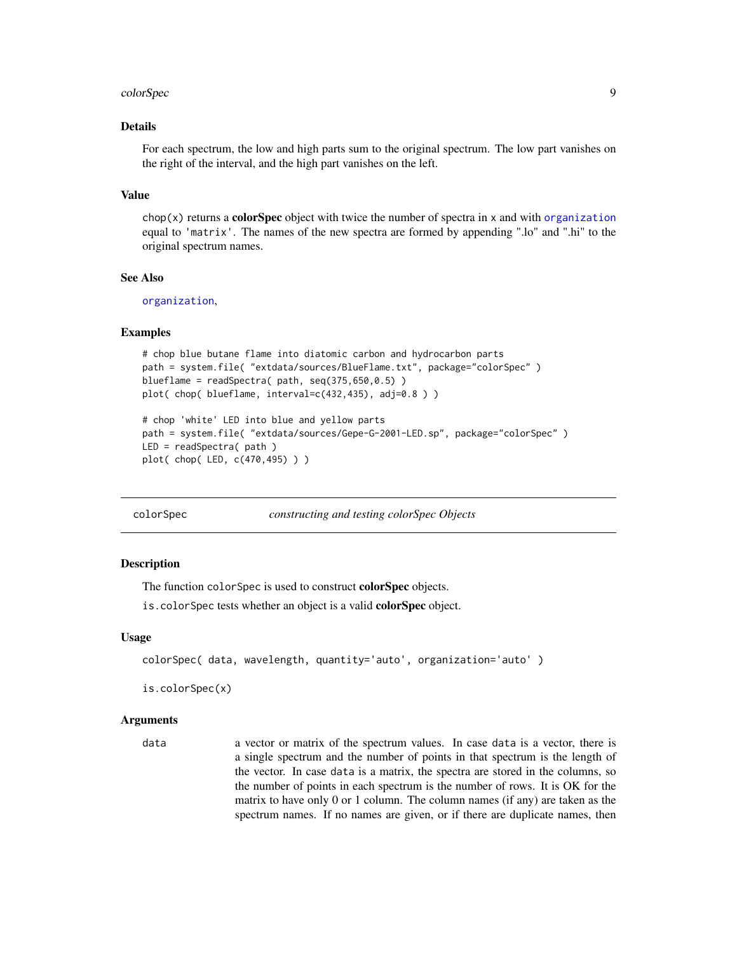#### <span id="page-8-0"></span>colorSpec 99 and 200 million colorSpec 99 and 200 million colorSpec 99 and 200 million colorSpec 99 and 200 million colorSpec 99 and 200 million colorSpec 99 and 200 million colorSpec 99 and 200 million colorSpec 99 and 20

# Details

For each spectrum, the low and high parts sum to the original spectrum. The low part vanishes on the right of the interval, and the high part vanishes on the left.

#### Value

 $chop(x)$  returns a **colorSpec** object with twice the number of spectra in x and with [organization](#page-37-1) equal to 'matrix'. The names of the new spectra are formed by appending ".lo" and ".hi" to the original spectrum names.

# See Also

[organization](#page-37-1),

#### Examples

```
# chop blue butane flame into diatomic carbon and hydrocarbon parts
path = system.file( "extdata/sources/BlueFlame.txt", package="colorSpec" )
blueflame = readSpectra (path, seq(375, 650, 0.5))
plot( chop( blueflame, interval=c(432,435), adj=0.8 ) )
# chop 'white' LED into blue and yellow parts
path = system.file( "extdata/sources/Gepe-G-2001-LED.sp", package="colorSpec" )
LED = readSpectra( path )
```

```
plot( chop( LED, c(470,495) ) )
```
<span id="page-8-1"></span>

colorSpec *constructing and testing colorSpec Objects*

#### **Description**

The function colorSpec is used to construct **colorSpec** objects.

is.colorSpec tests whether an object is a valid **colorSpec** object.

#### Usage

```
colorSpec( data, wavelength, quantity='auto', organization='auto' )
```
is.colorSpec(x)

#### Arguments

data a vector or matrix of the spectrum values. In case data is a vector, there is a single spectrum and the number of points in that spectrum is the length of the vector. In case data is a matrix, the spectra are stored in the columns, so the number of points in each spectrum is the number of rows. It is OK for the matrix to have only 0 or 1 column. The column names (if any) are taken as the spectrum names. If no names are given, or if there are duplicate names, then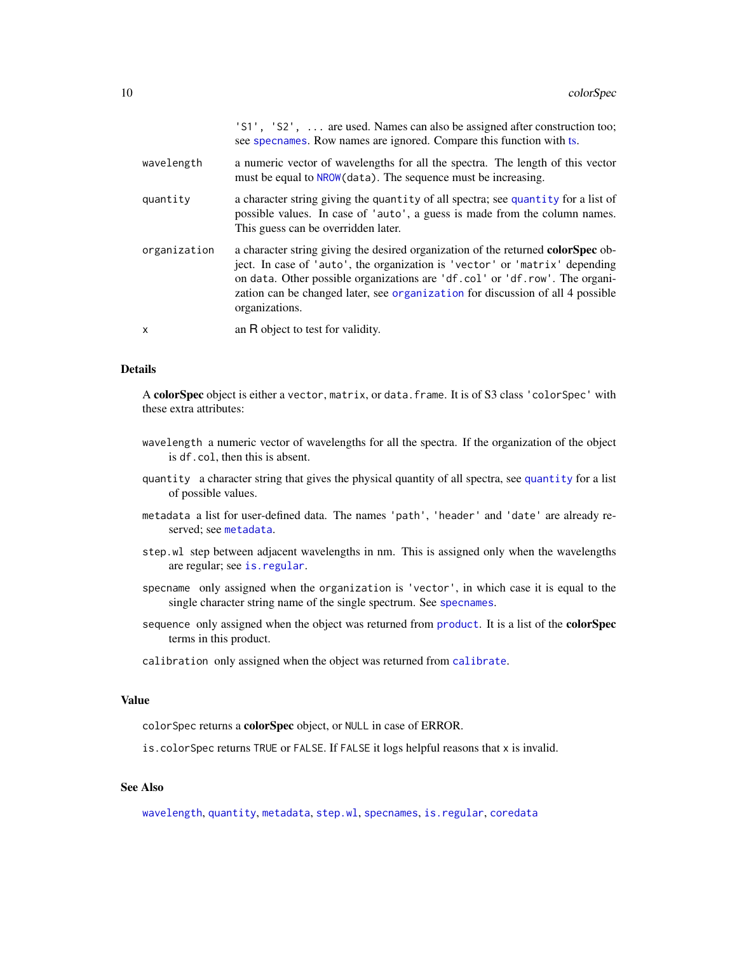<span id="page-9-0"></span>

|              | 'S1', 'S2',  are used. Names can also be assigned after construction too;<br>see specnames. Row names are ignored. Compare this function with ts.                                                                                                                                                                                                         |
|--------------|-----------------------------------------------------------------------------------------------------------------------------------------------------------------------------------------------------------------------------------------------------------------------------------------------------------------------------------------------------------|
| wavelength   | a numeric vector of wavelengths for all the spectra. The length of this vector<br>must be equal to NROW (data). The sequence must be increasing.                                                                                                                                                                                                          |
| quantity     | a character string giving the quantity of all spectra; see quantity for a list of<br>possible values. In case of 'auto', a guess is made from the column names.<br>This guess can be overridden later.                                                                                                                                                    |
| organization | a character string giving the desired organization of the returned <b>colorSpec</b> ob-<br>ject. In case of 'auto', the organization is 'vector' or 'matrix' depending<br>on data. Other possible organizations are 'df.col' or 'df.row'. The organi-<br>zation can be changed later, see organization for discussion of all 4 possible<br>organizations. |
| $\mathsf{x}$ | an R object to test for validity.                                                                                                                                                                                                                                                                                                                         |

# Details

A colorSpec object is either a vector, matrix, or data.frame. It is of S3 class 'colorSpec' with these extra attributes:

- wavelength a numeric vector of wavelengths for all the spectra. If the organization of the object is df.col, then this is absent.
- quantity a character string that gives the physical quantity of all spectra, see [quantity](#page-51-1) for a list of possible values.
- metadata a list for user-defined data. The names 'path', 'header' and 'date' are already reserved; see [metadata](#page-34-1).
- step.wl step between adjacent wavelengths in nm. This is assigned only when the wavelengths are regular; see [is.regular](#page-63-2).
- specname only assigned when the organization is 'vector', in which case it is equal to the single character string name of the single spectrum. See [specnames](#page-59-1).
- sequence only assigned when the object was returned from [product](#page-47-1). It is a list of the **colorSpec** terms in this product.
- calibration only assigned when the object was returned from [calibrate](#page-5-1).

# Value

colorSpec returns a colorSpec object, or NULL in case of ERROR.

is.colorSpec returns TRUE or FALSE. If FALSE it logs helpful reasons that x is invalid.

# See Also

[wavelength](#page-63-1), [quantity](#page-51-1), [metadata](#page-34-1), [step.wl](#page-63-2), [specnames](#page-59-1), [is.regular](#page-63-2), [coredata](#page-15-1)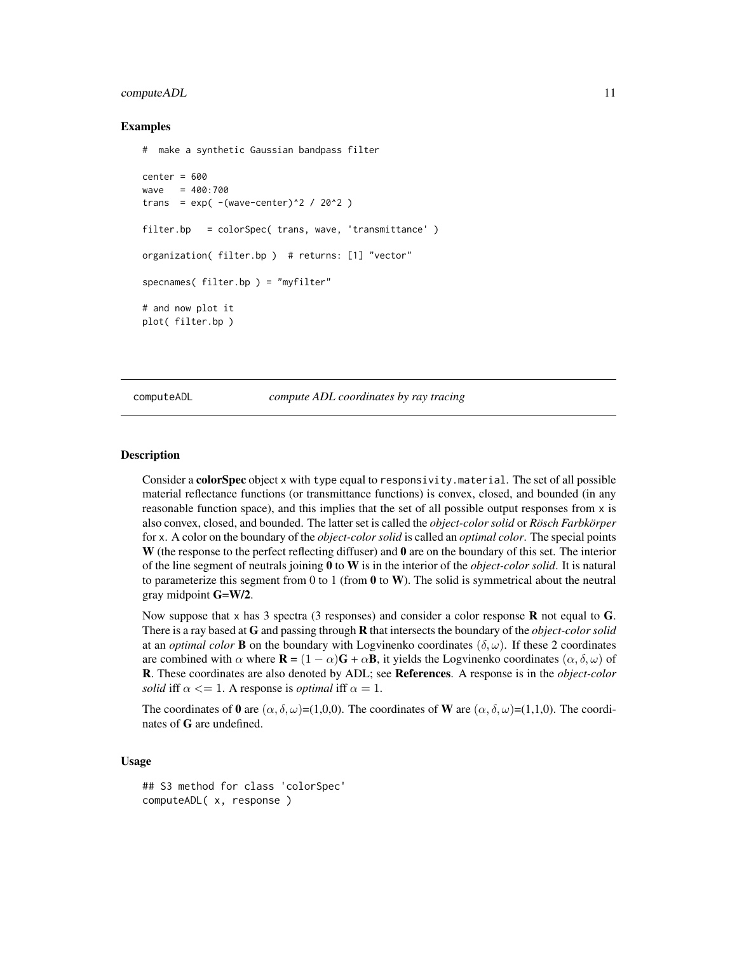#### <span id="page-10-0"></span>computeADL 11

# Examples

```
# make a synthetic Gaussian bandpass filter
center = 600wave = 400:700
trans = exp(-(wave-center)^2 / 2 / 20^2)filter.bp = colorSpec( trans, wave, 'transmittance' )
organization( filter.bp ) # returns: [1] "vector"
specnames( filter.bp ) = "myfilter"
# and now plot it
plot( filter.bp )
```
<span id="page-10-1"></span>computeADL *compute ADL coordinates by ray tracing*

# Description

Consider a colorSpec object x with type equal to responsivity.material. The set of all possible material reflectance functions (or transmittance functions) is convex, closed, and bounded (in any reasonable function space), and this implies that the set of all possible output responses from  $x$  is also convex, closed, and bounded. The latter set is called the *object-color solid* or *Rösch Farbkörper* for x. A color on the boundary of the *object-color solid* is called an *optimal color*. The special points W (the response to the perfect reflecting diffuser) and **0** are on the boundary of this set. The interior of the line segment of neutrals joining 0 to W is in the interior of the *object-color solid*. It is natural to parameterize this segment from 0 to 1 (from 0 to W). The solid is symmetrical about the neutral gray midpoint G=W/2.

Now suppose that x has 3 spectra (3 responses) and consider a color response  $\bf{R}$  not equal to  $\bf{G}$ . There is a ray based at G and passing through R that intersects the boundary of the *object-color solid* at an *optimal color* **B** on the boundary with Logvinenko coordinates  $(\delta, \omega)$ . If these 2 coordinates are combined with  $\alpha$  where  $\mathbf{R} = (1 - \alpha)\mathbf{G} + \alpha\mathbf{B}$ , it yields the Logvinenko coordinates  $(\alpha, \delta, \omega)$  of R. These coordinates are also denoted by ADL; see References. A response is in the *object-color solid* iff  $\alpha \leq 1$ . A response is *optimal* iff  $\alpha = 1$ .

The coordinates of 0 are  $(\alpha, \delta, \omega)$ =(1,0,0). The coordinates of W are  $(\alpha, \delta, \omega)$ =(1,1,0). The coordinates of G are undefined.

# Usage

## S3 method for class 'colorSpec' computeADL( x, response )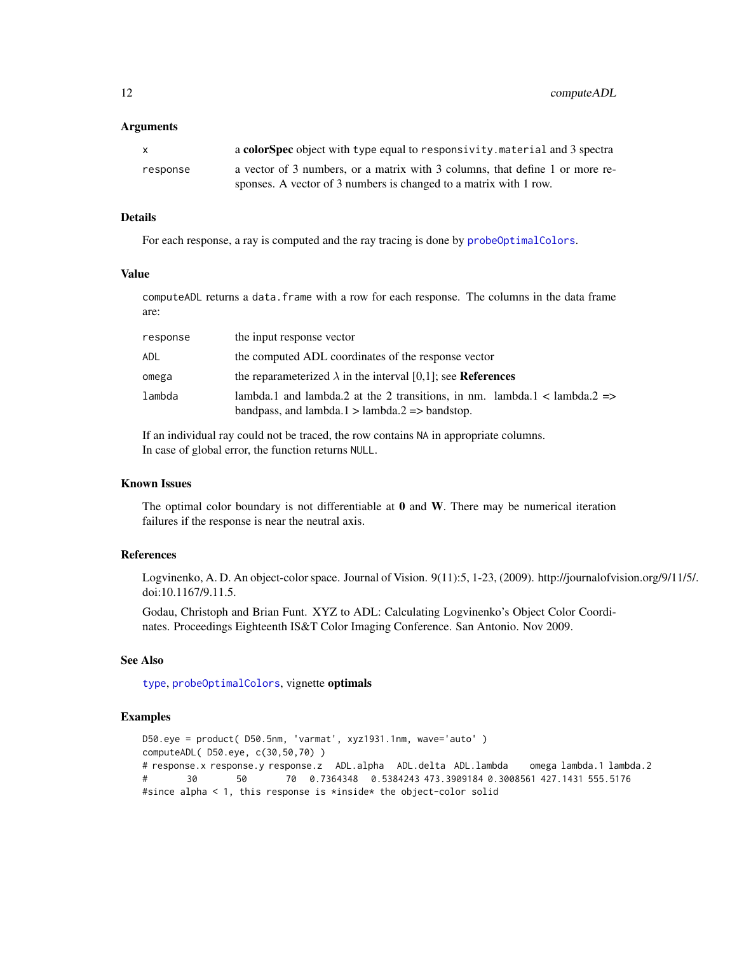<span id="page-11-0"></span>12 computeADL

#### Arguments

| X        | a colorspec object with type equal to responsivity material and 3 spectra    |
|----------|------------------------------------------------------------------------------|
| response | a vector of 3 numbers, or a matrix with 3 columns, that define 1 or more re- |
|          | sponses. A vector of 3 numbers is changed to a matrix with 1 row.            |

# Details

For each response, a ray is computed and the ray tracing is done by [probeOptimalColors](#page-45-1).

#### Value

computeADL returns a data.frame with a row for each response. The columns in the data frame are:

| response | the input response vector                                                                                                                             |
|----------|-------------------------------------------------------------------------------------------------------------------------------------------------------|
| ADL      | the computed ADL coordinates of the response vector                                                                                                   |
| omega    | the reparameterized $\lambda$ in the interval [0,1]; see <b>References</b>                                                                            |
| lambda   | lambda.1 and lambda.2 at the 2 transitions, in nm. lambda.1 < lambda.2 $\Rightarrow$<br>bandpass, and lambda. $1 >$ lambda. $2 \Rightarrow$ bandstop. |

If an individual ray could not be traced, the row contains NA in appropriate columns. In case of global error, the function returns NULL.

# Known Issues

The optimal color boundary is not differentiable at  $0$  and  $W$ . There may be numerical iteration failures if the response is near the neutral axis.

# References

Logvinenko, A. D. An object-color space. Journal of Vision. 9(11):5, 1-23, (2009). http://journalofvision.org/9/11/5/. doi:10.1167/9.11.5.

Godau, Christoph and Brian Funt. XYZ to ADL: Calculating Logvinenko's Object Color Coordinates. Proceedings Eighteenth IS&T Color Imaging Conference. San Antonio. Nov 2009.

# See Also

[type](#page-51-2), [probeOptimalColors](#page-45-1), vignette optimals

#### Examples

```
D50.eye = product( D50.5nm, 'varmat', xyz1931.1nm, wave='auto' )
computeADL( D50.eye, c(30,50,70) )
# response.x response.y response.z ADL.alpha ADL.delta ADL.lambda omega lambda.1 lambda.2
# 30 50 70 0.7364348 0.5384243 473.3909184 0.3008561 427.1431 555.5176
#since alpha < 1, this response is *inside* the object-color solid
```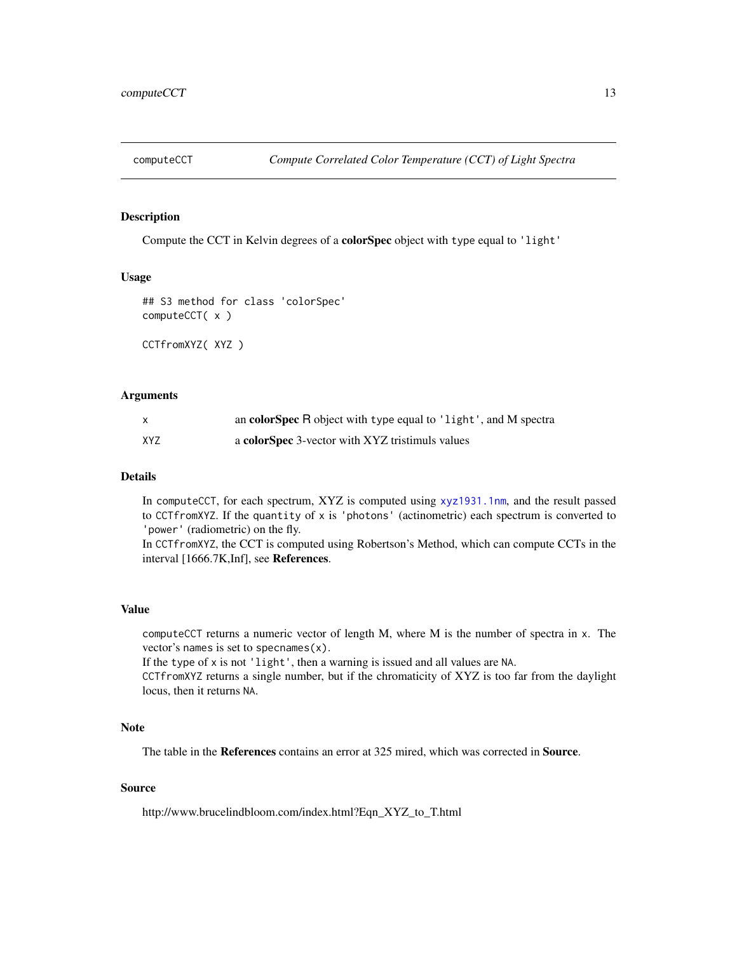<span id="page-12-1"></span><span id="page-12-0"></span>

# Description

Compute the CCT in Kelvin degrees of a colorSpec object with type equal to 'light'

# Usage

```
## S3 method for class 'colorSpec'
computeCCT( x )
```
CCTfromXYZ( XYZ )

# Arguments

| X   | an colorSpec R object with type equal to 'light', and M spectra |
|-----|-----------------------------------------------------------------|
| XYZ | a colorSpec 3-vector with XYZ tristimuls values                 |

# Details

In computeCCT, for each spectrum, XYZ is computed using [xyz1931.1nm](#page-64-1), and the result passed to CCTfromXYZ. If the quantity of x is 'photons' (actinometric) each spectrum is converted to 'power' (radiometric) on the fly.

In CCTfromXYZ, the CCT is computed using Robertson's Method, which can compute CCTs in the interval [1666.7K,Inf], see References.

# Value

computeCCT returns a numeric vector of length M, where M is the number of spectra in x. The vector's names is set to specnames(x).

If the type of x is not 'light', then a warning is issued and all values are NA.

CCTfromXYZ returns a single number, but if the chromaticity of XYZ is too far from the daylight locus, then it returns NA.

#### Note

The table in the References contains an error at 325 mired, which was corrected in Source.

# Source

http://www.brucelindbloom.com/index.html?Eqn\_XYZ\_to\_T.html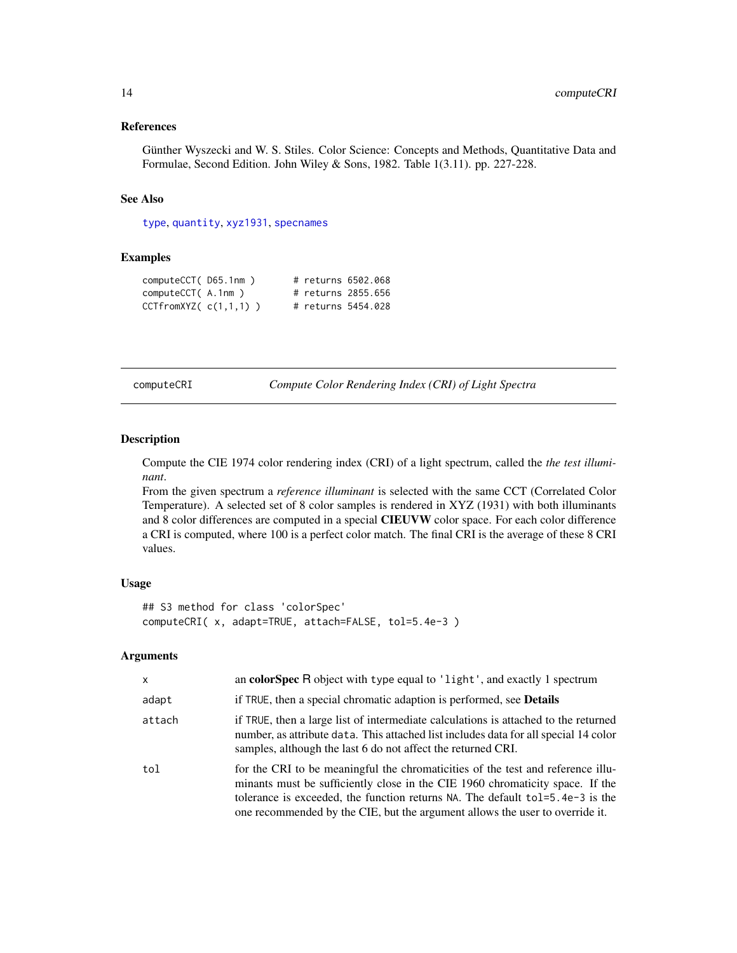#### <span id="page-13-0"></span>References

Günther Wyszecki and W. S. Stiles. Color Science: Concepts and Methods, Quantitative Data and Formulae, Second Edition. John Wiley & Sons, 1982. Table 1(3.11). pp. 227-228.

# See Also

[type](#page-51-2), [quantity](#page-51-1), [xyz1931](#page-64-2), [specnames](#page-59-1)

# Examples

```
computeCCT( D65.1nm ) # returns 6502.068
computeCCT( A.1nm ) # returns 2855.656
CCTfromXYZ(C(1,1,1)) # returns 5454.028
```
computeCRI *Compute Color Rendering Index (CRI) of Light Spectra*

# Description

Compute the CIE 1974 color rendering index (CRI) of a light spectrum, called the *the test illuminant*.

From the given spectrum a *reference illuminant* is selected with the same CCT (Correlated Color Temperature). A selected set of 8 color samples is rendered in XYZ (1931) with both illuminants and 8 color differences are computed in a special CIEUVW color space. For each color difference a CRI is computed, where 100 is a perfect color match. The final CRI is the average of these 8 CRI values.

#### Usage

```
## S3 method for class 'colorSpec'
computeCRI( x, adapt=TRUE, attach=FALSE, tol=5.4e-3 )
```
# Arguments

| $\mathsf{x}$ | an <b>colorSpec</b> R object with type equal to 'light', and exactly 1 spectrum                                                                                                                                                                                                                                                   |
|--------------|-----------------------------------------------------------------------------------------------------------------------------------------------------------------------------------------------------------------------------------------------------------------------------------------------------------------------------------|
| adapt        | if TRUE, then a special chromatic adaption is performed, see <b>Details</b>                                                                                                                                                                                                                                                       |
| attach       | if TRUE, then a large list of intermediate calculations is attached to the returned<br>number, as attribute data. This attached list includes data for all special 14 color<br>samples, although the last 6 do not affect the returned CRI.                                                                                       |
| tol          | for the CRI to be meaningful the chromaticities of the test and reference illu-<br>minants must be sufficiently close in the CIE 1960 chromaticity space. If the<br>tolerance is exceeded, the function returns NA. The default tol=5.4e-3 is the<br>one recommended by the CIE, but the argument allows the user to override it. |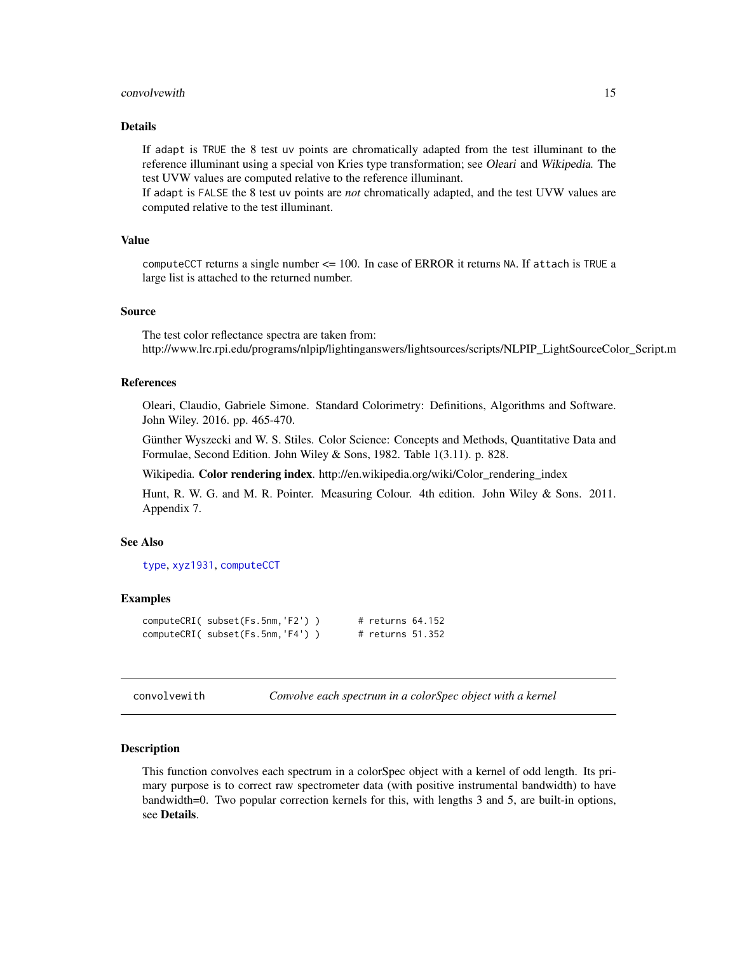#### <span id="page-14-0"></span>convolvewith the convolvement of the convolvement of the convolvement of the convolvement of the convolvement of the convolvement of the convolvement of the convolvement of the convolvement of the convolvement of the convo

# Details

If adapt is TRUE the 8 test uv points are chromatically adapted from the test illuminant to the reference illuminant using a special von Kries type transformation; see Oleari and Wikipedia. The test UVW values are computed relative to the reference illuminant.

If adapt is FALSE the 8 test uv points are *not* chromatically adapted, and the test UVW values are computed relative to the test illuminant.

#### Value

computeCCT returns a single number <= 100. In case of ERROR it returns NA. If attach is TRUE a large list is attached to the returned number.

# Source

The test color reflectance spectra are taken from: http://www.lrc.rpi.edu/programs/nlpip/lightinganswers/lightsources/scripts/NLPIP\_LightSourceColor\_Script.m

# **References**

Oleari, Claudio, Gabriele Simone. Standard Colorimetry: Definitions, Algorithms and Software. John Wiley. 2016. pp. 465-470.

Günther Wyszecki and W. S. Stiles. Color Science: Concepts and Methods, Quantitative Data and Formulae, Second Edition. John Wiley & Sons, 1982. Table 1(3.11). p. 828.

Wikipedia. Color rendering index. http://en.wikipedia.org/wiki/Color\_rendering\_index

Hunt, R. W. G. and M. R. Pointer. Measuring Colour. 4th edition. John Wiley & Sons. 2011. Appendix 7.

# See Also

[type](#page-51-2), [xyz1931](#page-64-2), [computeCCT](#page-12-1)

#### Examples

```
computeCRI( subset(Fs.5nm,'F2') ) # returns 64.152
computeCRI( subset(Fs.5nm,'F4') ) # returns 51.352
```
convolvewith *Convolve each spectrum in a colorSpec object with a kernel*

#### Description

This function convolves each spectrum in a colorSpec object with a kernel of odd length. Its primary purpose is to correct raw spectrometer data (with positive instrumental bandwidth) to have bandwidth=0. Two popular correction kernels for this, with lengths 3 and 5, are built-in options, see Details.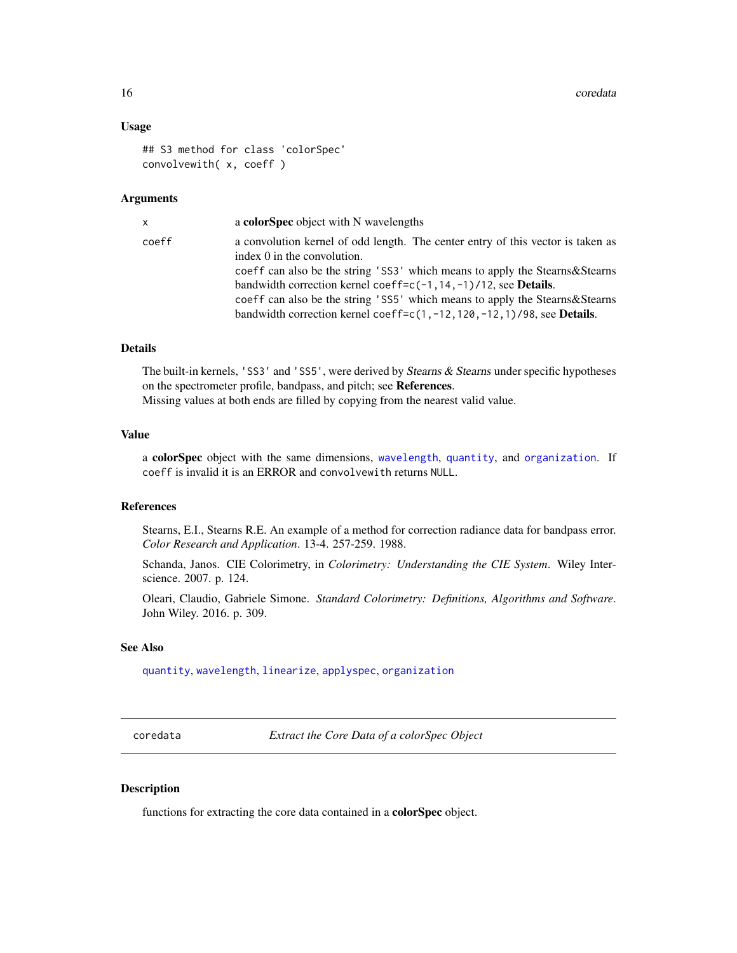# <span id="page-15-0"></span>Usage

```
## S3 method for class 'colorSpec'
convolvewith( x, coeff )
```
# Arguments

| x.    | a colorSpec object with N wavelengths                                                                                                                                                                                                                                                                                                                                                                                                                     |
|-------|-----------------------------------------------------------------------------------------------------------------------------------------------------------------------------------------------------------------------------------------------------------------------------------------------------------------------------------------------------------------------------------------------------------------------------------------------------------|
| coeff | a convolution kernel of odd length. The center entry of this vector is taken as<br>index 0 in the convolution.<br>coeff can also be the string 'SS3' which means to apply the Stearns & Stearns<br>bandwidth correction kernel coeff= $c(-1, 14, -1)/12$ , see <b>Details</b> .<br>coeff can also be the string 'SS5' which means to apply the Stearns & Stearns<br>bandwidth correction kernel coeff= $c(1, -12, 120, -12, 1)/98$ , see <b>Details</b> . |
|       |                                                                                                                                                                                                                                                                                                                                                                                                                                                           |

# Details

The built-in kernels, 'SS3' and 'SS5', were derived by Stearns  $\&$  Stearns under specific hypotheses on the spectrometer profile, bandpass, and pitch; see References. Missing values at both ends are filled by copying from the nearest valid value.

#### Value

a colorSpec object with the same dimensions, [wavelength](#page-63-1), [quantity](#page-51-1), and [organization](#page-37-1). If coeff is invalid it is an ERROR and convolvewith returns NULL.

# References

Stearns, E.I., Stearns R.E. An example of a method for correction radiance data for bandpass error. *Color Research and Application*. 13-4. 257-259. 1988.

Schanda, Janos. CIE Colorimetry, in *Colorimetry: Understanding the CIE System*. Wiley Interscience. 2007. p. 124.

Oleari, Claudio, Gabriele Simone. *Standard Colorimetry: Definitions, Algorithms and Software*. John Wiley. 2016. p. 309.

#### See Also

[quantity](#page-51-1), [wavelength](#page-63-1), [linearize](#page-29-1), [applyspec](#page-4-1), [organization](#page-37-1)

<span id="page-15-1"></span>coredata *Extract the Core Data of a colorSpec Object*

# Description

functions for extracting the core data contained in a colorSpec object.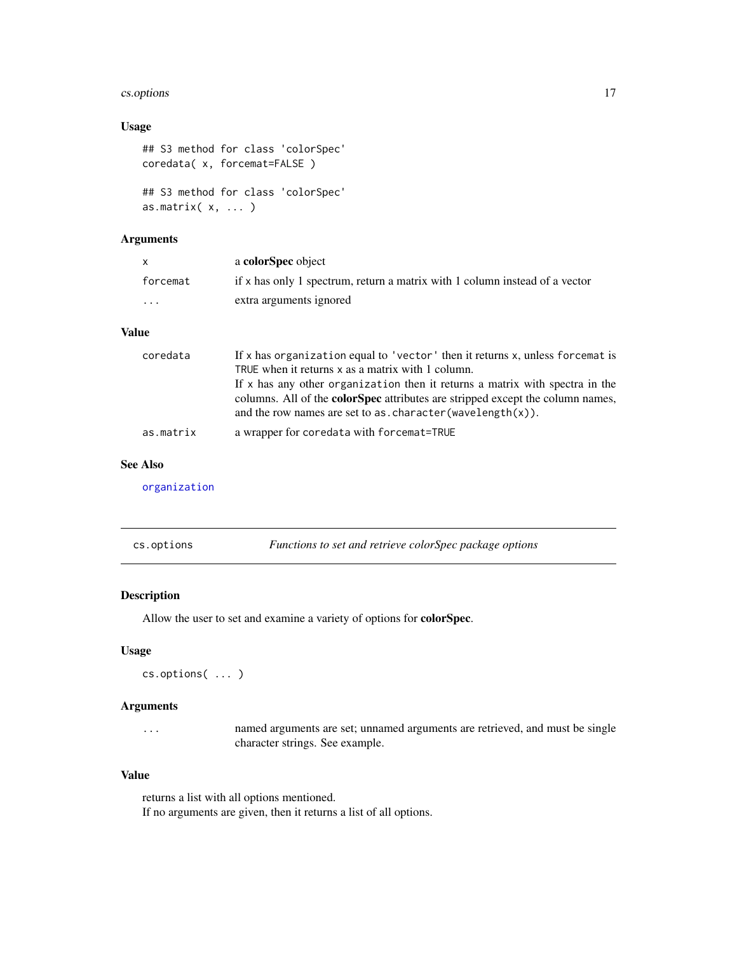#### <span id="page-16-0"></span>cs.options 17

# Usage

```
## S3 method for class 'colorSpec'
coredata( x, forcemat=FALSE )
## S3 method for class 'colorSpec'
as.matrix(x, \ldots)
```
# Arguments

| $\mathsf{X}$            | a <b>colorSpec</b> object                                                   |
|-------------------------|-----------------------------------------------------------------------------|
| forcemat                | if x has only 1 spectrum, return a matrix with 1 column instead of a vector |
| $\cdot$ $\cdot$ $\cdot$ | extra arguments ignored                                                     |

# Value

| coredata  | If x has organization equal to 'vector' then it returns x, unless forcemat is         |
|-----------|---------------------------------------------------------------------------------------|
|           | TRUE when it returns x as a matrix with 1 column.                                     |
|           | If $x$ has any other organization then it returns a matrix with spectra in the        |
|           | columns. All of the <b>colorSpec</b> attributes are stripped except the column names, |
|           | and the row names are set to as. character (wavelength $(x)$ ).                       |
| as.matrix | a wrapper for coredata with forcemat=TRUE                                             |

# See Also

[organization](#page-37-1)

<span id="page-16-1"></span>

|  | cs.options | Functions to set and retrieve colorSpec package options |
|--|------------|---------------------------------------------------------|
|--|------------|---------------------------------------------------------|

# Description

Allow the user to set and examine a variety of options for colorSpec.

# Usage

```
cs.options( ... )
```
# Arguments

... named arguments are set; unnamed arguments are retrieved, and must be single character strings. See example.

# Value

returns a list with all options mentioned. If no arguments are given, then it returns a list of all options.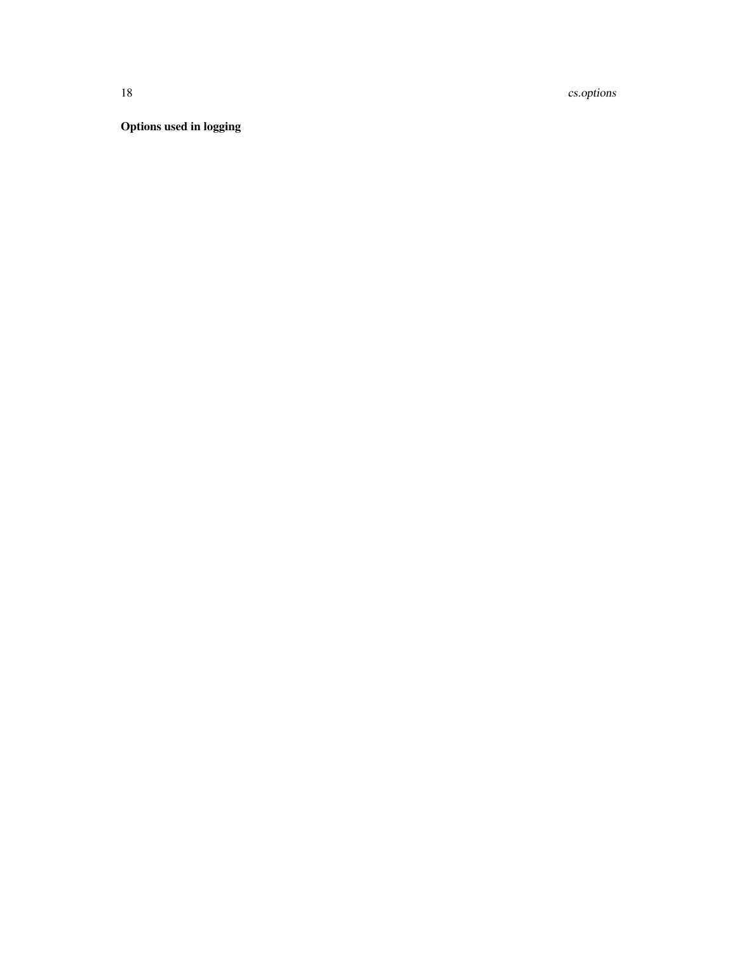18 cs.options

Options used in logging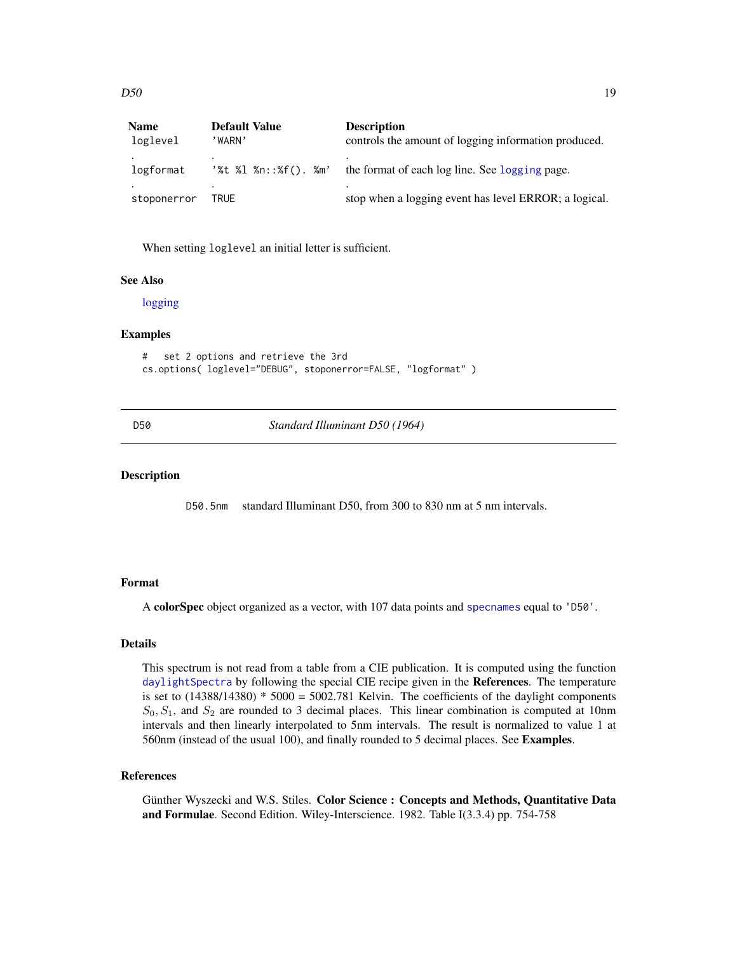<span id="page-18-0"></span>

| <b>Name</b> | <b>Default Value</b> | <b>Description</b>                                    |
|-------------|----------------------|-------------------------------------------------------|
| loglevel    | 'WARN'               | controls the amount of logging information produced.  |
| logformat   | '%t %l %n::%f(). %m' | the format of each log line. See logging page.        |
| stoponerror | TRUE                 | stop when a logging event has level ERROR; a logical. |

When setting loglevel an initial letter is sufficient.

#### See Also

[logging](#page-31-1)

# Examples

```
# set 2 options and retrieve the 3rd
cs.options( loglevel="DEBUG", stoponerror=FALSE, "logformat" )
```
<span id="page-18-1"></span>D50 *Standard Illuminant D50 (1964)*

# Description

D50.5nm standard Illuminant D50, from 300 to 830 nm at 5 nm intervals.

# Format

A colorSpec object organized as a vector, with 107 data points and [specnames](#page-59-1) equal to 'D50'.

# Details

This spectrum is not read from a table from a CIE publication. It is computed using the function [daylightSpectra](#page-27-1) by following the special CIE recipe given in the References. The temperature is set to  $(14388/14380) * 5000 = 5002.781$  Kelvin. The coefficients of the daylight components  $S_0, S_1$ , and  $S_2$  are rounded to 3 decimal places. This linear combination is computed at 10nm intervals and then linearly interpolated to 5nm intervals. The result is normalized to value 1 at 560nm (instead of the usual 100), and finally rounded to 5 decimal places. See Examples.

# References

Günther Wyszecki and W.S. Stiles. Color Science : Concepts and Methods, Quantitative Data and Formulae. Second Edition. Wiley-Interscience. 1982. Table I(3.3.4) pp. 754-758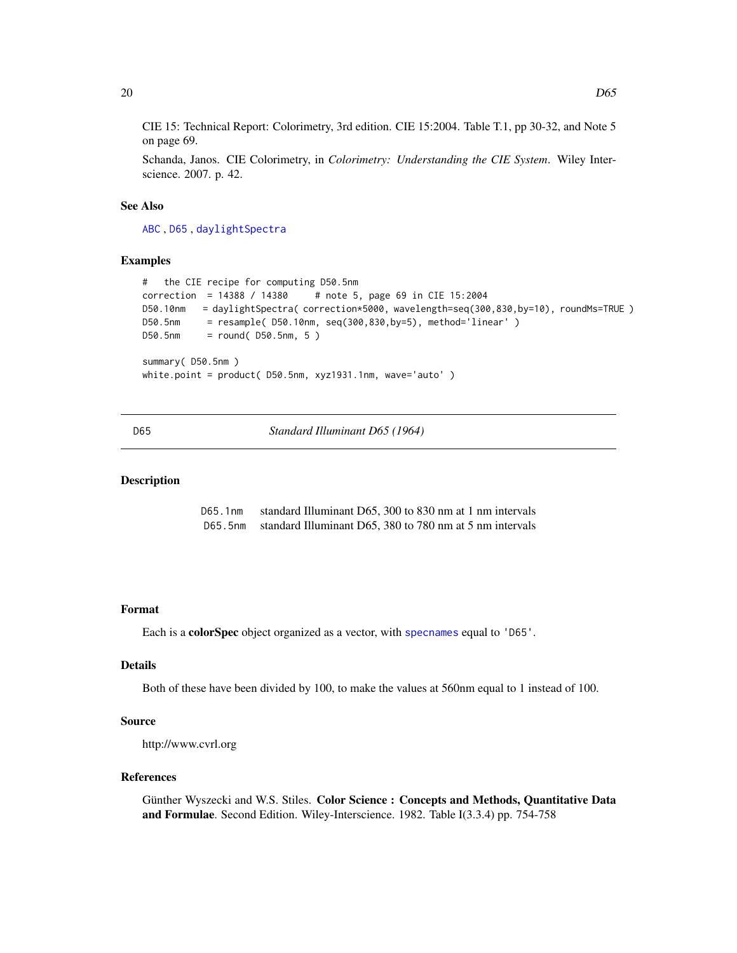<span id="page-19-0"></span>CIE 15: Technical Report: Colorimetry, 3rd edition. CIE 15:2004. Table T.1, pp 30-32, and Note 5 on page 69.

Schanda, Janos. CIE Colorimetry, in *Colorimetry: Understanding the CIE System*. Wiley Interscience. 2007. p. 42.

# See Also

[ABC](#page-3-1) , [D65](#page-19-1) , [daylightSpectra](#page-27-1)

# Examples

```
# the CIE recipe for computing D50.5nm
correction = 14388 / 14380 # note 5, page 69 in CIE 15:2004
D50.10nm = daylightSpectra( correction*5000, wavelength=seq(300,830,by=10), roundMs=TRUE )
D50.5nm = resample( D50.10nm, seq(300,830,by=5), method='linear' )
D50.5nm = round( D50.5nm, 5 )
summary( D50.5nm )
white.point = product( D50.5nm, xyz1931.1nm, wave='auto' )
```
<span id="page-19-1"></span>D65 *Standard Illuminant D65 (1964)*

# <span id="page-19-2"></span>Description

D65.1nm standard Illuminant D65, 300 to 830 nm at 1 nm intervals D65.5nm standard Illuminant D65, 380 to 780 nm at 5 nm intervals

#### Format

Each is a colorSpec object organized as a vector, with [specnames](#page-59-1) equal to 'D65'.

# Details

Both of these have been divided by 100, to make the values at 560nm equal to 1 instead of 100.

# Source

http://www.cvrl.org

#### References

Günther Wyszecki and W.S. Stiles. Color Science : Concepts and Methods, Quantitative Data and Formulae. Second Edition. Wiley-Interscience. 1982. Table I(3.3.4) pp. 754-758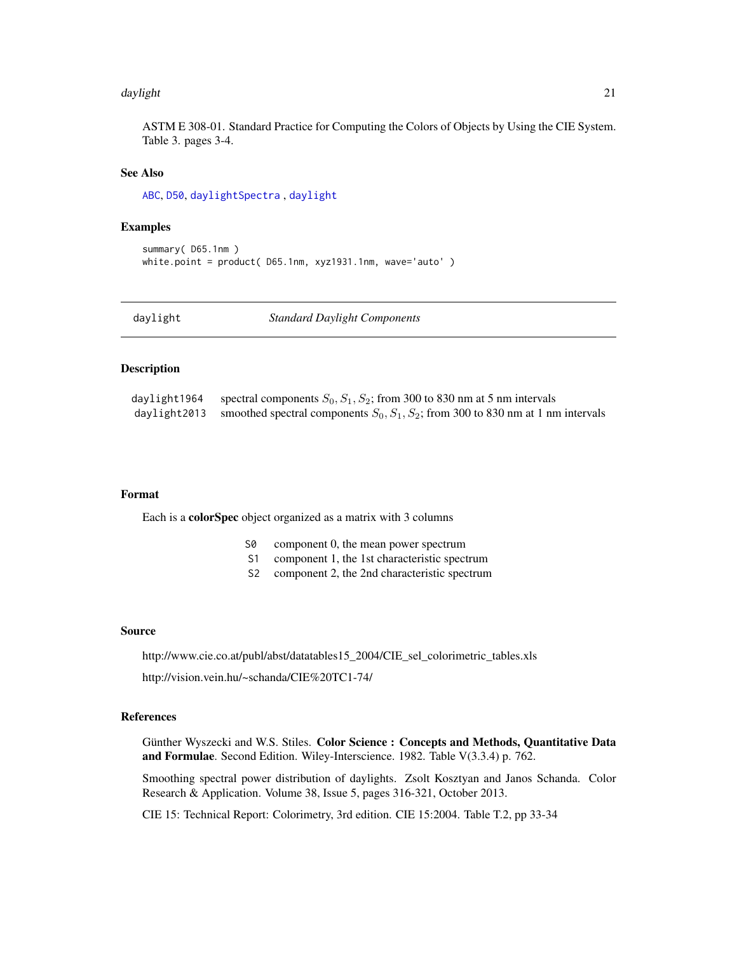#### <span id="page-20-0"></span>daylight 21

ASTM E 308-01. Standard Practice for Computing the Colors of Objects by Using the CIE System. Table 3. pages 3-4.

# See Also

[ABC](#page-3-1), [D50](#page-18-1), [daylightSpectra](#page-27-1) , [daylight](#page-20-1)

#### Examples

```
summary( D65.1nm )
white.point = product( D65.1nm, xyz1931.1nm, wave='auto')
```
<span id="page-20-1"></span>

| daylight | <b>Standard Daylight Components</b> |  |
|----------|-------------------------------------|--|
|----------|-------------------------------------|--|

# <span id="page-20-2"></span>Description

| daylight1964 | spectral components $S_0$ , $S_1$ , $S_2$ ; from 300 to 830 nm at 5 nm intervals                        |
|--------------|---------------------------------------------------------------------------------------------------------|
|              | daylight 2013 smoothed spectral components $S_0$ , $S_1$ , $S_2$ ; from 300 to 830 nm at 1 nm intervals |

#### Format

Each is a colorSpec object organized as a matrix with 3 columns

- S0 component 0, the mean power spectrum
- S1 component 1, the 1st characteristic spectrum
- S2 component 2, the 2nd characteristic spectrum

# Source

http://www.cie.co.at/publ/abst/datatables15\_2004/CIE\_sel\_colorimetric\_tables.xls

http://vision.vein.hu/~schanda/CIE%20TC1-74/

# References

Günther Wyszecki and W.S. Stiles. Color Science : Concepts and Methods, Quantitative Data and Formulae. Second Edition. Wiley-Interscience. 1982. Table V(3.3.4) p. 762.

Smoothing spectral power distribution of daylights. Zsolt Kosztyan and Janos Schanda. Color Research & Application. Volume 38, Issue 5, pages 316-321, October 2013.

CIE 15: Technical Report: Colorimetry, 3rd edition. CIE 15:2004. Table T.2, pp 33-34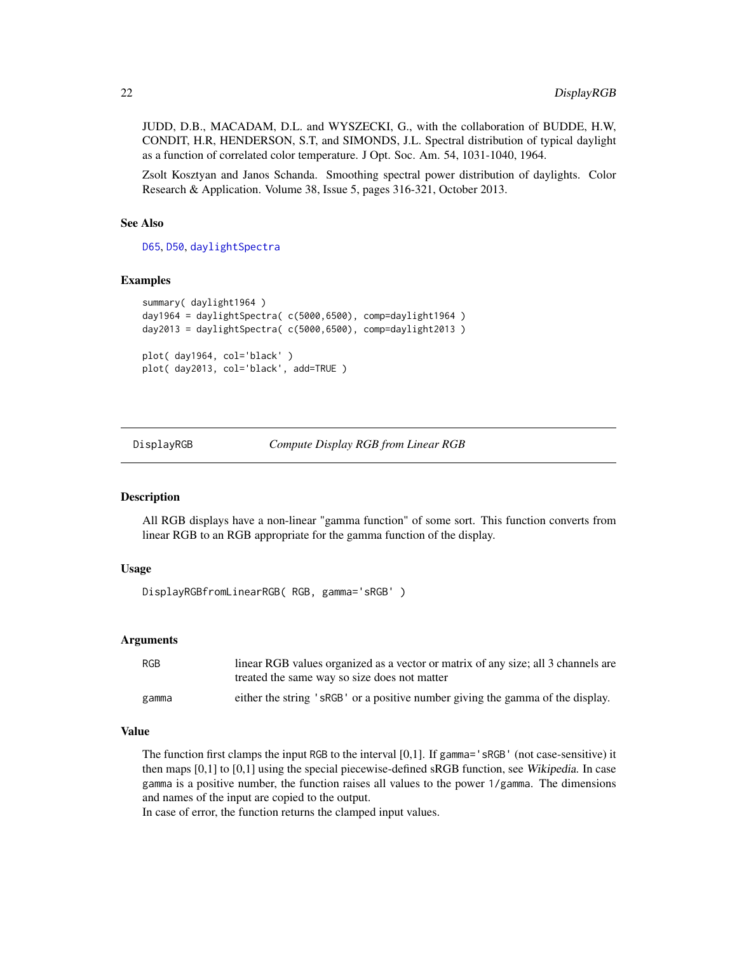<span id="page-21-0"></span>JUDD, D.B., MACADAM, D.L. and WYSZECKI, G., with the collaboration of BUDDE, H.W, CONDIT, H.R, HENDERSON, S.T, and SIMONDS, J.L. Spectral distribution of typical daylight as a function of correlated color temperature. J Opt. Soc. Am. 54, 1031-1040, 1964.

Zsolt Kosztyan and Janos Schanda. Smoothing spectral power distribution of daylights. Color Research & Application. Volume 38, Issue 5, pages 316-321, October 2013.

# See Also

[D65](#page-19-1), [D50](#page-18-1), [daylightSpectra](#page-27-1)

#### Examples

```
summary( daylight1964 )
day1964 = daylightSpectra( c(5000,6500), comp=daylight1964 )
day2013 = daylightSpectra( c(5000,6500), comp=daylight2013 )
plot( day1964, col='black' )
plot( day2013, col='black', add=TRUE )
```
DisplayRGB *Compute Display RGB from Linear RGB*

# <span id="page-21-1"></span>Description

All RGB displays have a non-linear "gamma function" of some sort. This function converts from linear RGB to an RGB appropriate for the gamma function of the display.

# Usage

```
DisplayRGBfromLinearRGB( RGB, gamma='sRGB' )
```
# Arguments

| RGB   | linear RGB values organized as a vector or matrix of any size; all 3 channels are<br>treated the same way so size does not matter |
|-------|-----------------------------------------------------------------------------------------------------------------------------------|
| gamma | either the string 'sRGB' or a positive number giving the gamma of the display.                                                    |

# Value

The function first clamps the input RGB to the interval [0,1]. If gamma='sRGB' (not case-sensitive) it then maps [0,1] to [0,1] using the special piecewise-defined sRGB function, see Wikipedia. In case gamma is a positive number, the function raises all values to the power 1/gamma. The dimensions and names of the input are copied to the output.

In case of error, the function returns the clamped input values.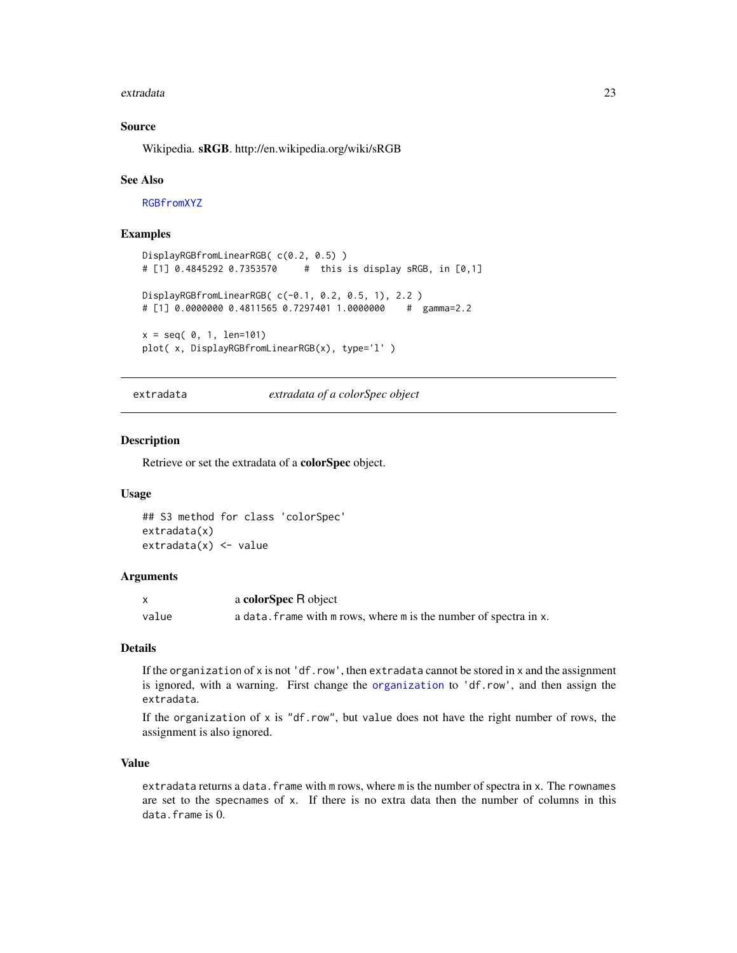#### <span id="page-22-0"></span>extradata 23

# Source

Wikipedia. sRGB. http://en.wikipedia.org/wiki/sRGB

#### See Also

[RGBfromXYZ](#page-60-1)

# Examples

```
DisplayRGBfromLinearRGB( c(0.2, 0.5) )
# [1] 0.4845292 0.7353570 # this is display sRGB, in [0,1]
DisplayRGBfromLinearRGB( c(-0.1, 0.2, 0.5, 1), 2.2 )
# [1] 0.0000000 0.4811565 0.7297401 1.0000000 # gamma=2.2
x = seq( 0, 1, len=101)plot( x, DisplayRGBfromLinearRGB(x), type='l' )
```
<span id="page-22-1"></span>extradata *extradata of a colorSpec object*

# Description

Retrieve or set the extradata of a colorSpec object.

# Usage

```
## S3 method for class 'colorSpec'
extradata(x)
extradata(x) < - value
```
# **Arguments**

|       | a <b>colorSpec</b> R object                                       |
|-------|-------------------------------------------------------------------|
| value | a data. frame with m rows, where m is the number of spectra in x. |

# Details

If the organization of x is not 'df.row', then extradata cannot be stored in x and the assignment is ignored, with a warning. First change the [organization](#page-37-1) to 'df.row', and then assign the extradata.

If the organization of x is "df.row", but value does not have the right number of rows, the assignment is also ignored.

# Value

extradata returns a data. frame with m rows, where m is the number of spectra in x. The rownames are set to the specnames of x. If there is no extra data then the number of columns in this data.frame is 0.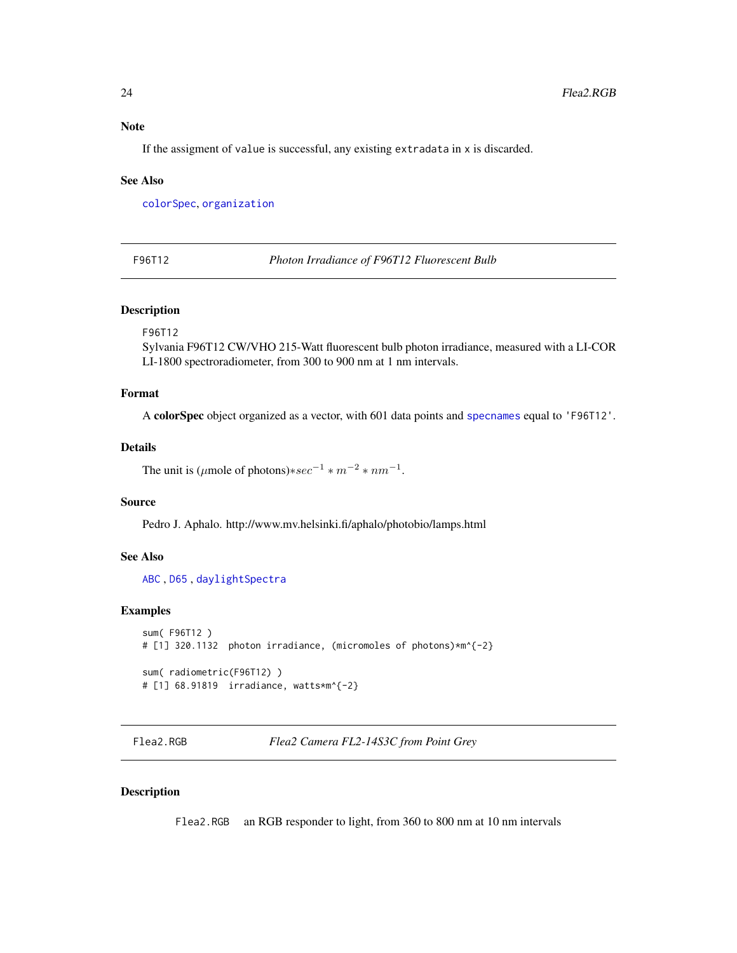# <span id="page-23-0"></span>Note

If the assigment of value is successful, any existing extradata in x is discarded.

### See Also

[colorSpec](#page-8-1), [organization](#page-37-1)

<span id="page-23-1"></span>F96T12 *Photon Irradiance of F96T12 Fluorescent Bulb*

# Description

F96T12

Sylvania F96T12 CW/VHO 215-Watt fluorescent bulb photon irradiance, measured with a LI-COR LI-1800 spectroradiometer, from 300 to 900 nm at 1 nm intervals.

# Format

A colorSpec object organized as a vector, with 601 data points and [specnames](#page-59-1) equal to 'F96T12'.

#### Details

The unit is ( $\mu$ mole of photons) $*sec^{-1} * m^{-2} * nm^{-1}$ .

# Source

Pedro J. Aphalo. http://www.mv.helsinki.fi/aphalo/photobio/lamps.html

# See Also

[ABC](#page-3-1) , [D65](#page-19-1) , [daylightSpectra](#page-27-1)

# Examples

```
sum( F96T12 )
# [1] 320.1132 photon irradiance, (micromoles of photons)*m^{-2}
sum( radiometric(F96T12) )
# [1] 68.91819 irradiance, watts*m^{-2}
```
Flea2.RGB *Flea2 Camera FL2-14S3C from Point Grey*

# Description

Flea2.RGB an RGB responder to light, from 360 to 800 nm at 10 nm intervals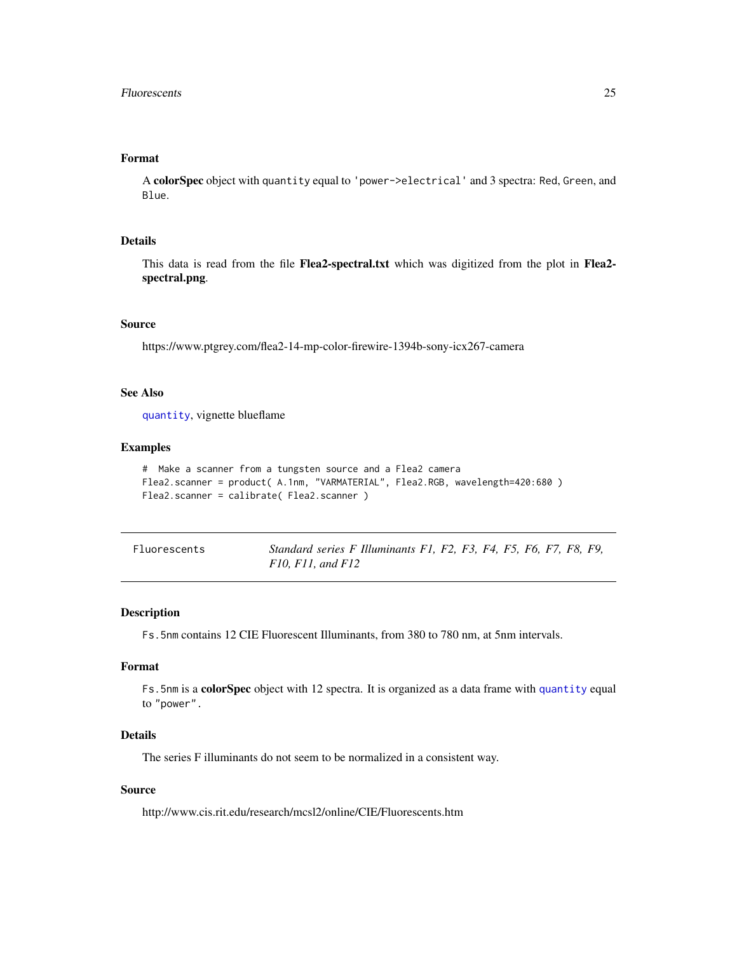# <span id="page-24-0"></span>Format

A colorSpec object with quantity equal to 'power->electrical' and 3 spectra: Red, Green, and Blue.

# Details

This data is read from the file Flea2-spectral.txt which was digitized from the plot in Flea2spectral.png.

# Source

https://www.ptgrey.com/flea2-14-mp-color-firewire-1394b-sony-icx267-camera

# See Also

[quantity](#page-51-1), vignette blueflame

# Examples

```
# Make a scanner from a tungsten source and a Flea2 camera
Flea2.scanner = product( A.1nm, "VARMATERIAL", Flea2.RGB, wavelength=420:680 )
Flea2.scanner = calibrate( Flea2.scanner )
```
<span id="page-24-1"></span>

| Fluorescents | Standard series F Illuminants F1, F2, F3, F4, F5, F6, F7, F8, F9, |  |  |  |  |  |
|--------------|-------------------------------------------------------------------|--|--|--|--|--|
|              | $F10, F11,$ and $F12$                                             |  |  |  |  |  |

# Description

Fs.5nm contains 12 CIE Fluorescent Illuminants, from 380 to 780 nm, at 5nm intervals.

#### Format

Fs.5nm is a colorSpec object with 12 spectra. It is organized as a data frame with [quantity](#page-51-1) equal to "power".

# Details

The series F illuminants do not seem to be normalized in a consistent way.

# Source

http://www.cis.rit.edu/research/mcsl2/online/CIE/Fluorescents.htm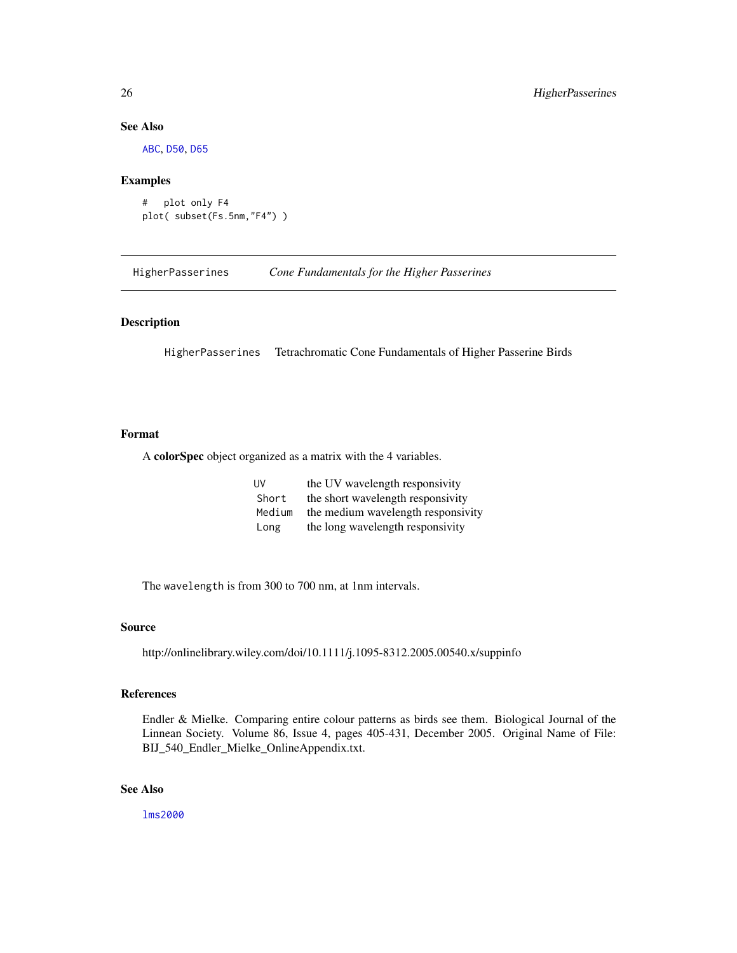# See Also

[ABC](#page-3-1), [D50](#page-18-1), [D65](#page-19-1)

#### Examples

```
# plot only F4
plot( subset(Fs.5nm,"F4") )
```
HigherPasserines *Cone Fundamentals for the Higher Passerines*

# **Description**

HigherPasserines Tetrachromatic Cone Fundamentals of Higher Passerine Birds

# Format

A colorSpec object organized as a matrix with the 4 variables.

| <b>UV</b> | the UV wavelength responsivity     |
|-----------|------------------------------------|
| Short     | the short wavelength responsivity  |
| Medium    | the medium wavelength responsivity |
| Long      | the long wavelength responsivity   |

The wavelength is from 300 to 700 nm, at 1nm intervals.

#### Source

http://onlinelibrary.wiley.com/doi/10.1111/j.1095-8312.2005.00540.x/suppinfo

# References

Endler & Mielke. Comparing entire colour patterns as birds see them. Biological Journal of the Linnean Society. Volume 86, Issue 4, pages 405-431, December 2005. Original Name of File: BIJ\_540\_Endler\_Mielke\_OnlineAppendix.txt.

# See Also

[lms2000](#page-30-1)

<span id="page-25-0"></span>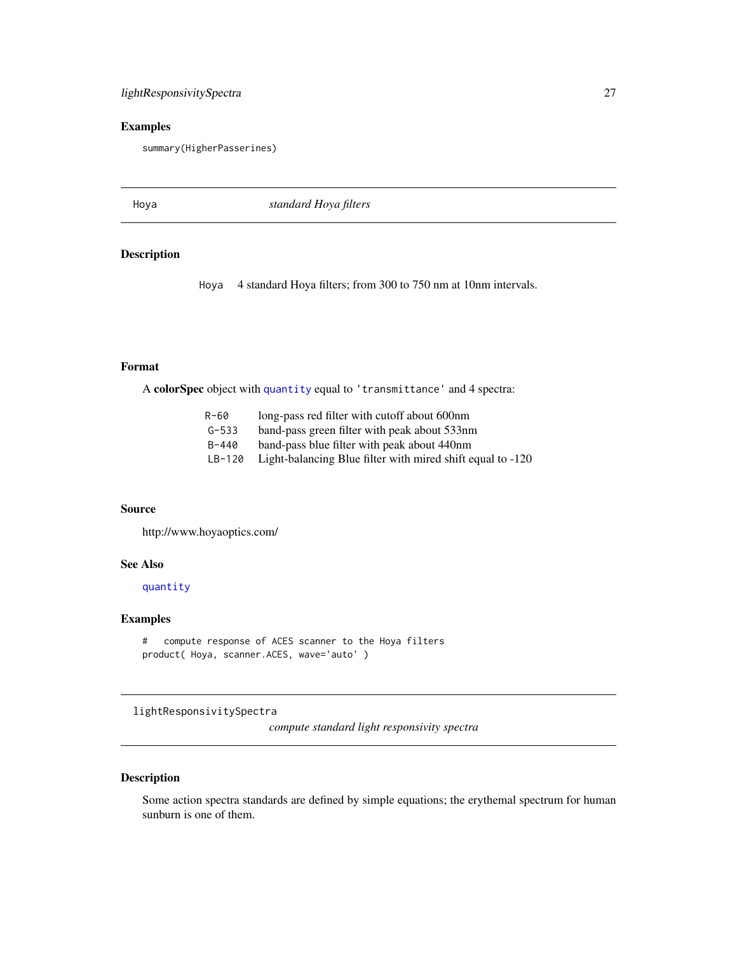# <span id="page-26-0"></span>lightResponsivitySpectra 27

# Examples

summary(HigherPasserines)

Hoya *standard Hoya filters*

# Description

Hoya 4 standard Hoya filters; from 300 to 750 nm at 10nm intervals.

# Format

A colorSpec object with [quantity](#page-51-1) equal to 'transmittance' and 4 spectra:

| R-60      | long-pass red filter with cutoff about 600nm               |
|-----------|------------------------------------------------------------|
| $G - 533$ | band-pass green filter with peak about 533nm               |
| $B - 440$ | band-pass blue filter with peak about 440nm                |
| $LB-120$  | Light-balancing Blue filter with mired shift equal to -120 |

# Source

http://www.hoyaoptics.com/

# See Also

[quantity](#page-51-1)

# Examples

```
# compute response of ACES scanner to the Hoya filters
product( Hoya, scanner.ACES, wave='auto' )
```
lightResponsivitySpectra

*compute standard light responsivity spectra*

# Description

Some action spectra standards are defined by simple equations; the erythemal spectrum for human sunburn is one of them.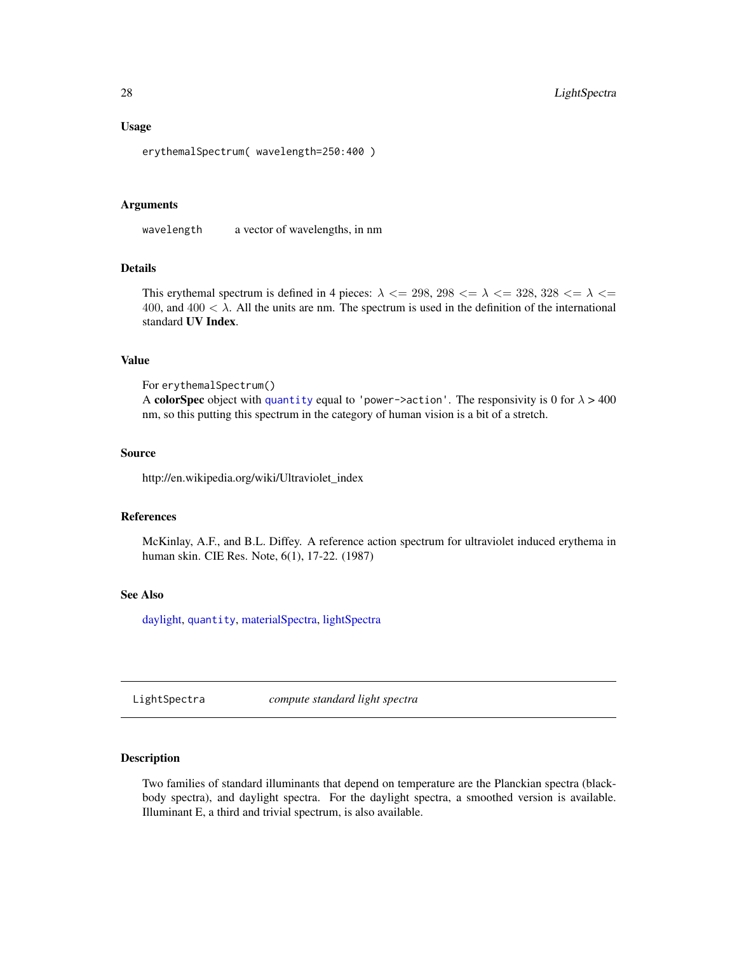#### Usage

erythemalSpectrum( wavelength=250:400 )

# Arguments

wavelength a vector of wavelengths, in nm

# **Details**

This erythemal spectrum is defined in 4 pieces:  $\lambda \le 298$ ,  $298 \le \lambda \le 328$ ,  $328 \le \lambda \le 28$ 400, and 400  $\lt \lambda$ . All the units are nm. The spectrum is used in the definition of the international standard UV Index.

# Value

For erythemalSpectrum()

A colorSpec object with [quantity](#page-51-1) equal to 'power->action'. The responsivity is 0 for  $\lambda > 400$ nm, so this putting this spectrum in the category of human vision is a bit of a stretch.

#### Source

http://en.wikipedia.org/wiki/Ultraviolet\_index

# References

McKinlay, A.F., and B.L. Diffey. A reference action spectrum for ultraviolet induced erythema in human skin. CIE Res. Note, 6(1), 17-22. (1987)

# See Also

[daylight,](#page-20-1) [quantity](#page-51-1), [materialSpectra,](#page-32-2) [lightSpectra](#page-27-1)

LightSpectra *compute standard light spectra*

# <span id="page-27-1"></span>Description

Two families of standard illuminants that depend on temperature are the Planckian spectra (blackbody spectra), and daylight spectra. For the daylight spectra, a smoothed version is available. Illuminant E, a third and trivial spectrum, is also available.

<span id="page-27-0"></span>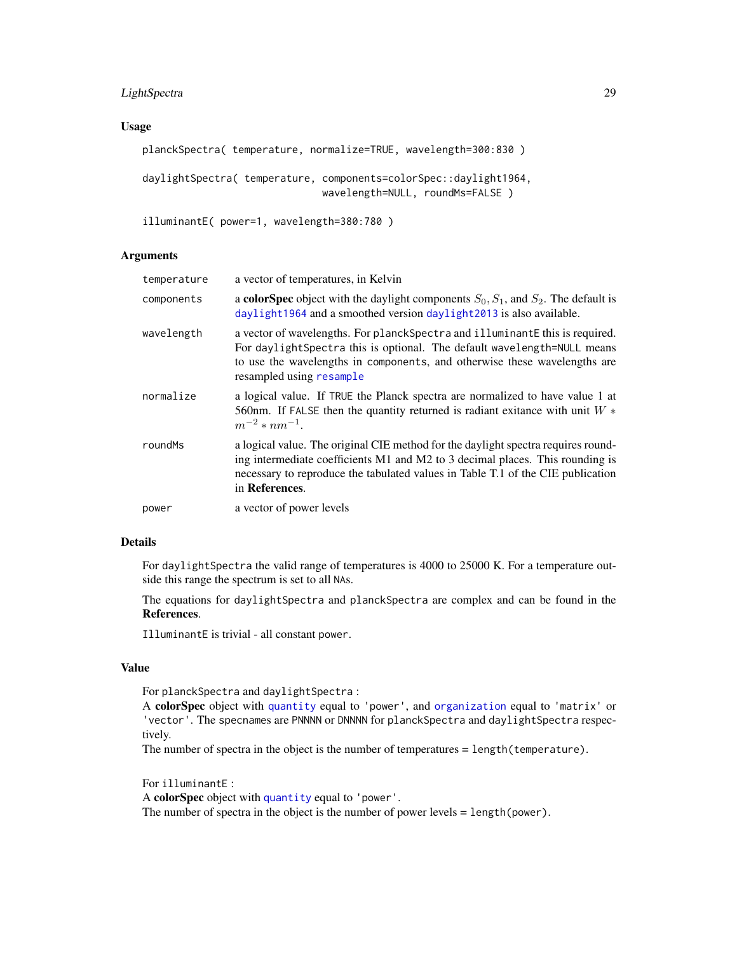# <span id="page-28-0"></span>LightSpectra 29

# Usage

```
planckSpectra( temperature, normalize=TRUE, wavelength=300:830 )
daylightSpectra( temperature, components=colorSpec::daylight1964,
                              wavelength=NULL, roundMs=FALSE )
```
illuminantE( power=1, wavelength=380:780 )

# Arguments

| temperature | a vector of temperatures, in Kelvin                                                                                                                                                                                                                                     |
|-------------|-------------------------------------------------------------------------------------------------------------------------------------------------------------------------------------------------------------------------------------------------------------------------|
| components  | a colorSpec object with the daylight components $S_0$ , $S_1$ , and $S_2$ . The default is<br>daylight1964 and a smoothed version daylight2013 is also available.                                                                                                       |
| wavelength  | a vector of wavelengths. For planck Spectra and illuminant E this is required.<br>For daylightSpectra this is optional. The default wavelength=NULL means<br>to use the wavelengths in components, and otherwise these wavelengths are<br>resampled using resample      |
| normalize   | a logical value. If TRUE the Planck spectra are normalized to have value 1 at<br>560nm. If FALSE then the quantity returned is radiant exitance with unit $W^*$<br>$m^{-2} * nm^{-1}$ .                                                                                 |
| roundMs     | a logical value. The original CIE method for the daylight spectra requires round-<br>ing intermediate coefficients M1 and M2 to 3 decimal places. This rounding is<br>necessary to reproduce the tabulated values in Table T.1 of the CIE publication<br>in References. |
| power       | a vector of power levels                                                                                                                                                                                                                                                |

# Details

For daylightSpectra the valid range of temperatures is 4000 to 25000 K. For a temperature outside this range the spectrum is set to all NAs.

The equations for daylightSpectra and planckSpectra are complex and can be found in the References.

IlluminantE is trivial - all constant power.

# Value

For planckSpectra and daylightSpectra :

A colorSpec object with [quantity](#page-51-1) equal to 'power', and [organization](#page-37-1) equal to 'matrix' or 'vector'. The specnames are PNNNN or DNNNN for planckSpectra and daylightSpectra respectively.

The number of spectra in the object is the number of temperatures = length(temperature).

For illuminantE :

A colorSpec object with [quantity](#page-51-1) equal to 'power'.

The number of spectra in the object is the number of power levels = length(power).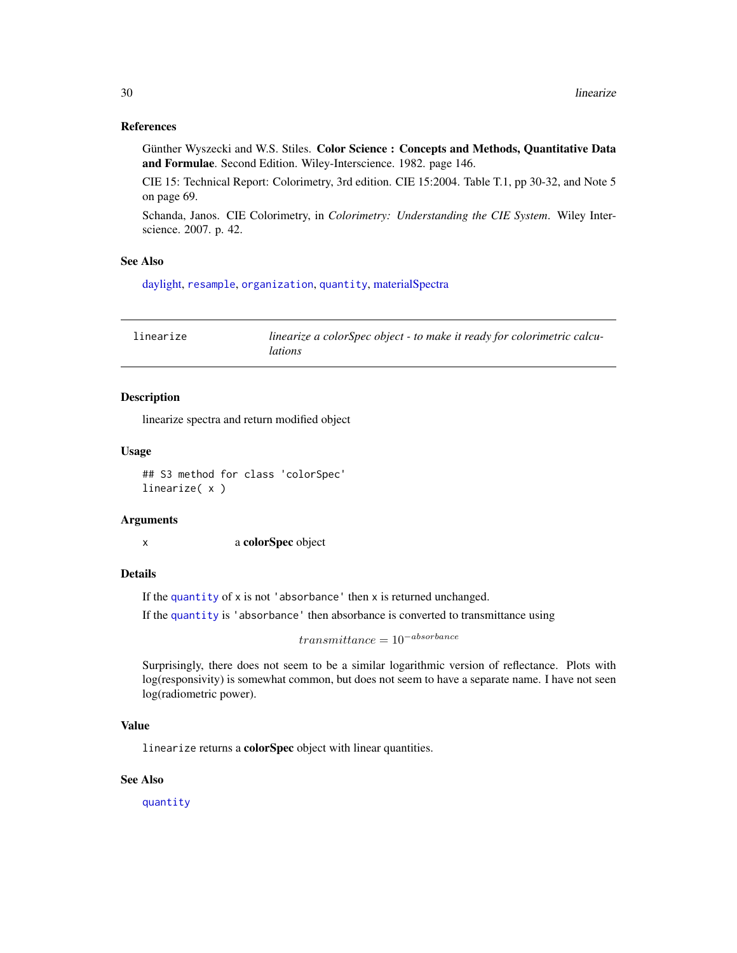# <span id="page-29-0"></span>References

Günther Wyszecki and W.S. Stiles. Color Science : Concepts and Methods, Quantitative Data and Formulae. Second Edition. Wiley-Interscience. 1982. page 146.

CIE 15: Technical Report: Colorimetry, 3rd edition. CIE 15:2004. Table T.1, pp 30-32, and Note 5 on page 69.

Schanda, Janos. CIE Colorimetry, in *Colorimetry: Understanding the CIE System*. Wiley Interscience. 2007. p. 42.

# See Also

[daylight,](#page-20-1) [resample](#page-56-1), [organization](#page-37-1), [quantity](#page-51-1), [materialSpectra](#page-32-2)

<span id="page-29-1"></span>

| linearize | linearize a colorSpec object - to make it ready for colorimetric calcu- |
|-----------|-------------------------------------------------------------------------|
|           | <i>lations</i>                                                          |

# Description

linearize spectra and return modified object

#### Usage

## S3 method for class 'colorSpec' linearize( x )

#### **Arguments**

x a colorSpec object

# Details

If the [quantity](#page-51-1) of x is not 'absorbance' then x is returned unchanged.

If the [quantity](#page-51-1) is 'absorbance' then absorbance is converted to transmittance using

 $transmittance = 10^{-absorbance}$ 

Surprisingly, there does not seem to be a similar logarithmic version of reflectance. Plots with log(responsivity) is somewhat common, but does not seem to have a separate name. I have not seen log(radiometric power).

# Value

linearize returns a colorSpec object with linear quantities.

#### See Also

[quantity](#page-51-1)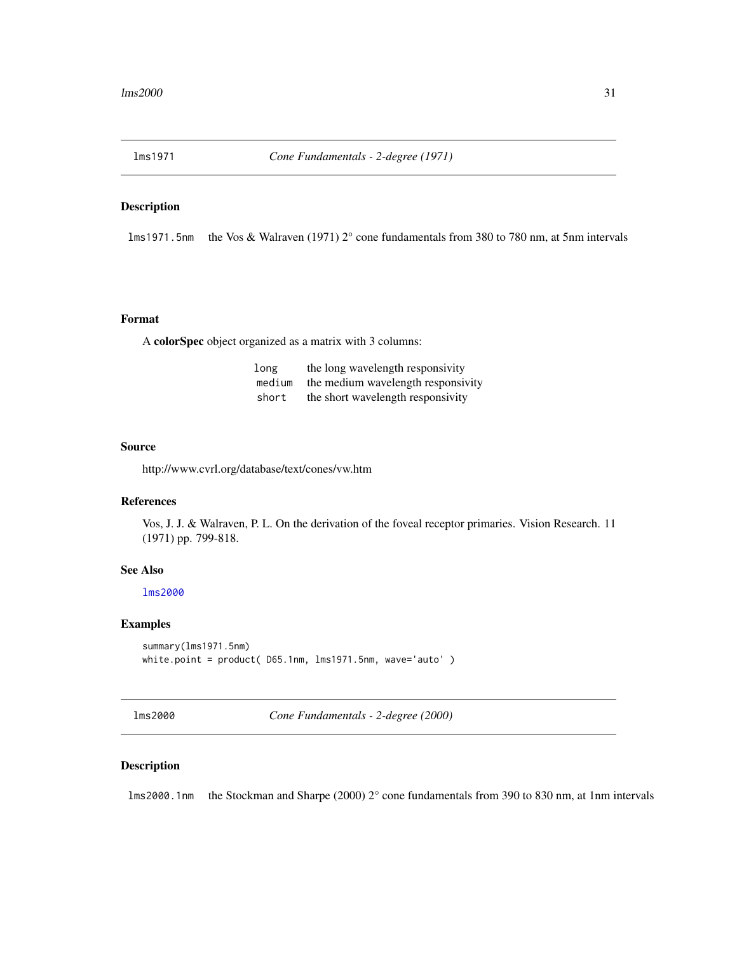<span id="page-30-2"></span><span id="page-30-0"></span>

# Description

lms1971.5nm the Vos & Walraven (1971) 2° cone fundamentals from 380 to 780 nm, at 5nm intervals

# Format

A colorSpec object organized as a matrix with 3 columns:

| long   | the long wavelength responsivity   |
|--------|------------------------------------|
| medium | the medium wavelength responsivity |
| short  | the short wavelength responsivity  |

#### Source

http://www.cvrl.org/database/text/cones/vw.htm

#### References

Vos, J. J. & Walraven, P. L. On the derivation of the foveal receptor primaries. Vision Research. 11 (1971) pp. 799-818.

# See Also

# [lms2000](#page-30-1)

# Examples

```
summary(lms1971.5nm)
white.point = product( D65.1nm, lms1971.5nm, wave='auto' )
```
<span id="page-30-1"></span>lms2000 *Cone Fundamentals - 2-degree (2000)*

# Description

lms2000.1nm the Stockman and Sharpe (2000) 2° cone fundamentals from 390 to 830 nm, at 1nm intervals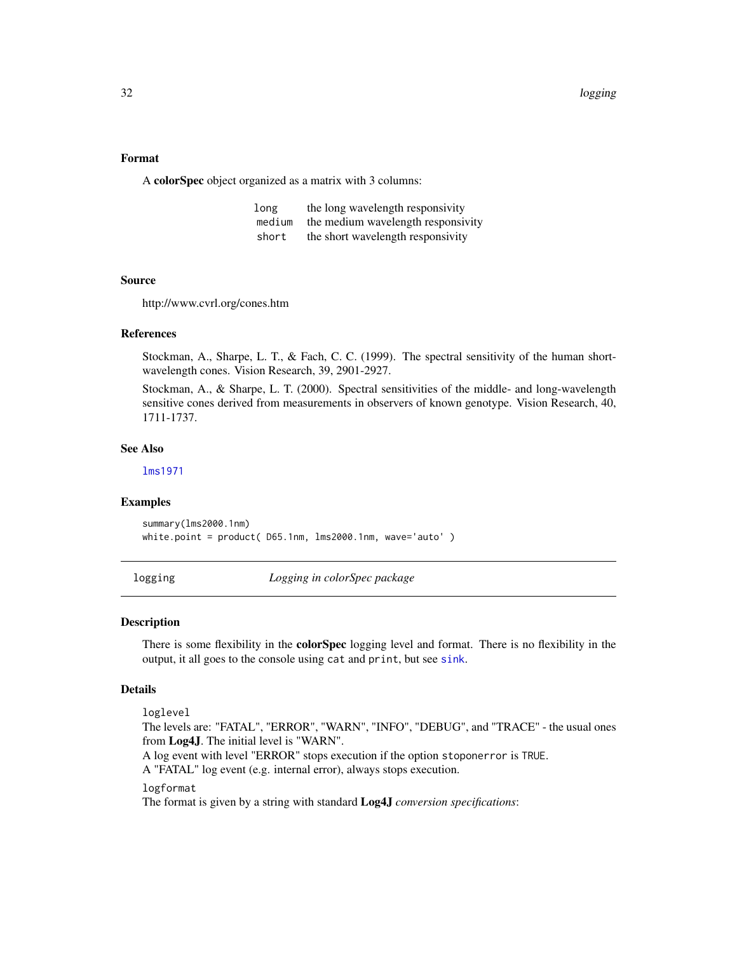# <span id="page-31-0"></span>Format

A colorSpec object organized as a matrix with 3 columns:

| long   | the long wavelength responsivity   |
|--------|------------------------------------|
| medium | the medium wavelength responsivity |
| short  | the short wavelength responsivity  |

#### Source

http://www.cvrl.org/cones.htm

#### References

Stockman, A., Sharpe, L. T., & Fach, C. C. (1999). The spectral sensitivity of the human shortwavelength cones. Vision Research, 39, 2901-2927.

Stockman, A., & Sharpe, L. T. (2000). Spectral sensitivities of the middle- and long-wavelength sensitive cones derived from measurements in observers of known genotype. Vision Research, 40, 1711-1737.

# See Also

[lms1971](#page-30-2)

#### Examples

```
summary(lms2000.1nm)
white.point = product( D65.1nm, lms2000.1nm, wave='auto' )
```
<span id="page-31-1"></span>logging *Logging in colorSpec package*

# Description

There is some flexibility in the **colorSpec** logging level and format. There is no flexibility in the output, it all goes to the console using cat and print, but see [sink](#page-0-0).

# Details

loglevel

The levels are: "FATAL", "ERROR", "WARN", "INFO", "DEBUG", and "TRACE" - the usual ones from Log4J. The initial level is "WARN".

A log event with level "ERROR" stops execution if the option stoponerror is TRUE.

A "FATAL" log event (e.g. internal error), always stops execution.

#### logformat

The format is given by a string with standard Log4J *conversion specifications*: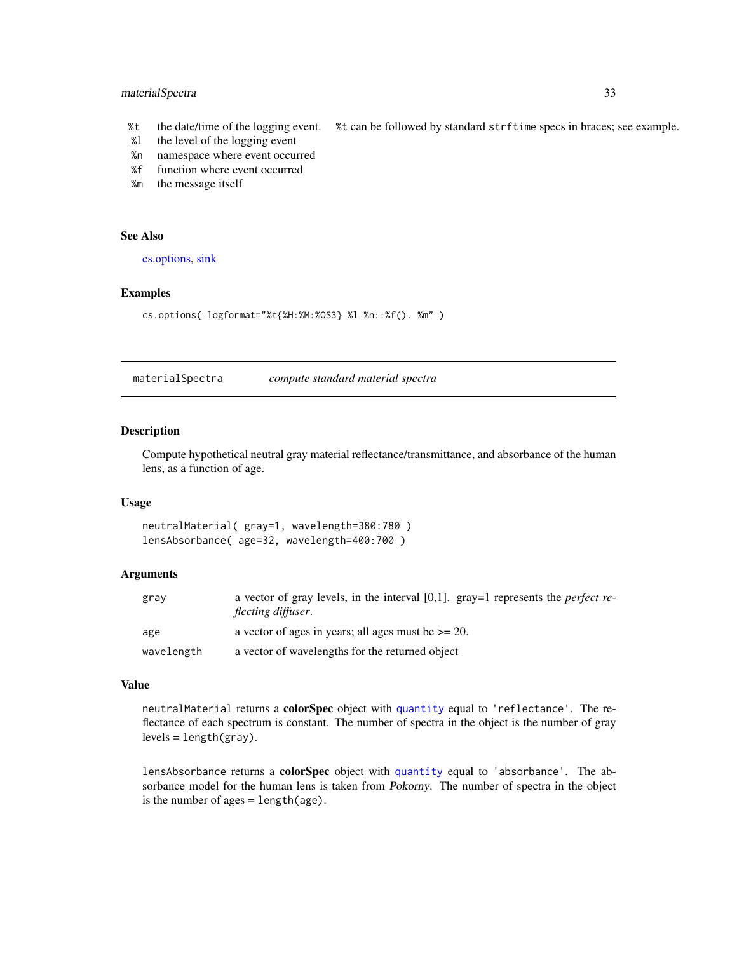# <span id="page-32-0"></span>materialSpectra 33

- %t the date/time of the logging event. %t can be followed by standard strftime specs in braces; see example.
- %l the level of the logging event
- %n namespace where event occurred
- %f function where event occurred
- %m the message itself

# See Also

[cs.options,](#page-16-1) [sink](#page-0-0)

# Examples

cs.options( logformat="%t{%H:%M:%OS3} %l %n::%f(). %m" )

<span id="page-32-2"></span>materialSpectra *compute standard material spectra*

# <span id="page-32-1"></span>**Description**

Compute hypothetical neutral gray material reflectance/transmittance, and absorbance of the human lens, as a function of age.

#### Usage

neutralMaterial( gray=1, wavelength=380:780 ) lensAbsorbance( age=32, wavelength=400:700 )

# Arguments

| gray       | a vector of gray levels, in the interval [0,1]. gray=1 represents the <i>perfect re</i> -<br>flecting diffuser. |
|------------|-----------------------------------------------------------------------------------------------------------------|
| age        | a vector of ages in years; all ages must be $\ge$ = 20.                                                         |
| wavelength | a vector of wavelengths for the returned object                                                                 |

#### Value

neutralMaterial returns a colorSpec object with [quantity](#page-51-1) equal to 'reflectance'. The reflectance of each spectrum is constant. The number of spectra in the object is the number of gray  $levels = length(gray)$ .

lensAbsorbance returns a colorSpec object with [quantity](#page-51-1) equal to 'absorbance'. The absorbance model for the human lens is taken from Pokorny. The number of spectra in the object is the number of  $ages = length(age)$ .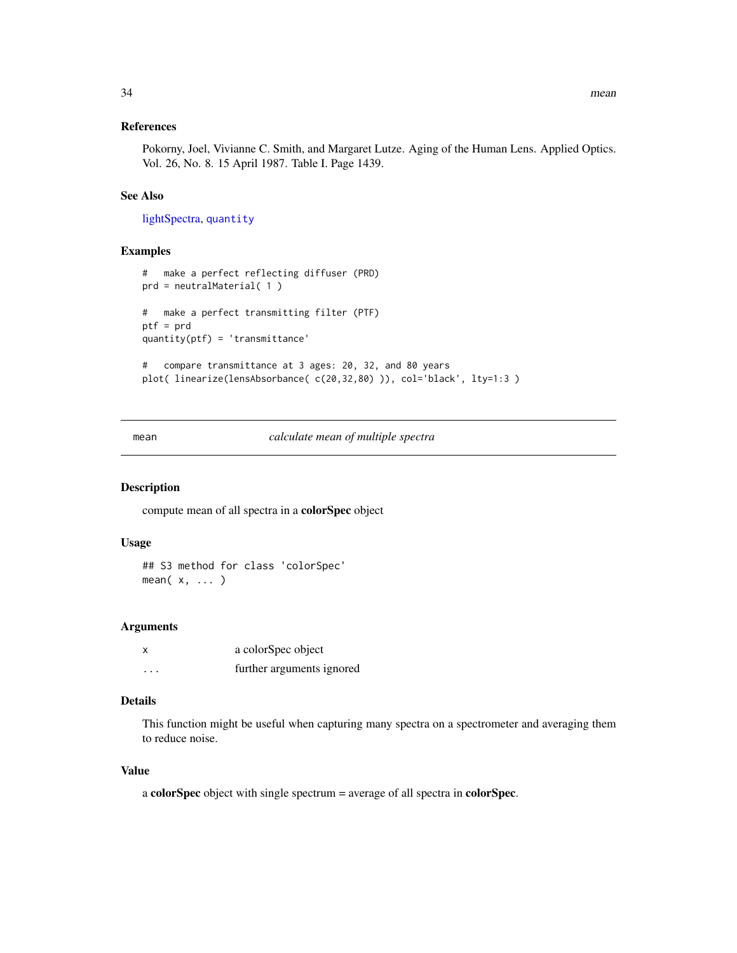# <span id="page-33-0"></span>References

Pokorny, Joel, Vivianne C. Smith, and Margaret Lutze. Aging of the Human Lens. Applied Optics. Vol. 26, No. 8. 15 April 1987. Table I. Page 1439.

# See Also

[lightSpectra,](#page-27-1) [quantity](#page-51-1)

# Examples

```
# make a perfect reflecting diffuser (PRD)
prd = neutralMaterial( 1 )
# make a perfect transmitting filter (PTF)
ptf = prd
quantity(ptf) = 'transmittance'
# compare transmittance at 3 ages: 20, 32, and 80 years
plot( linearize(lensAbsorbance( c(20,32,80) )), col='black', lty=1:3 )
```
mean *calculate mean of multiple spectra*

#### Description

compute mean of all spectra in a colorSpec object

#### Usage

```
## S3 method for class 'colorSpec'
mean(x, \ldots)
```
# Arguments

| X       | a colorSpec object        |
|---------|---------------------------|
| $\cdot$ | further arguments ignored |

# Details

This function might be useful when capturing many spectra on a spectrometer and averaging them to reduce noise.

# Value

a colorSpec object with single spectrum = average of all spectra in colorSpec.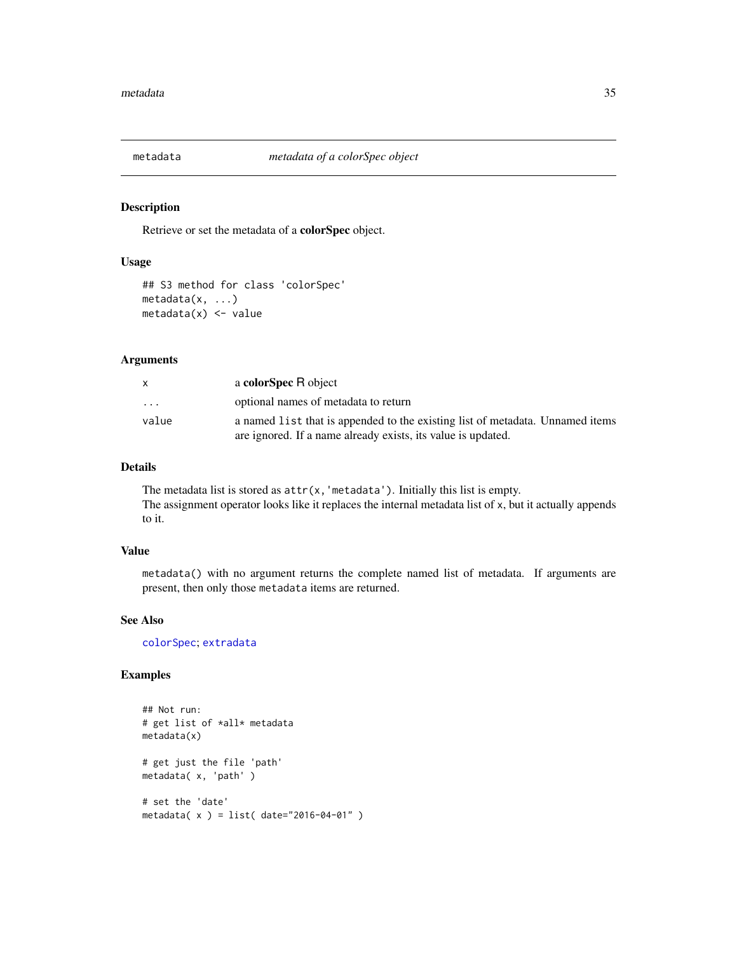<span id="page-34-1"></span><span id="page-34-0"></span>

# Description

Retrieve or set the metadata of a colorSpec object.

# Usage

```
## S3 method for class 'colorSpec'
metadata(x, ...)
metadata(x) < - value
```
# Arguments

| X                       | a colorSpec R object                                                          |
|-------------------------|-------------------------------------------------------------------------------|
| $\cdot$ $\cdot$ $\cdot$ | optional names of metadata to return                                          |
| value                   | a named list that is appended to the existing list of metadata. Unnamed items |
|                         | are ignored. If a name already exists, its value is updated.                  |

# Details

The metadata list is stored as  $attr(x, 'metadata').$  Initially this list is empty. The assignment operator looks like it replaces the internal metadata list of x, but it actually appends to it.

# Value

metadata() with no argument returns the complete named list of metadata. If arguments are present, then only those metadata items are returned.

#### See Also

[colorSpec](#page-8-1); [extradata](#page-22-1)

# Examples

```
## Not run:
# get list of *all* metadata
metadata(x)
# get just the file 'path'
metadata( x, 'path' )
# set the 'date'
metadata( x ) = list( date="2016-04-01" )
```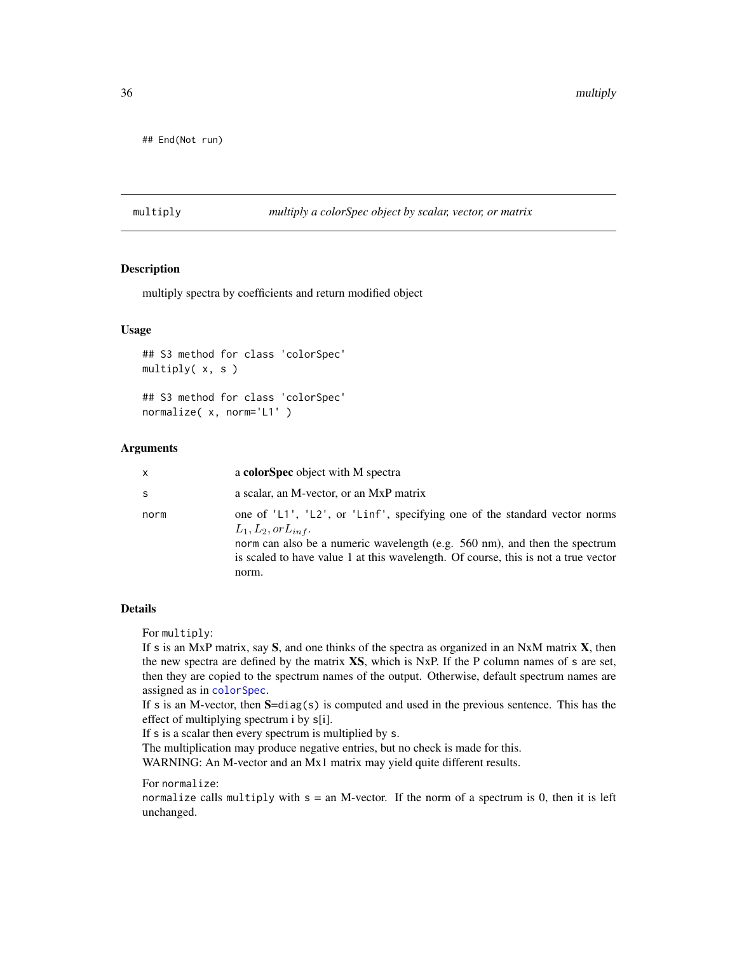<span id="page-35-0"></span>## End(Not run)

# multiply *multiply a colorSpec object by scalar, vector, or matrix*

#### Description

multiply spectra by coefficients and return modified object

# Usage

```
## S3 method for class 'colorSpec'
multiply( x, s )
```
## S3 method for class 'colorSpec' normalize( x, norm='L1' )

# Arguments

| x    | a colorSpec object with M spectra                                                                                                                                                                                                                                                 |
|------|-----------------------------------------------------------------------------------------------------------------------------------------------------------------------------------------------------------------------------------------------------------------------------------|
| S    | a scalar, an M-vector, or an MxP matrix                                                                                                                                                                                                                                           |
| norm | one of 'L1', 'L2', or 'Linf', specifying one of the standard vector norms<br>$L_1, L_2, or L_{inf}.$<br>norm can also be a numeric wavelength (e.g. 560 nm), and then the spectrum<br>is scaled to have value 1 at this wavelength. Of course, this is not a true vector<br>norm. |

# Details

For multiply:

If s is an MxP matrix, say  $S$ , and one thinks of the spectra as organized in an NxM matrix  $X$ , then the new spectra are defined by the matrix XS, which is NxP. If the P column names of s are set, then they are copied to the spectrum names of the output. Otherwise, default spectrum names are assigned as in [colorSpec](#page-8-1).

If s is an M-vector, then  $S=diag(s)$  is computed and used in the previous sentence. This has the effect of multiplying spectrum i by s[i].

If s is a scalar then every spectrum is multiplied by s.

The multiplication may produce negative entries, but no check is made for this.

WARNING: An M-vector and an Mx1 matrix may yield quite different results.

For normalize:

normalize calls multiply with  $s = an M-vector$ . If the norm of a spectrum is 0, then it is left unchanged.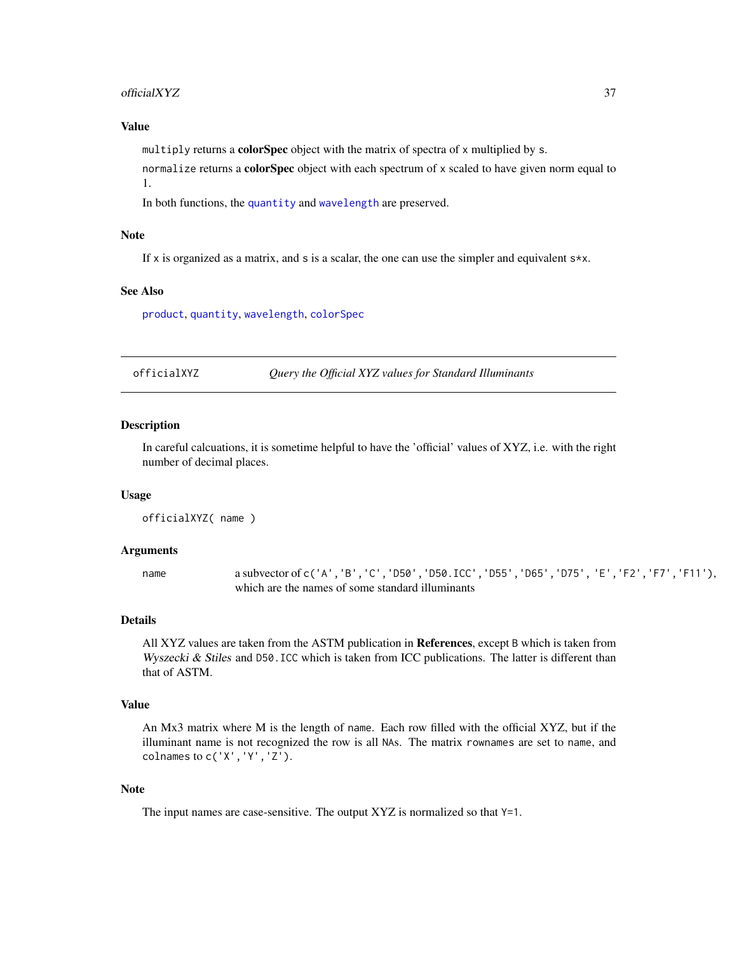#### <span id="page-36-0"></span>officialXYZ 37

# Value

multiply returns a colorSpec object with the matrix of spectra of x multiplied by s.

normalize returns a color $Spec$  object with each spectrum of x scaled to have given norm equal to 1.

In both functions, the [quantity](#page-51-1) and [wavelength](#page-63-1) are preserved.

# **Note**

If x is organized as a matrix, and s is a scalar, the one can use the simpler and equivalent  $s \star x$ .

# See Also

[product](#page-47-1), [quantity](#page-51-1), [wavelength](#page-63-1), [colorSpec](#page-8-1)

<span id="page-36-1"></span>officialXYZ *Query the Official XYZ values for Standard Illuminants*

# **Description**

In careful calcuations, it is sometime helpful to have the 'official' values of XYZ, i.e. with the right number of decimal places.

#### Usage

officialXYZ( name )

#### Arguments

name a subvector of c('A','B','C','D50','D50.ICC','D55','D65','D75','E','F2','F7','F11'), which are the names of some standard illuminants

# Details

All XYZ values are taken from the ASTM publication in References, except B which is taken from Wyszecki  $\&$  Stiles and D50.ICC which is taken from ICC publications. The latter is different than that of ASTM.

#### Value

An Mx3 matrix where M is the length of name. Each row filled with the official XYZ, but if the illuminant name is not recognized the row is all NAs. The matrix rownames are set to name, and colnames to c('X','Y','Z').

# Note

The input names are case-sensitive. The output XYZ is normalized so that Y=1.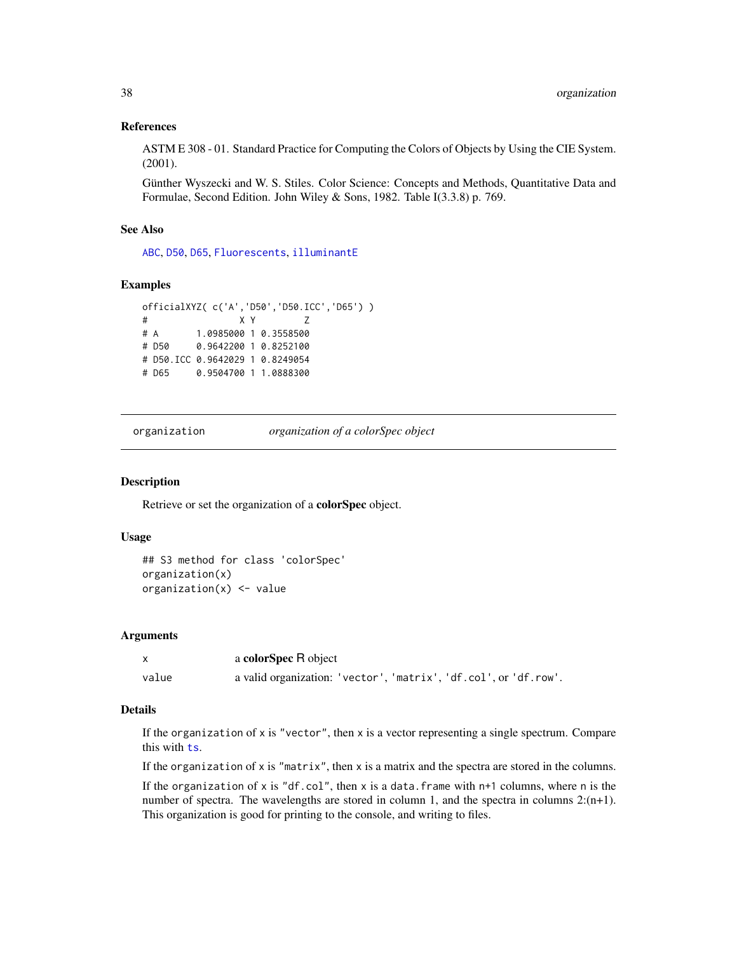# <span id="page-37-0"></span>References

ASTM E 308 - 01. Standard Practice for Computing the Colors of Objects by Using the CIE System. (2001).

Günther Wyszecki and W. S. Stiles. Color Science: Concepts and Methods, Quantitative Data and Formulae, Second Edition. John Wiley & Sons, 1982. Table I(3.3.8) p. 769.

# See Also

[ABC](#page-3-1), [D50](#page-18-1), [D65](#page-19-1), [Fluorescents](#page-24-1), [illuminantE](#page-27-1)

# Examples

```
officialXYZ( c('A','D50','D50.ICC','D65') )
# X Y Z
# A 1.0985000 1 0.3558500
# D50 0.9642200 1 0.8252100
# D50.ICC 0.9642029 1 0.8249054
# D65 0.9504700 1 1.0888300
```
<span id="page-37-1"></span>organization *organization of a colorSpec object*

#### Description

Retrieve or set the organization of a colorSpec object.

# Usage

```
## S3 method for class 'colorSpec'
organization(x)
organization(x) <- value
```
# Arguments

|       | a colorSpec R object                                             |
|-------|------------------------------------------------------------------|
| value | a valid organization: 'vector', 'matrix', 'df.col', or 'df.row'. |

# Details

If the organization of  $x$  is "vector", then  $x$  is a vector representing a single spectrum. Compare this with [ts](#page-0-0).

If the organization of x is "matrix", then x is a matrix and the spectra are stored in the columns.

If the organization of x is "df.col", then x is a data.frame with  $n+1$  columns, where n is the number of spectra. The wavelengths are stored in column 1, and the spectra in columns  $2:(n+1)$ . This organization is good for printing to the console, and writing to files.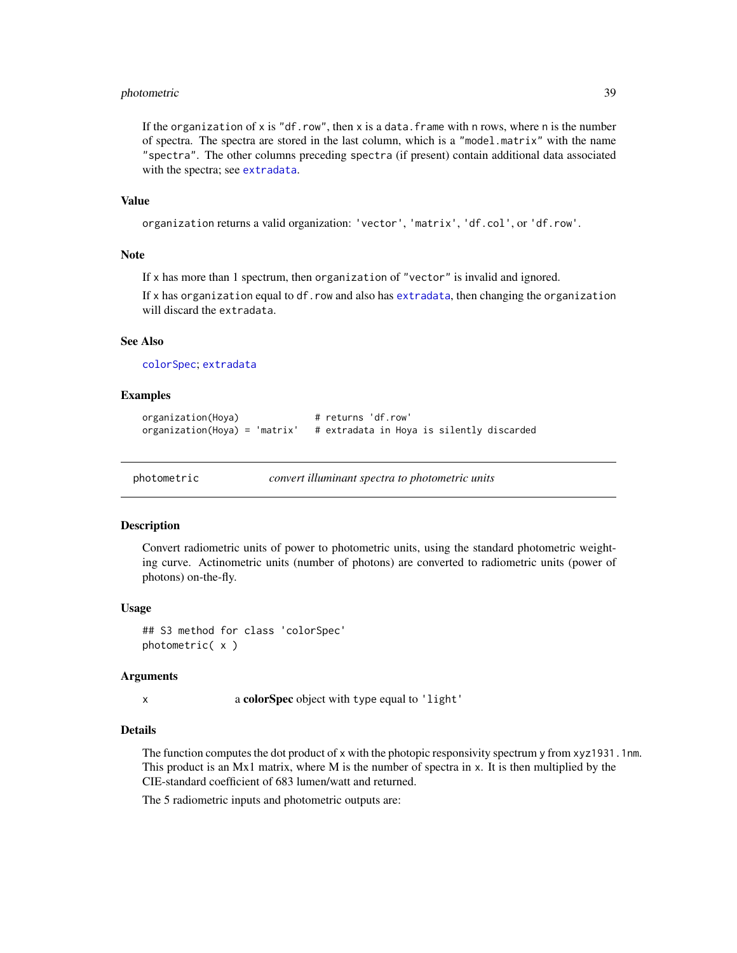# <span id="page-38-0"></span>photometric 39

If the organization of x is "df.row", then x is a data.frame with n rows, where n is the number of spectra. The spectra are stored in the last column, which is a "model.matrix" with the name "spectra". The other columns preceding spectra (if present) contain additional data associated with the spectra; see [extradata](#page-22-1).

# Value

```
organization returns a valid organization: 'vector', 'matrix', 'df.col', or 'df.row'.
```
#### Note

If x has more than 1 spectrum, then organization of "vector" is invalid and ignored.

If x has organization equal to df.row and also has [extradata](#page-22-1), then changing the organization will discard the extradata.

# See Also

[colorSpec](#page-8-1); [extradata](#page-22-1)

#### Examples

```
organization(Hoya) # returns 'df.row'
organization(Hoya) = 'matrix' # extradata in Hoya is silently discarded
```
photometric *convert illuminant spectra to photometric units*

#### Description

Convert radiometric units of power to photometric units, using the standard photometric weighting curve. Actinometric units (number of photons) are converted to radiometric units (power of photons) on-the-fly.

#### Usage

## S3 method for class 'colorSpec' photometric( x )

#### Arguments

x a colorSpec object with type equal to 'light'

#### Details

The function computes the dot product of x with the photopic responsivity spectrum y from xyz1931.1nm. This product is an Mx1 matrix, where M is the number of spectra in  $x$ . It is then multiplied by the CIE-standard coefficient of 683 lumen/watt and returned.

The 5 radiometric inputs and photometric outputs are: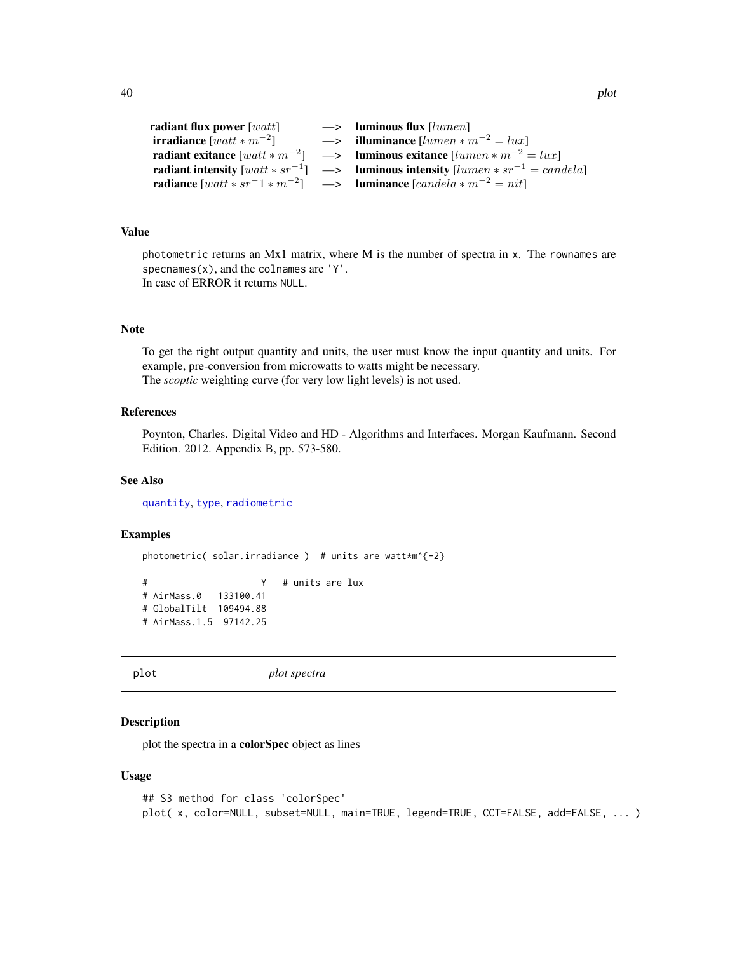```
radiant flux power [wait] \longrightarrow luminous flux [lumen]irradiance [wait * m^{-2}]\rightarrow illuminance [lumen*m^{-2} = lux]radiant exitance [wait * m^{-2}] \longrightarrowluminous exitance [lumen*m^{-2} = lux]radiant intensity [watt * sr^{-1}] \longrightarrowluminous intensity [lumen * sr^{-1} = candela]radiance [watt * sr^{-1} * m^{-2}] \longrightarrow luminance [candela * m^{-2} = nit]
```
# Value

photometric returns an Mx1 matrix, where M is the number of spectra in x. The rownames are specnames $(x)$ , and the colnames are  $'Y'$ . In case of ERROR it returns NULL.

#### Note

To get the right output quantity and units, the user must know the input quantity and units. For example, pre-conversion from microwatts to watts might be necessary. The *scoptic* weighting curve (for very low light levels) is not used.

# References

Poynton, Charles. Digital Video and HD - Algorithms and Interfaces. Morgan Kaufmann. Second Edition. 2012. Appendix B, pp. 573-580.

# See Also

[quantity](#page-51-1), [type](#page-51-2), [radiometric](#page-52-1)

# Examples

```
photometric( solar.irradiance ) # units are watt*m^{-2}
# Y # units are lux
# AirMass.0 133100.41
# GlobalTilt 109494.88
# AirMass.1.5 97142.25
```
plot *plot spectra*

# Description

plot the spectra in a colorSpec object as lines

# Usage

```
## S3 method for class 'colorSpec'
plot( x, color=NULL, subset=NULL, main=TRUE, legend=TRUE, CCT=FALSE, add=FALSE, ... )
```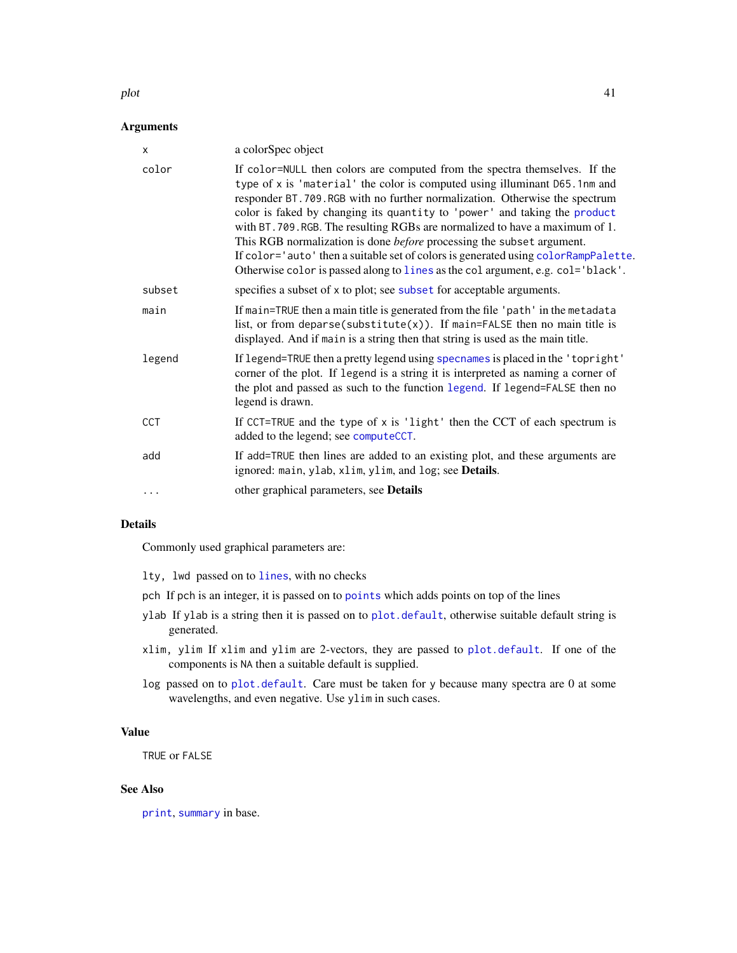#### <span id="page-40-0"></span>plot the same state of the state of the state of the state of the state of the state of the state of the state of the state of the state of the state of the state of the state of the state of the state of the state of the

# Arguments

| X          | a colorSpec object                                                                                                                                                                                                                                                                                                                                                                                                                                                                                                                                                                                                                                           |
|------------|--------------------------------------------------------------------------------------------------------------------------------------------------------------------------------------------------------------------------------------------------------------------------------------------------------------------------------------------------------------------------------------------------------------------------------------------------------------------------------------------------------------------------------------------------------------------------------------------------------------------------------------------------------------|
| color      | If color=NULL then colors are computed from the spectra themselves. If the<br>type of x is 'material' the color is computed using illuminant D65.1nm and<br>responder BT.709.RGB with no further normalization. Otherwise the spectrum<br>color is faked by changing its quantity to 'power' and taking the product<br>with BT. 709. RGB. The resulting RGBs are normalized to have a maximum of 1.<br>This RGB normalization is done <i>before</i> processing the subset argument.<br>If color='auto' then a suitable set of colors is generated using colorRampPalette.<br>Otherwise color is passed along to lines as the col argument, e.g. col='black'. |
| subset     | specifies a subset of x to plot; see subset for acceptable arguments.                                                                                                                                                                                                                                                                                                                                                                                                                                                                                                                                                                                        |
| main       | If main=TRUE then a main title is generated from the file 'path' in the metadata<br>list, or from deparse(substitute(x)). If main=FALSE then no main title is<br>displayed. And if main is a string then that string is used as the main title.                                                                                                                                                                                                                                                                                                                                                                                                              |
| legend     | If legend=TRUE then a pretty legend using specnames is placed in the 'topright'<br>corner of the plot. If legend is a string it is interpreted as naming a corner of<br>the plot and passed as such to the function legend. If legend=FALSE then no<br>legend is drawn.                                                                                                                                                                                                                                                                                                                                                                                      |
| <b>CCT</b> | If CCT=TRUE and the type of x is 'light' then the CCT of each spectrum is<br>added to the legend; see computeCCT.                                                                                                                                                                                                                                                                                                                                                                                                                                                                                                                                            |
| add        | If add=TRUE then lines are added to an existing plot, and these arguments are<br>ignored: main, ylab, xlim, ylim, and log; see Details.                                                                                                                                                                                                                                                                                                                                                                                                                                                                                                                      |
| $\ddots$   | other graphical parameters, see <b>Details</b>                                                                                                                                                                                                                                                                                                                                                                                                                                                                                                                                                                                                               |

# Details

Commonly used graphical parameters are:

- lty, lwd passed on to [lines](#page-0-0), with no checks
- pch If pch is an integer, it is passed on to [points](#page-0-0) which adds points on top of the lines
- ylab If ylab is a string then it is passed on to [plot.default](#page-0-0), otherwise suitable default string is generated.
- xlim, ylim If xlim and ylim are 2-vectors, they are passed to [plot.default](#page-0-0). If one of the components is NA then a suitable default is supplied.
- log passed on to [plot.default](#page-0-0). Care must be taken for y because many spectra are 0 at some wavelengths, and even negative. Use ylim in such cases.

# Value

TRUE or FALSE

# See Also

[print](#page-44-1), [summary](#page-0-0) in base.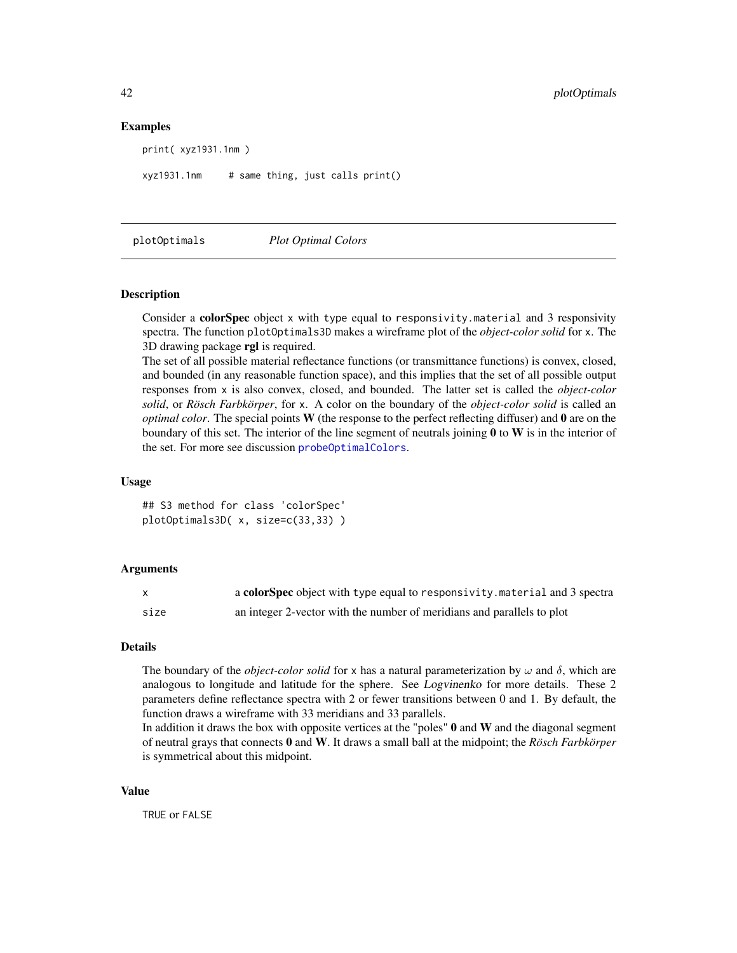# Examples

print( xyz1931.1nm )

 $xyz1931.1nm$  # same thing, just calls print()

plotOptimals *Plot Optimal Colors*

#### Description

Consider a **colorSpec** object x with type equal to responsivity.material and 3 responsivity spectra. The function plotOptimals3D makes a wireframe plot of the *object-color solid* for x. The 3D drawing package rgl is required.

The set of all possible material reflectance functions (or transmittance functions) is convex, closed, and bounded (in any reasonable function space), and this implies that the set of all possible output responses from x is also convex, closed, and bounded. The latter set is called the *object-color solid*, or *Rösch Farbkörper*, for x. A color on the boundary of the *object-color solid* is called an *optimal color*. The special points W (the response to the perfect reflecting diffuser) and 0 are on the boundary of this set. The interior of the line segment of neutrals joining  $\bf{0}$  to  $\bf{W}$  is in the interior of the set. For more see discussion [probeOptimalColors](#page-45-1).

# Usage

## S3 method for class 'colorSpec' plotOptimals3D( x, size=c(33,33) )

# Arguments

| X    | a colorSpec object with type equal to responsivity material and 3 spectra |
|------|---------------------------------------------------------------------------|
| size | an integer 2-vector with the number of meridians and parallels to plot    |

# Details

The boundary of the *object-color solid* for x has a natural parameterization by  $\omega$  and  $\delta$ , which are analogous to longitude and latitude for the sphere. See Logvinenko for more details. These 2 parameters define reflectance spectra with 2 or fewer transitions between 0 and 1. By default, the function draws a wireframe with 33 meridians and 33 parallels.

In addition it draws the box with opposite vertices at the "poles"  $0$  and  $W$  and the diagonal segment of neutral grays that connects 0 and W. It draws a small ball at the midpoint; the *Rösch Farbkörper* is symmetrical about this midpoint.

#### Value

TRUE or FALSE

<span id="page-41-0"></span>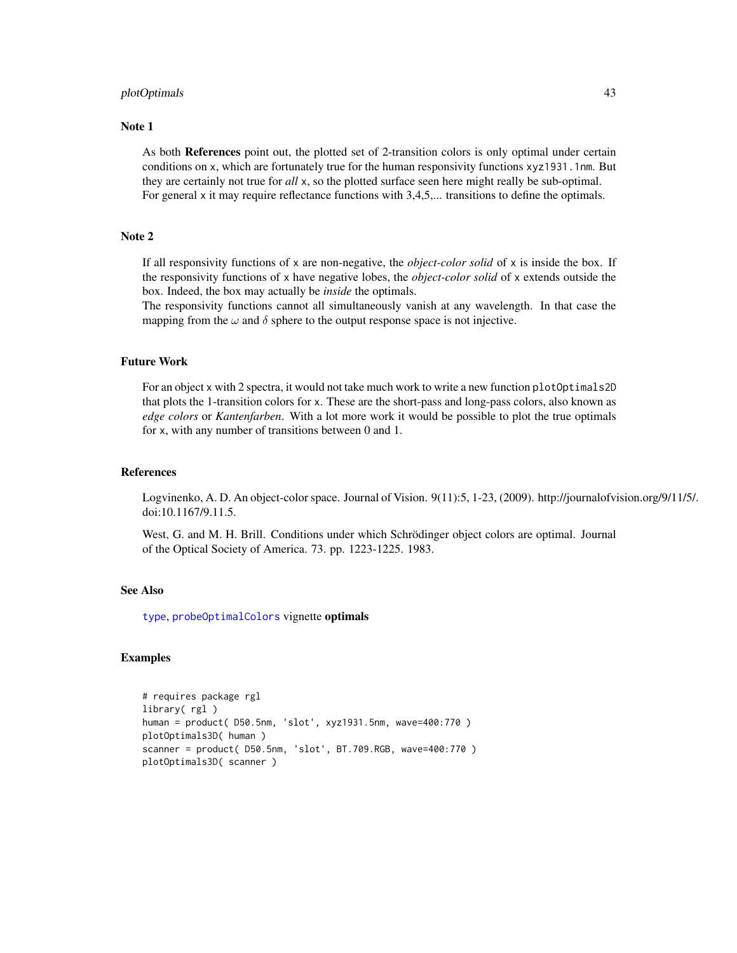#### <span id="page-42-0"></span>plotOptimals 43

# Note 1

As both References point out, the plotted set of 2-transition colors is only optimal under certain conditions on x, which are fortunately true for the human responsivity functions xyz1931.1nm. But they are certainly not true for *all* x, so the plotted surface seen here might really be sub-optimal. For general x it may require reflectance functions with 3,4,5,... transitions to define the optimals.

# Note 2

If all responsivity functions of x are non-negative, the *object-color solid* of x is inside the box. If the responsivity functions of x have negative lobes, the *object-color solid* of x extends outside the box. Indeed, the box may actually be *inside* the optimals.

The responsivity functions cannot all simultaneously vanish at any wavelength. In that case the mapping from the  $\omega$  and  $\delta$  sphere to the output response space is not injective.

# Future Work

For an object x with 2 spectra, it would not take much work to write a new function plotOptimals2D that plots the 1-transition colors for x. These are the short-pass and long-pass colors, also known as *edge colors* or *Kantenfarben*. With a lot more work it would be possible to plot the true optimals for x, with any number of transitions between 0 and 1.

#### References

Logvinenko, A. D. An object-color space. Journal of Vision. 9(11):5, 1-23, (2009). http://journalofvision.org/9/11/5/. doi:10.1167/9.11.5.

West, G. and M. H. Brill. Conditions under which Schrödinger object colors are optimal. Journal of the Optical Society of America. 73. pp. 1223-1225. 1983.

# See Also

[type](#page-51-2), [probeOptimalColors](#page-45-1) vignette optimals

# Examples

```
# requires package rgl
library( rgl )
human = product( D50.5nm, 'slot', xyz1931.5nm, wave=400:770 )
plotOptimals3D( human )
scanner = product( D50.5nm, 'slot', BT.709.RGB, wave=400:770 )
plotOptimals3D( scanner )
```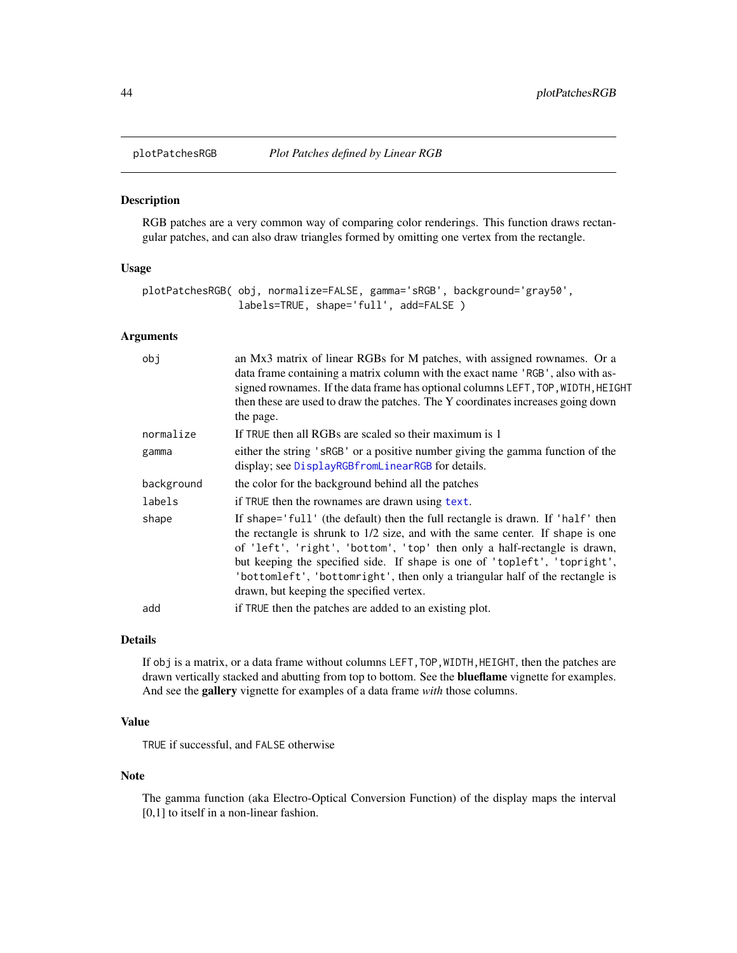<span id="page-43-0"></span>

# Description

RGB patches are a very common way of comparing color renderings. This function draws rectangular patches, and can also draw triangles formed by omitting one vertex from the rectangle.

# Usage

```
plotPatchesRGB( obj, normalize=FALSE, gamma='sRGB', background='gray50',
                labels=TRUE, shape='full', add=FALSE )
```
# Arguments

| obj        | an Mx3 matrix of linear RGBs for M patches, with assigned rownames. Or a<br>data frame containing a matrix column with the exact name 'RGB', also with as-<br>signed rownames. If the data frame has optional columns LEFT, TOP, WIDTH, HEIGHT<br>then these are used to draw the patches. The Y coordinates increases going down<br>the page.                                                                                                        |
|------------|-------------------------------------------------------------------------------------------------------------------------------------------------------------------------------------------------------------------------------------------------------------------------------------------------------------------------------------------------------------------------------------------------------------------------------------------------------|
| normalize  | If TRUE then all RGBs are scaled so their maximum is 1                                                                                                                                                                                                                                                                                                                                                                                                |
| gamma      | either the string 'sRGB' or a positive number giving the gamma function of the<br>display; see DisplayRGBfromLinearRGB for details.                                                                                                                                                                                                                                                                                                                   |
| background | the color for the background behind all the patches                                                                                                                                                                                                                                                                                                                                                                                                   |
| labels     | if TRUE then the rownames are drawn using text.                                                                                                                                                                                                                                                                                                                                                                                                       |
| shape      | If shape='full' (the default) then the full rectangle is drawn. If 'half' then<br>the rectangle is shrunk to 1/2 size, and with the same center. If shape is one<br>of 'left', 'right', 'bottom', 'top' then only a half-rectangle is drawn,<br>but keeping the specified side. If shape is one of 'topleft', 'topright',<br>'bottomleft', 'bottomright', then only a triangular half of the rectangle is<br>drawn, but keeping the specified vertex. |
| add        | if TRUE then the patches are added to an existing plot.                                                                                                                                                                                                                                                                                                                                                                                               |

# Details

If obj is a matrix, or a data frame without columns LEFT,TOP,WIDTH,HEIGHT, then the patches are drawn vertically stacked and abutting from top to bottom. See the **blueflame** vignette for examples. And see the gallery vignette for examples of a data frame *with* those columns.

# Value

TRUE if successful, and FALSE otherwise

# Note

The gamma function (aka Electro-Optical Conversion Function) of the display maps the interval [0,1] to itself in a non-linear fashion.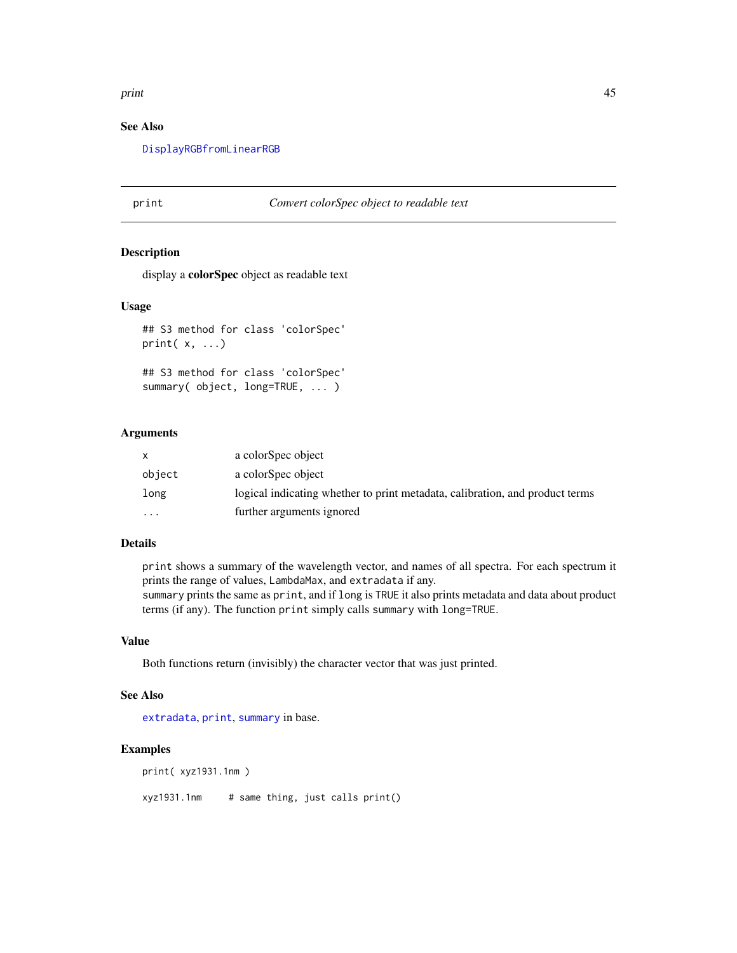#### <span id="page-44-0"></span>print that the contract of the contract of the contract of the contract of the contract of the contract of the contract of the contract of the contract of the contract of the contract of the contract of the contract of the

# See Also

[DisplayRGBfromLinearRGB](#page-21-1)

# <span id="page-44-1"></span>print *Convert colorSpec object to readable text*

# Description

display a colorSpec object as readable text

#### Usage

```
## S3 method for class 'colorSpec'
print( x, ...)
```

```
## S3 method for class 'colorSpec'
summary( object, long=TRUE, ... )
```
# Arguments

| $\mathsf{x}$ | a colorSpec object                                                           |
|--------------|------------------------------------------------------------------------------|
| object       | a colorSpec object                                                           |
| long         | logical indicating whether to print metadata, calibration, and product terms |
| $\cdot$      | further arguments ignored                                                    |

# Details

print shows a summary of the wavelength vector, and names of all spectra. For each spectrum it prints the range of values, LambdaMax, and extradata if any. summary prints the same as print, and if long is TRUE it also prints metadata and data about product terms (if any). The function print simply calls summary with long=TRUE.

# Value

Both functions return (invisibly) the character vector that was just printed.

# See Also

[extradata](#page-22-1), [print](#page-44-1), [summary](#page-0-0) in base.

#### Examples

print( xyz1931.1nm )

xyz1931.1nm # same thing, just calls print()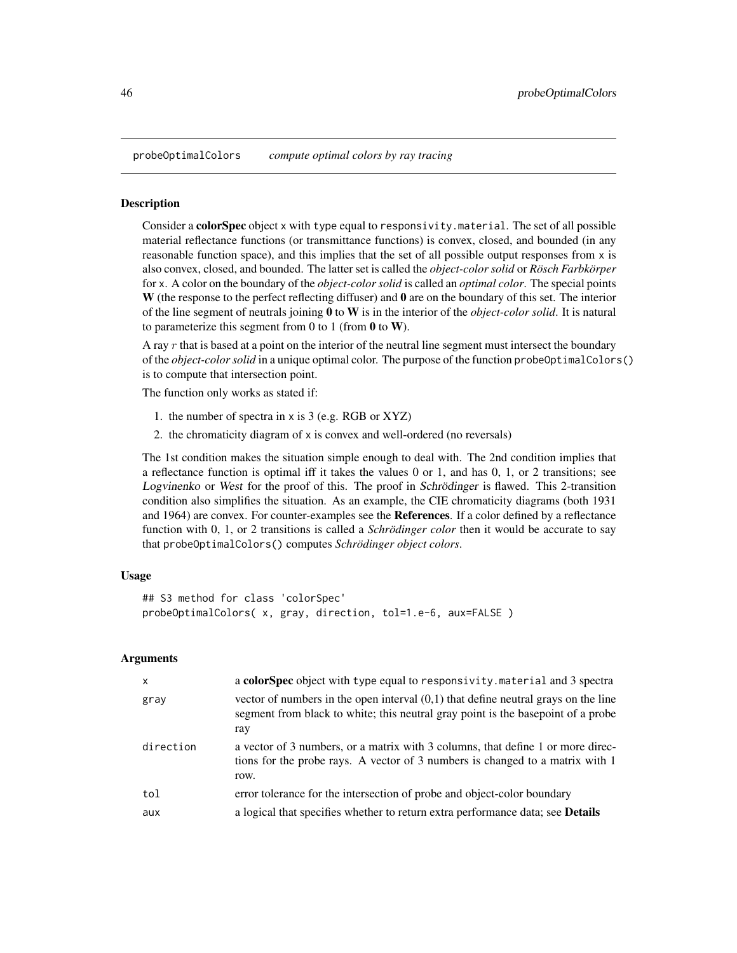<span id="page-45-1"></span><span id="page-45-0"></span>probeOptimalColors *compute optimal colors by ray tracing*

#### **Description**

Consider a colorSpec object x with type equal to responsivity.material. The set of all possible material reflectance functions (or transmittance functions) is convex, closed, and bounded (in any reasonable function space), and this implies that the set of all possible output responses from x is also convex, closed, and bounded. The latter set is called the *object-color solid* or *Rösch Farbkörper* for x. A color on the boundary of the *object-color solid* is called an *optimal color*. The special points W (the response to the perfect reflecting diffuser) and  $\bf{0}$  are on the boundary of this set. The interior of the line segment of neutrals joining 0 to W is in the interior of the *object-color solid*. It is natural to parameterize this segment from 0 to 1 (from 0 to W).

A ray  $r$  that is based at a point on the interior of the neutral line segment must intersect the boundary of the *object-color solid* in a unique optimal color. The purpose of the function probeOptimalColors() is to compute that intersection point.

The function only works as stated if:

- 1. the number of spectra in x is 3 (e.g. RGB or XYZ)
- 2. the chromaticity diagram of x is convex and well-ordered (no reversals)

The 1st condition makes the situation simple enough to deal with. The 2nd condition implies that a reflectance function is optimal iff it takes the values 0 or 1, and has 0, 1, or 2 transitions; see Logvinenko or West for the proof of this. The proof in Schrödinger is flawed. This 2-transition condition also simplifies the situation. As an example, the CIE chromaticity diagrams (both 1931 and 1964) are convex. For counter-examples see the References. If a color defined by a reflectance function with 0, 1, or 2 transitions is called a *Schrödinger color* then it would be accurate to say that probeOptimalColors() computes *Schrödinger object colors*.

# Usage

```
## S3 method for class 'colorSpec'
probeOptimalColors( x, gray, direction, tol=1.e-6, aux=FALSE )
```
# Arguments

| x         | a colorSpec object with type equal to responsivity. material and 3 spectra                                                                                                      |
|-----------|---------------------------------------------------------------------------------------------------------------------------------------------------------------------------------|
| gray      | vector of numbers in the open interval $(0,1)$ that define neutral grays on the line<br>segment from black to white; this neutral gray point is the basepoint of a probe<br>ray |
| direction | a vector of 3 numbers, or a matrix with 3 columns, that define 1 or more direc-<br>tions for the probe rays. A vector of 3 numbers is changed to a matrix with 1<br>row.        |
| tol       | error tolerance for the intersection of probe and object-color boundary                                                                                                         |
| aux       | a logical that specifies whether to return extra performance data; see <b>Details</b>                                                                                           |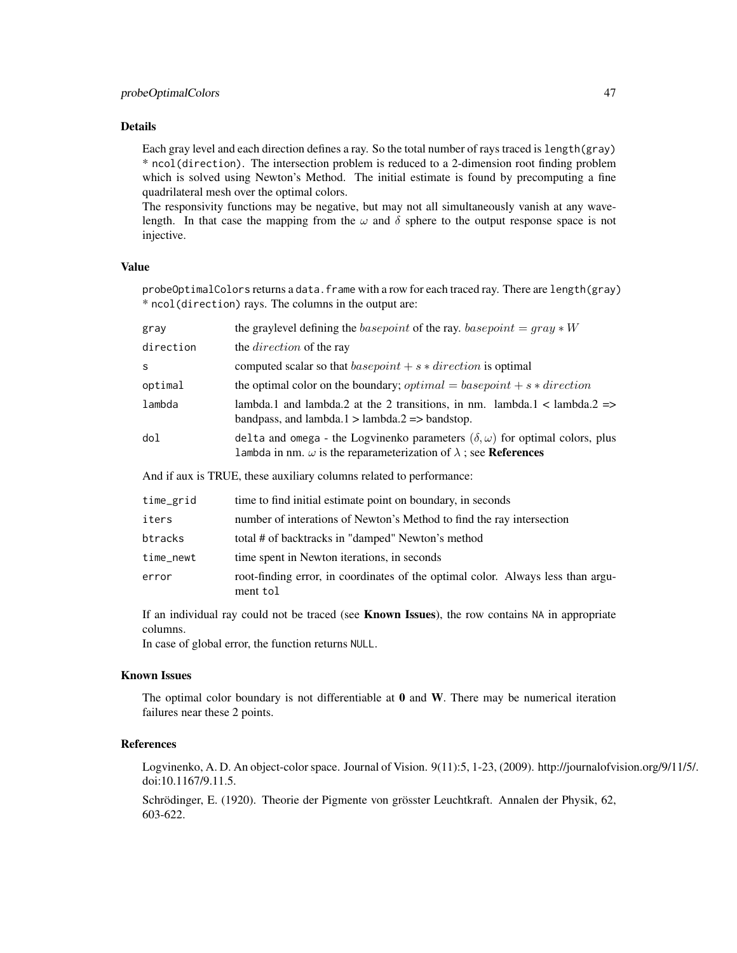# Details

Each gray level and each direction defines a ray. So the total number of rays traced is length(gray) \* ncol(direction). The intersection problem is reduced to a 2-dimension root finding problem which is solved using Newton's Method. The initial estimate is found by precomputing a fine quadrilateral mesh over the optimal colors.

The responsivity functions may be negative, but may not all simultaneously vanish at any wavelength. In that case the mapping from the  $\omega$  and  $\delta$  sphere to the output response space is not injective.

# Value

probeOptimalColors returns a data.frame with a row for each traced ray. There are length(gray) \* ncol(direction) rays. The columns in the output are:

| gray      | the graylevel defining the <i>basepoint</i> of the ray. <i>basepoint</i> = $gray*W$                                                                                              |
|-----------|----------------------------------------------------------------------------------------------------------------------------------------------------------------------------------|
| direction | the <i>direction</i> of the ray                                                                                                                                                  |
| s         | computed scalar so that $basepoint + s * direction$ is optimal                                                                                                                   |
| optimal   | the optimal color on the boundary; <i>optimal</i> = basepoint + $s * direction$                                                                                                  |
| lambda    | lambda.1 and lambda.2 at the 2 transitions, in nm. lambda.1 < lambda.2 =><br>bandpass, and $lambda.1 > lambda.2 \implies$ bandstop.                                              |
| dol       | delta and omega - the Logvinenko parameters $(\delta, \omega)$ for optimal colors, plus<br>lambda in nm. $\omega$ is the reparameterization of $\lambda$ ; see <b>References</b> |
|           | And if aux is TRUE, these auxiliary columns related to performance:                                                                                                              |
| time_grid | time to find initial estimate point on boundary, in seconds                                                                                                                      |
| iters     | number of interations of Newton's Method to find the ray intersection                                                                                                            |
| btracks   | total # of backtracks in "damped" Newton's method                                                                                                                                |
| time_newt | time spent in Newton iterations, in seconds                                                                                                                                      |
| error     | root-finding error, in coordinates of the optimal color. Always less than argu-                                                                                                  |

If an individual ray could not be traced (see **Known Issues**), the row contains NA in appropriate columns.

In case of global error, the function returns NULL.

ment tol

# Known Issues

The optimal color boundary is not differentiable at  $\bf{0}$  and  $\bf{W}$ . There may be numerical iteration failures near these 2 points.

# References

Logvinenko, A. D. An object-color space. Journal of Vision. 9(11):5, 1-23, (2009). http://journalofvision.org/9/11/5/. doi:10.1167/9.11.5.

Schrödinger, E. (1920). Theorie der Pigmente von grösster Leuchtkraft. Annalen der Physik, 62, 603-622.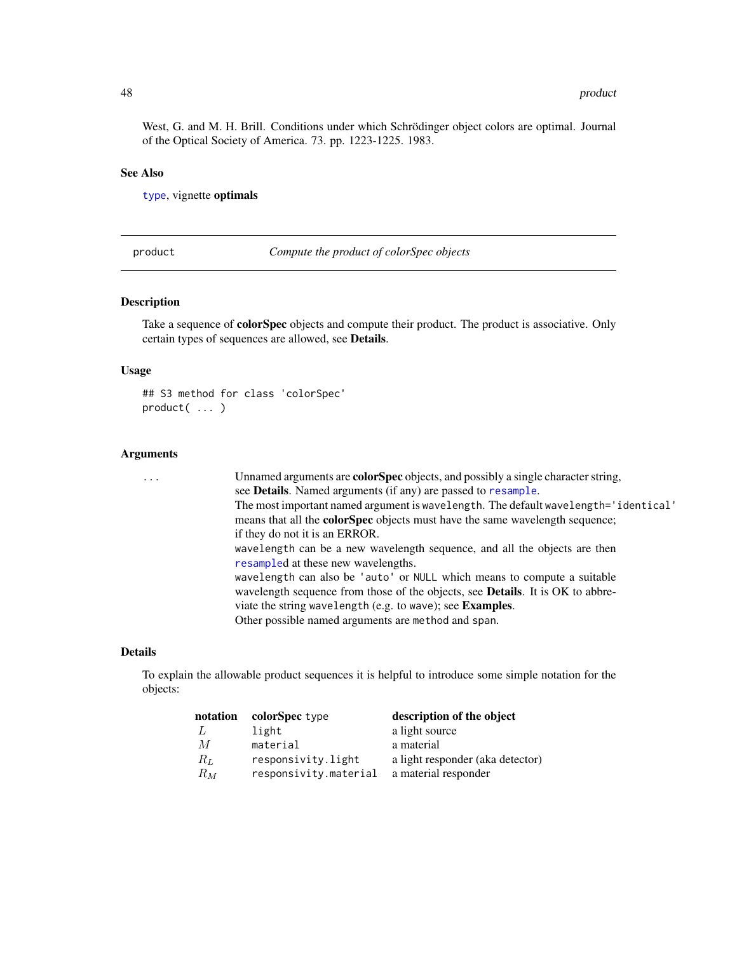<span id="page-47-0"></span>West, G. and M. H. Brill. Conditions under which Schrödinger object colors are optimal. Journal of the Optical Society of America. 73. pp. 1223-1225. 1983.

# See Also

[type](#page-51-2), vignette optimals

<span id="page-47-1"></span>product *Compute the product of colorSpec objects*

#### **Description**

Take a sequence of **colorSpec** objects and compute their product. The product is associative. Only certain types of sequences are allowed, see Details.

#### Usage

```
## S3 method for class 'colorSpec'
product( ... )
```
#### Arguments

... Unnamed arguments are **colorSpec** objects, and possibly a single character string, see Details. Named arguments (if any) are passed to [resample](#page-56-1). The most important named argument is wavelength. The default wavelength='identical' means that all the colorSpec objects must have the same wavelength sequence; if they do not it is an ERROR. wavelength can be a new wavelength sequence, and all the objects are then [resample](#page-56-1)d at these new wavelengths. wavelength can also be 'auto' or NULL which means to compute a suitable wavelength sequence from those of the objects, see Details. It is OK to abbreviate the string wavelength (e.g. to wave); see Examples. Other possible named arguments are method and span.

#### Details

To explain the allowable product sequences it is helpful to introduce some simple notation for the objects:

| notation | colorSpec type        | description of the object        |
|----------|-----------------------|----------------------------------|
| - L      | light                 | a light source                   |
| M        | material              | a material                       |
| $R_L$    | responsivity.light    | a light responder (aka detector) |
| $R_M$    | responsivity.material | a material responder             |
|          |                       |                                  |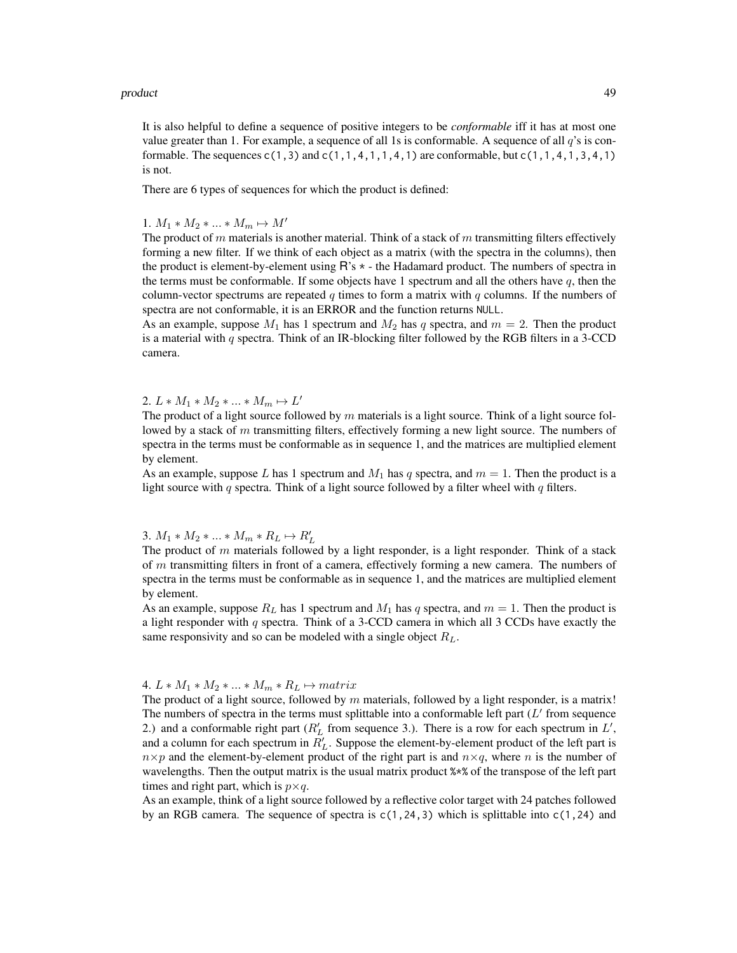#### product the contract of the contract of the contract of the contract of the contract of the contract of the contract of the contract of the contract of the contract of the contract of the contract of the contract of the co

It is also helpful to define a sequence of positive integers to be *conformable* iff it has at most one value greater than 1. For example, a sequence of all 1s is conformable. A sequence of all  $q$ 's is conformable. The sequences  $c(1,3)$  and  $c(1,1,4,1,1,4,1)$  are conformable, but  $c(1,1,4,1,3,4,1)$ is not.

There are 6 types of sequences for which the product is defined:

1.  $M_1 * M_2 * ... * M_m \mapsto M'$ 

The product of m materials is another material. Think of a stack of m transmitting filters effectively forming a new filter. If we think of each object as a matrix (with the spectra in the columns), then the product is element-by-element using  $R$ 's  $*$  - the Hadamard product. The numbers of spectra in the terms must be conformable. If some objects have 1 spectrum and all the others have  $q$ , then the column-vector spectrums are repeated q times to form a matrix with q columns. If the numbers of spectra are not conformable, it is an ERROR and the function returns NULL.

As an example, suppose  $M_1$  has 1 spectrum and  $M_2$  has q spectra, and  $m = 2$ . Then the product is a material with  $q$  spectra. Think of an IR-blocking filter followed by the RGB filters in a 3-CCD camera.

# 2.  $L * M_1 * M_2 * ... * M_m \mapsto L'$

The product of a light source followed by  $m$  materials is a light source. Think of a light source followed by a stack of  $m$  transmitting filters, effectively forming a new light source. The numbers of spectra in the terms must be conformable as in sequence 1, and the matrices are multiplied element by element.

As an example, suppose L has 1 spectrum and  $M_1$  has q spectra, and  $m = 1$ . Then the product is a light source with q spectra. Think of a light source followed by a filter wheel with q filters.

# 3.  $M_1 * M_2 * ... * M_m * R_L \mapsto R'_L$

The product of  $m$  materials followed by a light responder, is a light responder. Think of a stack of  $m$  transmitting filters in front of a camera, effectively forming a new camera. The numbers of spectra in the terms must be conformable as in sequence 1, and the matrices are multiplied element by element.

As an example, suppose  $R_L$  has 1 spectrum and  $M_1$  has q spectra, and  $m = 1$ . Then the product is a light responder with  $q$  spectra. Think of a 3-CCD camera in which all 3 CCDs have exactly the same responsivity and so can be modeled with a single object  $R_L$ .

### 4.  $L * M_1 * M_2 * ... * M_m * R_L \mapsto matrix$

The product of a light source, followed by  $m$  materials, followed by a light responder, is a matrix! The numbers of spectra in the terms must splittable into a conformable left part  $(L'$  from sequence 2.) and a conformable right part ( $R'_L$  from sequence 3.). There is a row for each spectrum in  $L'$ , and a column for each spectrum in  $R'_L$ . Suppose the element-by-element product of the left part is  $n \times p$  and the element-by-element product of the right part is and  $n \times q$ , where n is the number of wavelengths. Then the output matrix is the usual matrix product %\*% of the transpose of the left part times and right part, which is  $p \times q$ .

As an example, think of a light source followed by a reflective color target with 24 patches followed by an RGB camera. The sequence of spectra is  $c(1,24,3)$  which is splittable into  $c(1,24)$  and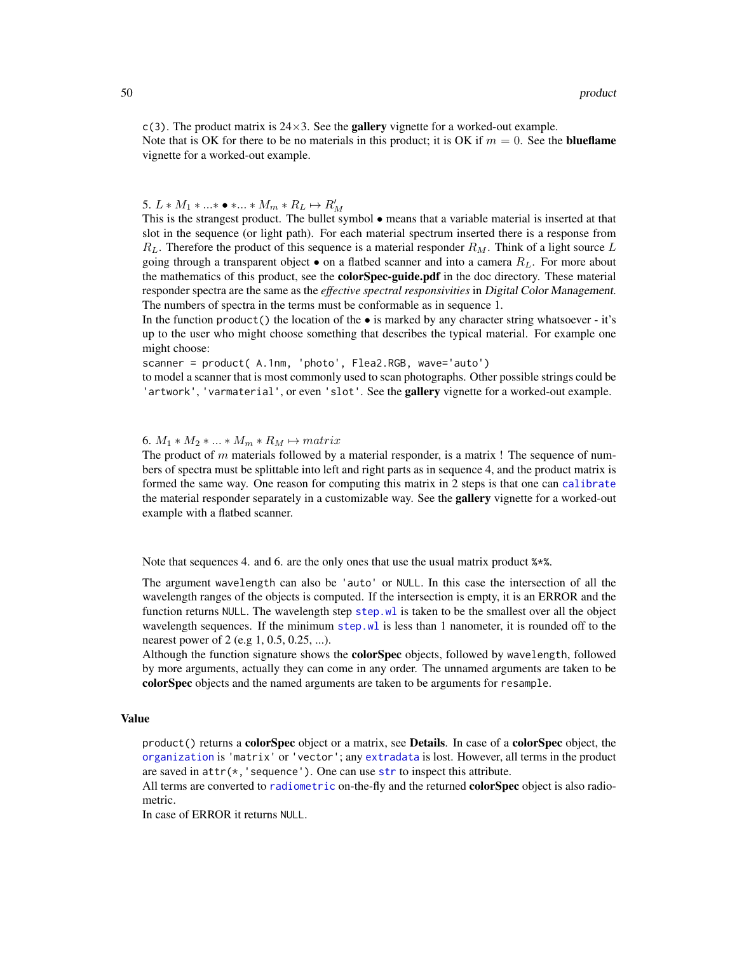<span id="page-49-0"></span> $c(3)$ . The product matrix is  $24\times3$ . See the **gallery** vignette for a worked-out example. Note that is OK for there to be no materials in this product; it is OK if  $m = 0$ . See the **blueflame** vignette for a worked-out example.

5.  $L * M_1 * ... * \bullet * ... * M_m * R_L \mapsto R'_M$ 

This is the strangest product. The bullet symbol • means that a variable material is inserted at that slot in the sequence (or light path). For each material spectrum inserted there is a response from  $R_L$ . Therefore the product of this sequence is a material responder  $R_M$ . Think of a light source L going through a transparent object  $\bullet$  on a flatbed scanner and into a camera  $R<sub>L</sub>$ . For more about the mathematics of this product, see the **colorSpec-guide.pdf** in the doc directory. These material responder spectra are the same as the *effective spectral responsivities* in Digital Color Management. The numbers of spectra in the terms must be conformable as in sequence 1.

In the function product () the location of the  $\bullet$  is marked by any character string whatsoever - it's up to the user who might choose something that describes the typical material. For example one might choose:

scanner = product( A.1nm, 'photo', Flea2.RGB, wave='auto')

to model a scanner that is most commonly used to scan photographs. Other possible strings could be 'artwork', 'varmaterial', or even 'slot'. See the **gallery** vignette for a worked-out example.

#### 6.  $M_1 * M_2 * ... * M_m * R_M \mapsto matrix$

The product of  $m$  materials followed by a material responder, is a matrix ! The sequence of numbers of spectra must be splittable into left and right parts as in sequence 4, and the product matrix is formed the same way. One reason for computing this matrix in 2 steps is that one can [calibrate](#page-5-1) the material responder separately in a customizable way. See the **gallery** vignette for a worked-out example with a flatbed scanner.

Note that sequences 4. and 6. are the only ones that use the usual matrix product  $\frac{1}{2}$ .

The argument wavelength can also be 'auto' or NULL. In this case the intersection of all the wavelength ranges of the objects is computed. If the intersection is empty, it is an ERROR and the function returns NULL. The wavelength step [step.wl](#page-63-2) is taken to be the smallest over all the object wavelength sequences. If the minimum [step.wl](#page-63-2) is less than 1 nanometer, it is rounded off to the nearest power of 2 (e.g 1, 0.5, 0.25, ...).

Although the function signature shows the **colorSpec** objects, followed by wavelength, followed by more arguments, actually they can come in any order. The unnamed arguments are taken to be colorSpec objects and the named arguments are taken to be arguments for resample.

# Value

 $product()$  returns a **colorSpec** object or a matrix, see **Details**. In case of a **colorSpec** object, the [organization](#page-37-1) is 'matrix' or 'vector'; any [extradata](#page-22-1) is lost. However, all terms in the product are saved in  $attr(*, 'sequence').$  One can use [str](#page-0-0) to inspect this attribute.

All terms are converted to [radiometric](#page-52-1) on-the-fly and the returned colorSpec object is also radiometric.

In case of ERROR it returns NULL.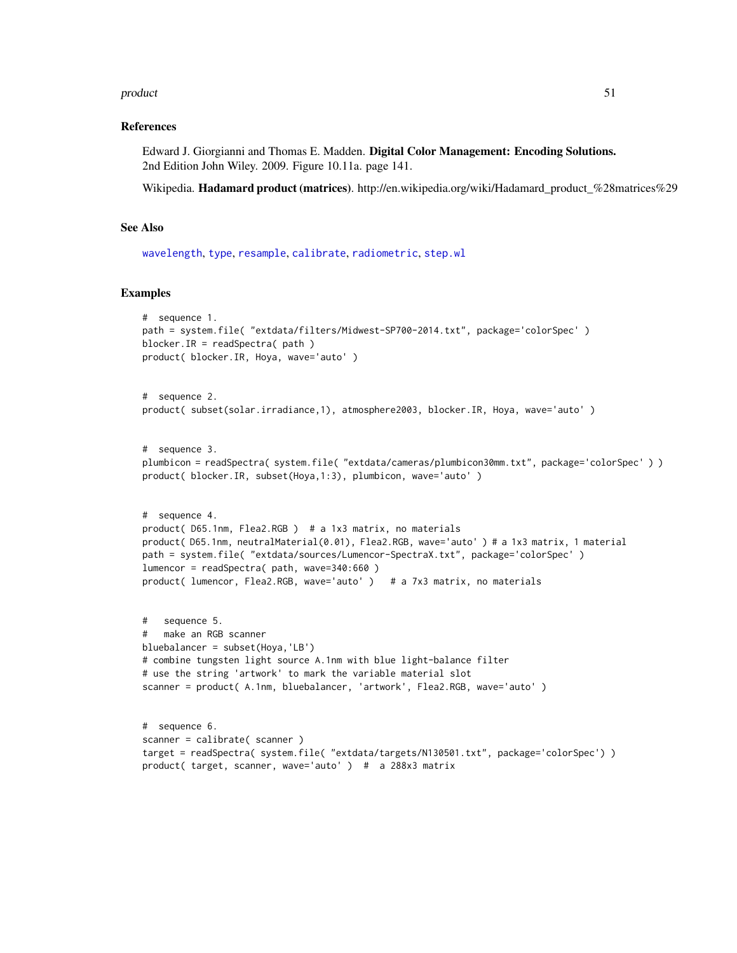#### <span id="page-50-0"></span>product 51

# References

Edward J. Giorgianni and Thomas E. Madden. Digital Color Management: Encoding Solutions. 2nd Edition John Wiley. 2009. Figure 10.11a. page 141.

Wikipedia. Hadamard product (matrices). http://en.wikipedia.org/wiki/Hadamard\_product\_%28matrices%29

#### See Also

```
wavelength, type, resample, calibrate, radiometric, step.wl
```
#### Examples

```
# sequence 1.
path = system.file( "extdata/filters/Midwest-SP700-2014.txt", package='colorSpec' )
blocker.IR = readSpectra( path )
product( blocker.IR, Hoya, wave='auto' )
# sequence 2.
product( subset(solar.irradiance,1), atmosphere2003, blocker.IR, Hoya, wave='auto' )
# sequence 3.
plumbicon = readSpectra( system.file( "extdata/cameras/plumbicon30mm.txt", package='colorSpec'))
product( blocker.IR, subset(Hoya,1:3), plumbicon, wave='auto')
# sequence 4.
product( D65.1nm, Flea2.RGB ) # a 1x3 matrix, no materials
product( D65.1nm, neutralMaterial(0.01), Flea2.RGB, wave='auto' ) # a 1x3 matrix, 1 material
path = system.file( "extdata/sources/Lumencor-SpectraX.txt", package='colorSpec' )
lumencor = readSpectra( path, wave=340:660 )
product( lumencor, Flea2.RGB, wave='auto' ) # a 7x3 matrix, no materials
```

```
# sequence 5.
   make an RGB scanner
bluebalancer = subset(Hoya,'LB')
# combine tungsten light source A.1nm with blue light-balance filter
# use the string 'artwork' to mark the variable material slot
scanner = product( A.1nm, bluebalancer, 'artwork', Flea2.RGB, wave='auto' )
# sequence 6.
scanner = calibrate( scanner )
```

```
target = readSpectra( system.file( "extdata/targets/N130501.txt", package='colorSpec') )
product( target, scanner, wave='auto' ) # a 288x3 matrix
```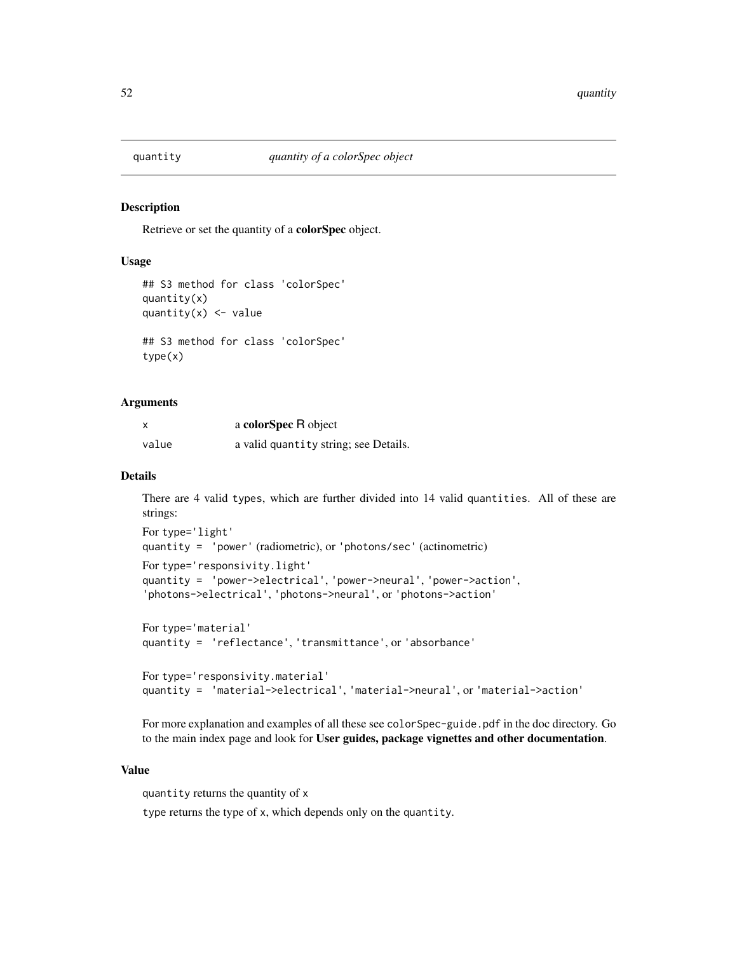<span id="page-51-1"></span><span id="page-51-0"></span>

#### <span id="page-51-2"></span>Description

Retrieve or set the quantity of a colorSpec object.

# Usage

```
## S3 method for class 'colorSpec'
quantity(x)
quantity(x) <- value
## S3 method for class 'colorSpec'
type(x)
```
#### Arguments

| X     | a colorSpec R object                  |
|-------|---------------------------------------|
| value | a valid quantity string; see Details. |

#### Details

There are 4 valid types, which are further divided into 14 valid quantities. All of these are strings:

```
For type='light'
quantity = 'power' (radiometric), or 'photons/sec' (actinometric)
For type='responsivity.light'
quantity = 'power->electrical', 'power->neural', 'power->action',
'photons->electrical', 'photons->neural', or 'photons->action'
```

```
For type='material'
quantity = 'reflectance', 'transmittance', or 'absorbance'
```

```
For type='responsivity.material'
quantity = 'material->electrical', 'material->neural', or 'material->action'
```
For more explanation and examples of all these see colorSpec-guide.pdf in the doc directory. Go to the main index page and look for User guides, package vignettes and other documentation.

# Value

quantity returns the quantity of x

type returns the type of x, which depends only on the quantity.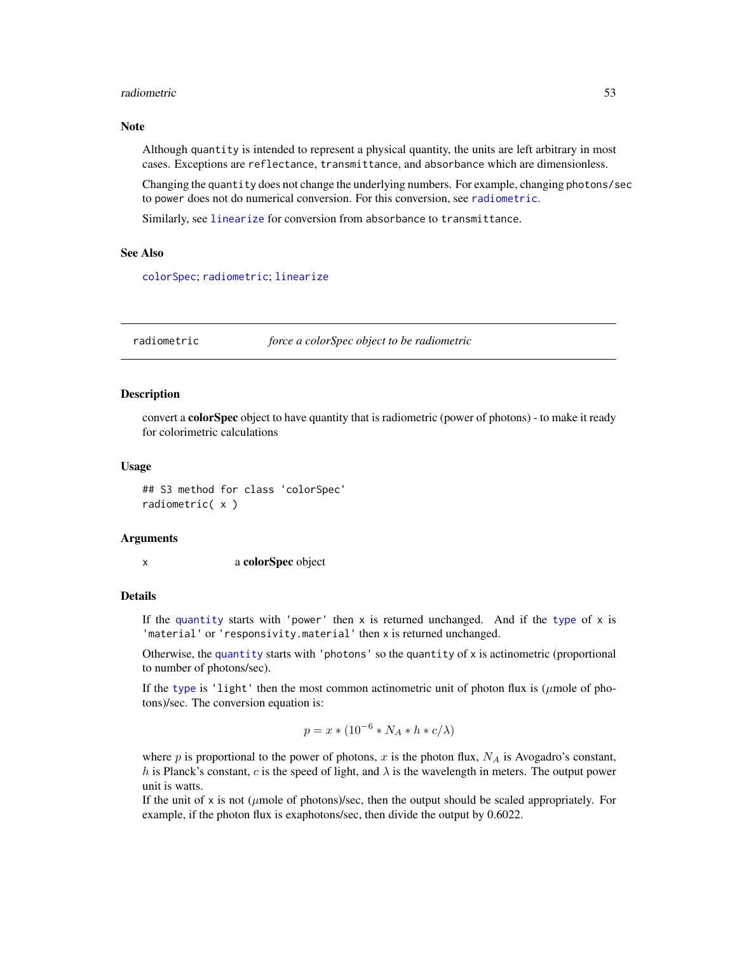#### <span id="page-52-0"></span>radiometric 53

# **Note**

Although quantity is intended to represent a physical quantity, the units are left arbitrary in most cases. Exceptions are reflectance, transmittance, and absorbance which are dimensionless.

Changing the quantity does not change the underlying numbers. For example, changing photons/sec to power does not do numerical conversion. For this conversion, see [radiometric](#page-52-1).

Similarly, see [linearize](#page-29-1) for conversion from absorbance to transmittance.

# See Also

[colorSpec](#page-8-1); [radiometric](#page-52-1); [linearize](#page-29-1)

<span id="page-52-1"></span>radiometric *force a colorSpec object to be radiometric*

# **Description**

convert a **colorSpec** object to have quantity that is radiometric (power of photons) - to make it ready for colorimetric calculations

#### Usage

## S3 method for class 'colorSpec' radiometric( x )

#### Arguments

x a colorSpec object

# Details

If the [quantity](#page-51-1) starts with 'power' then  $x$  is returned unchanged. And if the [type](#page-51-2) of  $x$  is 'material' or 'responsivity.material' then x is returned unchanged.

Otherwise, the [quantity](#page-51-1) starts with 'photons' so the quantity of  $x$  is actinometric (proportional to number of photons/sec).

If the [type](#page-51-2) is 'light' then the most common actinometric unit of photon flux is ( $\mu$ mole of photons)/sec. The conversion equation is:

$$
p = x * (10^{-6} * N_A * h * c/\lambda)
$$

where  $p$  is proportional to the power of photons,  $x$  is the photon flux,  $N_A$  is Avogadro's constant, h is Planck's constant, c is the speed of light, and  $\lambda$  is the wavelength in meters. The output power unit is watts.

If the unit of x is not ( $\mu$ mole of photons)/sec, then the output should be scaled appropriately. For example, if the photon flux is exaphotons/sec, then divide the output by 0.6022.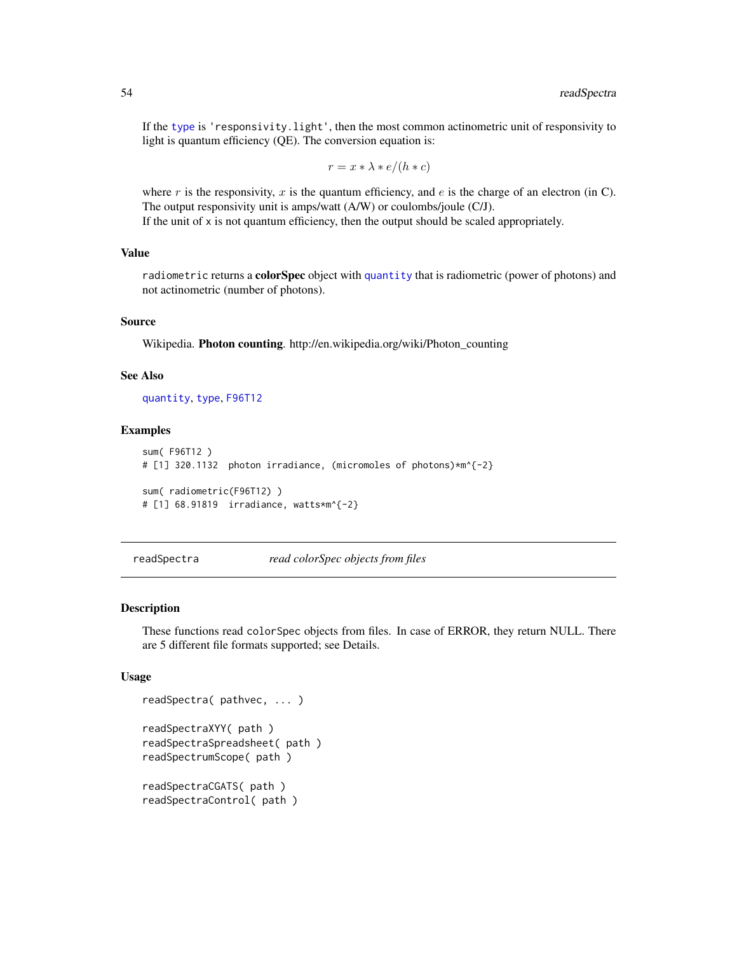If the [type](#page-51-2) is 'responsivity.light', then the most common actinometric unit of responsivity to light is quantum efficiency (QE). The conversion equation is:

$$
r = x * \lambda * e/(h * c)
$$

where  $r$  is the responsivity,  $x$  is the quantum efficiency, and  $e$  is the charge of an electron (in C). The output responsivity unit is amps/watt (A/W) or coulombs/joule (C/J). If the unit of  $x$  is not quantum efficiency, then the output should be scaled appropriately.

# Value

radiometric returns a **colorSpec** object with [quantity](#page-51-1) that is radiometric (power of photons) and not actinometric (number of photons).

# Source

Wikipedia. Photon counting. http://en.wikipedia.org/wiki/Photon\_counting

# See Also

[quantity](#page-51-1), [type](#page-51-2), [F96T12](#page-23-1)

# Examples

```
sum( F96T12 )
# [1] 320.1132 photon irradiance, (micromoles of photons)*m^{-2}
sum( radiometric(F96T12) )
# [1] 68.91819 irradiance, watts*m^{-2}
```
readSpectra *read colorSpec objects from files*

#### Description

These functions read colorSpec objects from files. In case of ERROR, they return NULL. There are 5 different file formats supported; see Details.

#### Usage

```
readSpectra( pathvec, ... )
readSpectraXYY( path )
readSpectraSpreadsheet( path )
readSpectrumScope( path )
readSpectraCGATS( path )
readSpectraControl( path )
```
<span id="page-53-0"></span>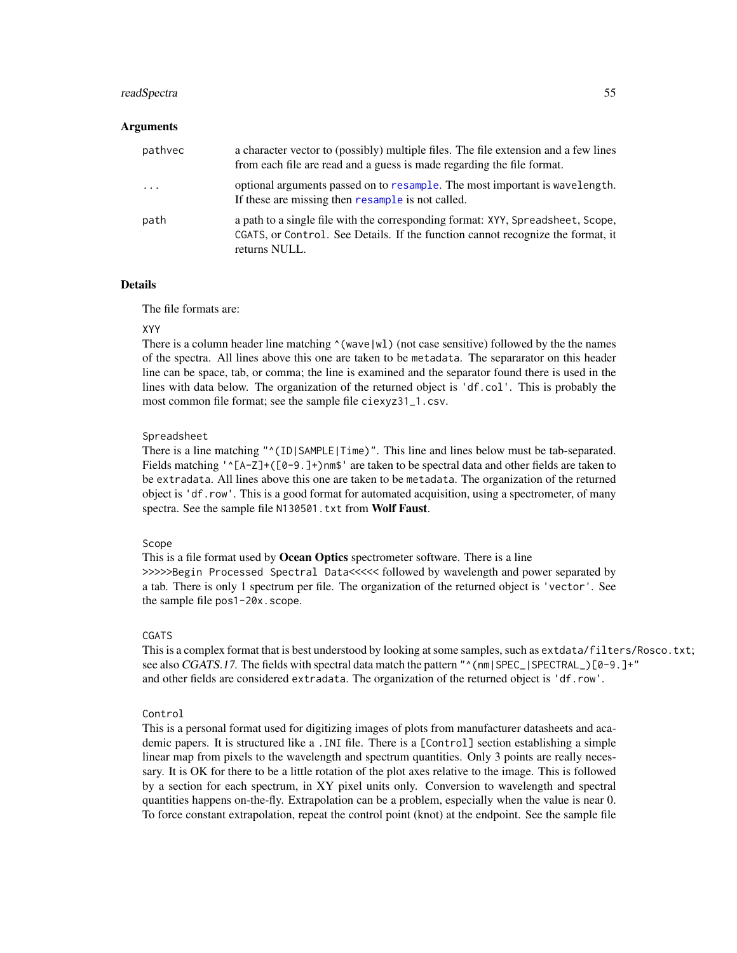#### <span id="page-54-0"></span>readSpectra 55

# Arguments

| pathyec                 | a character vector to (possibly) multiple files. The file extension and a few lines<br>from each file are read and a guess is made regarding the file format.                       |
|-------------------------|-------------------------------------------------------------------------------------------------------------------------------------------------------------------------------------|
| $\cdot$ $\cdot$ $\cdot$ | optional arguments passed on to resample. The most important is wavelength.<br>If these are missing then resample is not called.                                                    |
| path                    | a path to a single file with the corresponding format: XYY, Spreadsheet, Scope,<br>CGATS, or Control. See Details. If the function cannot recognize the format, it<br>returns NULL. |

# Details

The file formats are:

#### XYY

There is a column header line matching  $\land$  (wave |wl) (not case sensitive) followed by the the names of the spectra. All lines above this one are taken to be metadata. The separarator on this header line can be space, tab, or comma; the line is examined and the separator found there is used in the lines with data below. The organization of the returned object is 'df.col'. This is probably the most common file format; see the sample file ciexyz31\_1.csv.

#### Spreadsheet

There is a line matching " $(1D)$ |SAMPLE|Time)". This line and lines below must be tab-separated. Fields matching ' $\Gamma$ (A-Z]+([0-9.]+)nm\$' are taken to be spectral data and other fields are taken to be extradata. All lines above this one are taken to be metadata. The organization of the returned object is 'df.row'. This is a good format for automated acquisition, using a spectrometer, of many spectra. See the sample file N130501.txt from Wolf Faust.

# Scope

This is a file format used by **Ocean Optics** spectrometer software. There is a line >>>>>Begin Processed Spectral Data<<<<< followed by wavelength and power separated by a tab. There is only 1 spectrum per file. The organization of the returned object is 'vector'. See the sample file pos1-20x.scope.

#### CGATS

This is a complex format that is best understood by looking at some samples, such as extdata/filters/Rosco.txt; see also CGATS.17. The fields with spectral data match the pattern " $\gamma$  (nm|SPEC\_|SPECTRAL\_)[0-9.]+" and other fields are considered extradata. The organization of the returned object is 'df.row'.

#### Control

This is a personal format used for digitizing images of plots from manufacturer datasheets and academic papers. It is structured like a .INI file. There is a [Control] section establishing a simple linear map from pixels to the wavelength and spectrum quantities. Only 3 points are really necessary. It is OK for there to be a little rotation of the plot axes relative to the image. This is followed by a section for each spectrum, in XY pixel units only. Conversion to wavelength and spectral quantities happens on-the-fly. Extrapolation can be a problem, especially when the value is near 0. To force constant extrapolation, repeat the control point (knot) at the endpoint. See the sample file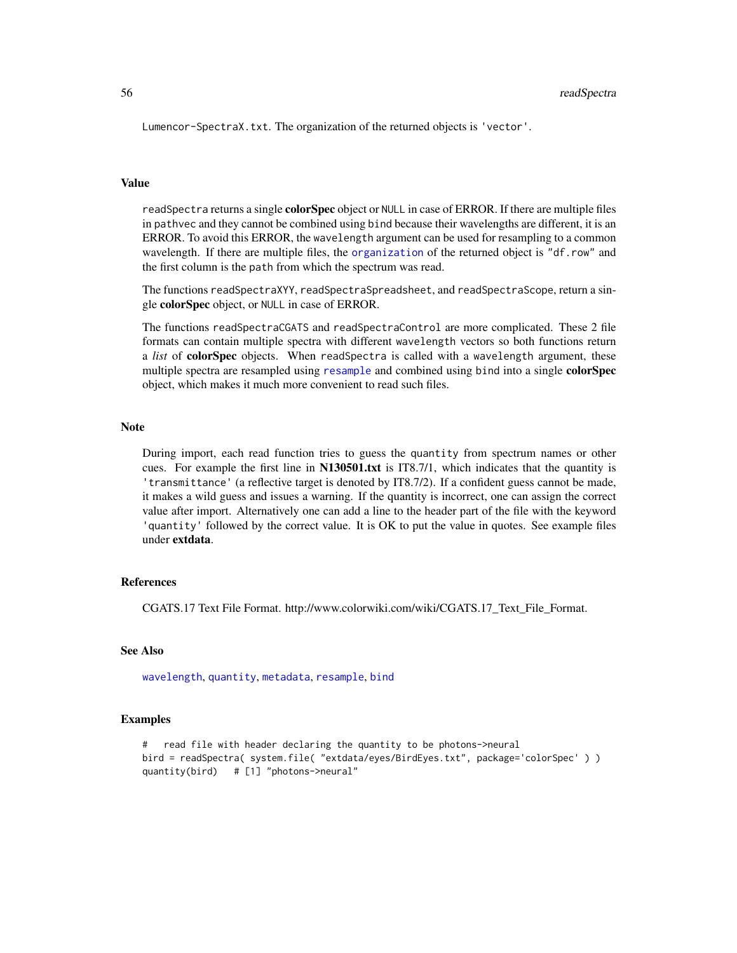<span id="page-55-0"></span>Lumencor-SpectraX.txt. The organization of the returned objects is 'vector'.

#### Value

readSpectra returns a single **colorSpec** object or NULL in case of ERROR. If there are multiple files in pathvec and they cannot be combined using bind because their wavelengths are different, it is an ERROR. To avoid this ERROR, the wavelength argument can be used for resampling to a common wavelength. If there are multiple files, the [organization](#page-37-1) of the returned object is "df.row" and the first column is the path from which the spectrum was read.

The functions readSpectraXYY, readSpectraSpreadsheet, and readSpectraScope, return a single colorSpec object, or NULL in case of ERROR.

The functions readSpectraCGATS and readSpectraControl are more complicated. These 2 file formats can contain multiple spectra with different wavelength vectors so both functions return a *list* of colorSpec objects. When readSpectra is called with a wavelength argument, these multiple spectra are [resample](#page-56-1)d using resample and combined using bind into a single colorSpec object, which makes it much more convenient to read such files.

#### Note

During import, each read function tries to guess the quantity from spectrum names or other cues. For example the first line in N130501.txt is IT8.7/1, which indicates that the quantity is 'transmittance' (a reflective target is denoted by IT8.7/2). If a confident guess cannot be made, it makes a wild guess and issues a warning. If the quantity is incorrect, one can assign the correct value after import. Alternatively one can add a line to the header part of the file with the keyword 'quantity' followed by the correct value. It is OK to put the value in quotes. See example files under extdata.

# References

CGATS.17 Text File Format. http://www.colorwiki.com/wiki/CGATS.17\_Text\_File\_Format.

# See Also

[wavelength](#page-63-1), [quantity](#page-51-1), [metadata](#page-34-1), [resample](#page-56-1), [bind](#page-5-2)

# Examples

```
# read file with header declaring the quantity to be photons->neural
bird = readSpectra( system.file( "extdata/eyes/BirdEyes.txt", package='colorSpec' ) )
quantity(bird) # [1] "photons->neural"
```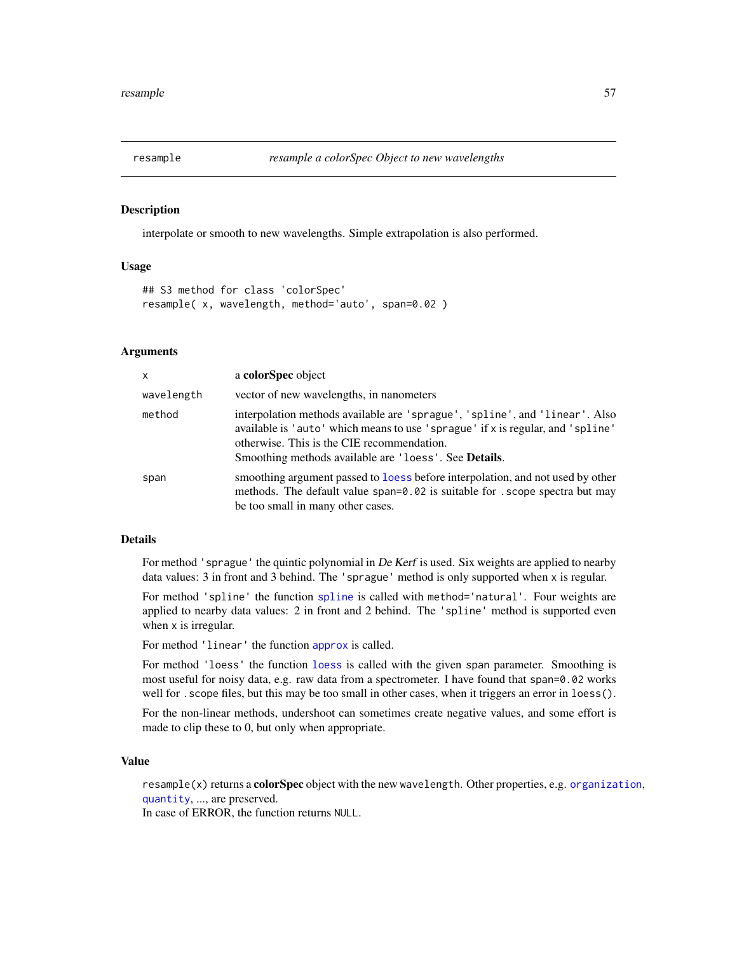<span id="page-56-1"></span><span id="page-56-0"></span>

#### Description

interpolate or smooth to new wavelengths. Simple extrapolation is also performed.

### Usage

```
## S3 method for class 'colorSpec'
resample( x, wavelength, method='auto', span=0.02 )
```
# Arguments

| x          | a colorSpec object                                                                                                                                                                                                                                                           |
|------------|------------------------------------------------------------------------------------------------------------------------------------------------------------------------------------------------------------------------------------------------------------------------------|
| wavelength | vector of new wavelengths, in nanometers                                                                                                                                                                                                                                     |
| method     | interpolation methods available are 'sprague', 'spline', and 'linear'. Also<br>available is 'auto' which means to use 'sprague' if x is regular, and 'spline'<br>otherwise. This is the CIE recommendation.<br>Smoothing methods available are 'loess'. See <b>Details</b> . |
| span       | smoothing argument passed to loss before interpolation, and not used by other<br>methods. The default value span=0.02 is suitable for . scope spectra but may<br>be too small in many other cases.                                                                           |

# Details

For method 'sprague' the quintic polynomial in De Kerf is used. Six weights are applied to nearby data values: 3 in front and 3 behind. The 'sprague' method is only supported when x is regular.

For method 'spline' the function [spline](#page-0-0) is called with method='natural'. Four weights are applied to nearby data values: 2 in front and 2 behind. The 'spline' method is supported even when x is irregular.

For method 'linear' the function [approx](#page-0-0) is called.

For method 'loess' the function [loess](#page-0-0) is called with the given span parameter. Smoothing is most useful for noisy data, e.g. raw data from a spectrometer. I have found that span=0.02 works well for . scope files, but this may be too small in other cases, when it triggers an error in loess().

For the non-linear methods, undershoot can sometimes create negative values, and some effort is made to clip these to 0, but only when appropriate.

# Value

resample(x) returns a colorSpec object with the new wavelength. Other properties, e.g. [organization](#page-37-1), [quantity](#page-51-1), ..., are preserved.

In case of ERROR, the function returns NULL.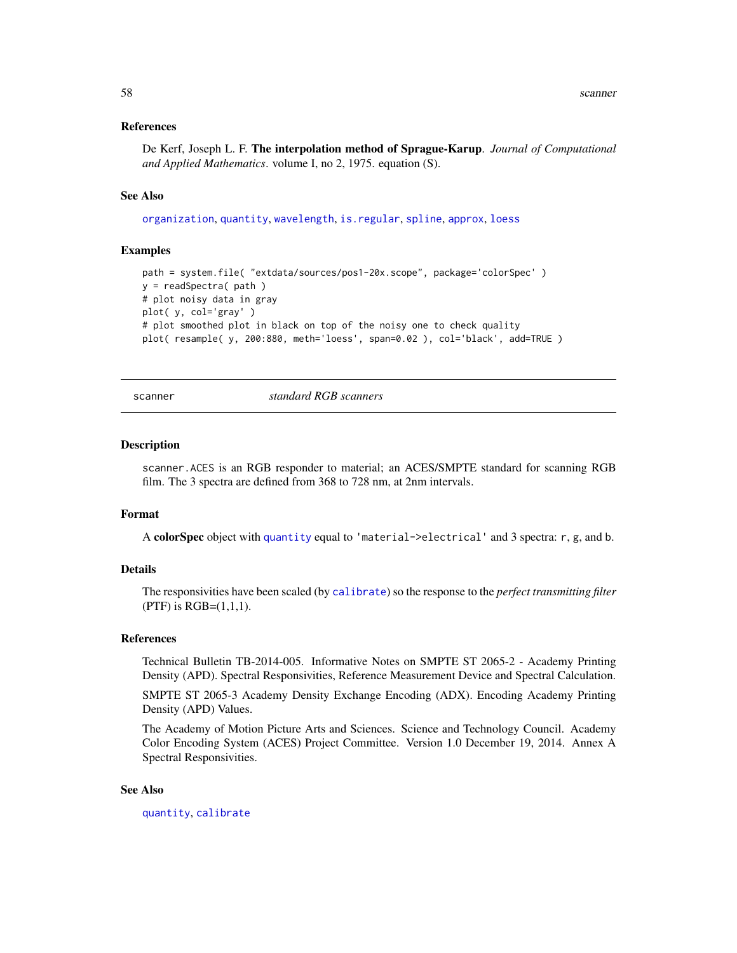<span id="page-57-0"></span>58 scanner and the set of the set of the set of the set of the set of the set of the set of the set of the set of the set of the set of the set of the set of the set of the set of the set of the set of the set of the set o

# References

De Kerf, Joseph L. F. The interpolation method of Sprague-Karup. *Journal of Computational and Applied Mathematics*. volume I, no 2, 1975. equation (S).

#### See Also

[organization](#page-37-1), [quantity](#page-51-1), [wavelength](#page-63-1), [is.regular](#page-63-2), [spline](#page-0-0), [approx](#page-0-0), [loess](#page-0-0)

#### Examples

```
path = system.file( "extdata/sources/pos1-20x.scope", package='colorSpec' )
y = readSpectra( path )
# plot noisy data in gray
plot( y, col='gray' )
# plot smoothed plot in black on top of the noisy one to check quality
plot( resample( y, 200:880, meth='loess', span=0.02 ), col='black', add=TRUE )
```
scanner *standard RGB scanners*

#### **Description**

scanner.ACES is an RGB responder to material; an ACES/SMPTE standard for scanning RGB film. The 3 spectra are defined from 368 to 728 nm, at 2nm intervals.

#### Format

A colorSpec object with [quantity](#page-51-1) equal to 'material->electrical' and 3 spectra: r, g, and b.

# Details

The responsivities have been scaled (by [calibrate](#page-5-1)) so the response to the *perfect transmitting filter* (PTF) is  $RGB=(1,1,1)$ .

#### References

Technical Bulletin TB-2014-005. Informative Notes on SMPTE ST 2065-2 - Academy Printing Density (APD). Spectral Responsivities, Reference Measurement Device and Spectral Calculation.

SMPTE ST 2065-3 Academy Density Exchange Encoding (ADX). Encoding Academy Printing Density (APD) Values.

The Academy of Motion Picture Arts and Sciences. Science and Technology Council. Academy Color Encoding System (ACES) Project Committee. Version 1.0 December 19, 2014. Annex A Spectral Responsivities.

#### See Also

[quantity](#page-51-1), [calibrate](#page-5-1)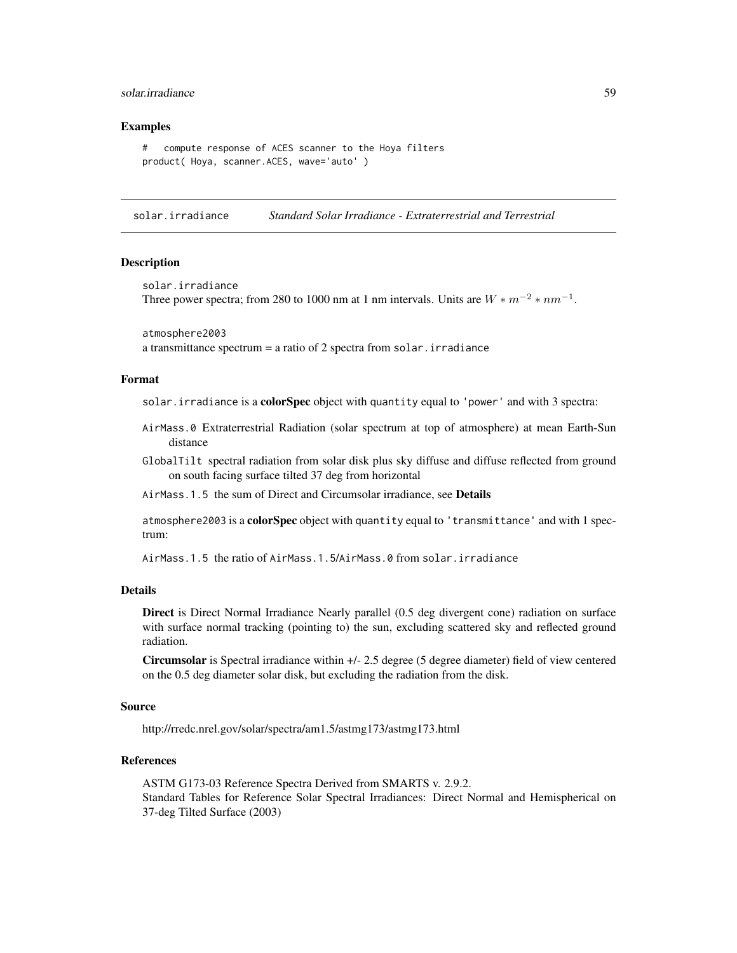# <span id="page-58-0"></span>solar.irradiance 59

# Examples

```
# compute response of ACES scanner to the Hoya filters
product( Hoya, scanner.ACES, wave='auto' )
```
solar.irradiance *Standard Solar Irradiance - Extraterrestrial and Terrestrial*

#### Description

```
solar.irradiance
Three power spectra; from 280 to 1000 nm at 1 nm intervals. Units are W * m^{-2} * nm^{-1}.
```

```
atmosphere2003
a transmittance spectrum = a ratio of 2 spectra from solar. irradiance
```
#### Format

solar. irradiance is a colorSpec object with quantity equal to 'power' and with 3 spectra:

- AirMass.0 Extraterrestrial Radiation (solar spectrum at top of atmosphere) at mean Earth-Sun distance
- GlobalTilt spectral radiation from solar disk plus sky diffuse and diffuse reflected from ground on south facing surface tilted 37 deg from horizontal

AirMass. 1.5 the sum of Direct and Circumsolar irradiance, see Details

atmosphere2003 is a colorSpec object with quantity equal to 'transmittance' and with 1 spectrum:

AirMass.1.5 the ratio of AirMass.1.5/AirMass.0 from solar.irradiance

# Details

Direct is Direct Normal Irradiance Nearly parallel (0.5 deg divergent cone) radiation on surface with surface normal tracking (pointing to) the sun, excluding scattered sky and reflected ground radiation.

Circumsolar is Spectral irradiance within +/- 2.5 degree (5 degree diameter) field of view centered on the 0.5 deg diameter solar disk, but excluding the radiation from the disk.

#### Source

http://rredc.nrel.gov/solar/spectra/am1.5/astmg173/astmg173.html

# References

ASTM G173-03 Reference Spectra Derived from SMARTS v. 2.9.2. Standard Tables for Reference Solar Spectral Irradiances: Direct Normal and Hemispherical on 37-deg Tilted Surface (2003)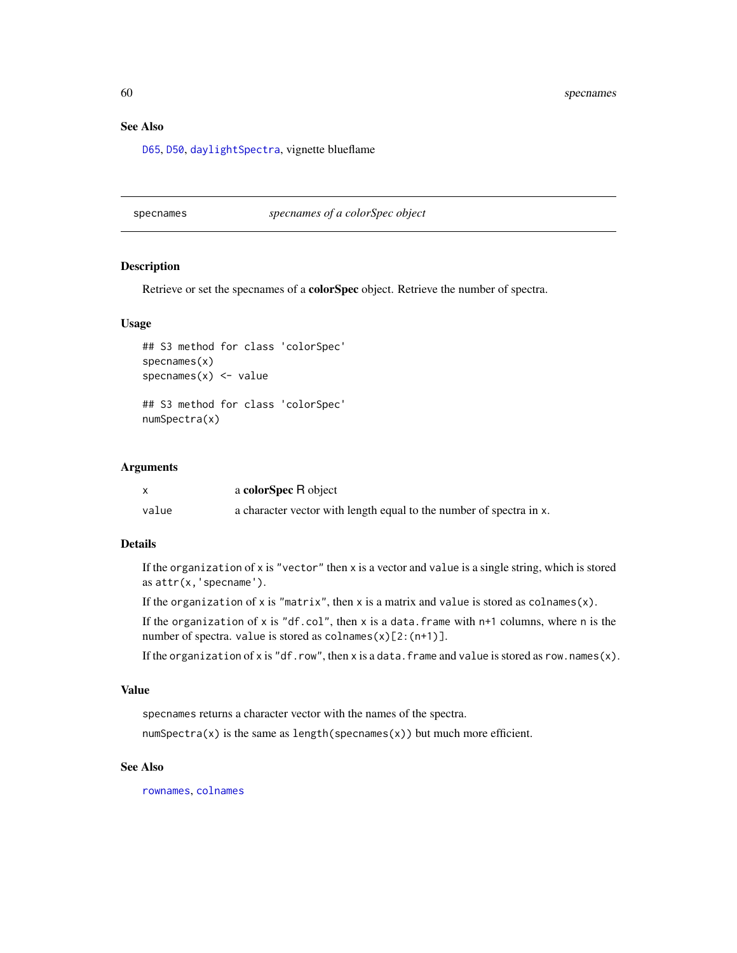<span id="page-59-0"></span>60 specnames

# See Also

[D65](#page-19-1), [D50](#page-18-1), [daylightSpectra](#page-27-1), vignette blueflame

#### <span id="page-59-1"></span>specnames *specnames of a colorSpec object*

# Description

Retrieve or set the specnames of a colorSpec object. Retrieve the number of spectra.

# Usage

## S3 method for class 'colorSpec' specnames(x) specnames $(x)$  <- value

## S3 method for class 'colorSpec' numSpectra(x)

#### Arguments

|       | a colorSpec R object                                                |
|-------|---------------------------------------------------------------------|
| value | a character vector with length equal to the number of spectra in x. |

# Details

If the organization of  $x$  is "vector" then  $x$  is a vector and value is a single string, which is stored as attr(x,'specname').

If the organization of x is "matrix", then x is a matrix and value is stored as  $colname(x)$ .

If the organization of x is "df.col", then x is a data.frame with  $n+1$  columns, where n is the number of spectra. value is stored as colnames(x)[2:(n+1)].

If the organization of x is "df.row", then x is a data.frame and value is stored as row.names(x).

# Value

specnames returns a character vector with the names of the spectra.

 $numSpectra(x)$  is the same as length(specnames(x)) but much more efficient.

# See Also

[rownames](#page-0-0), [colnames](#page-0-0)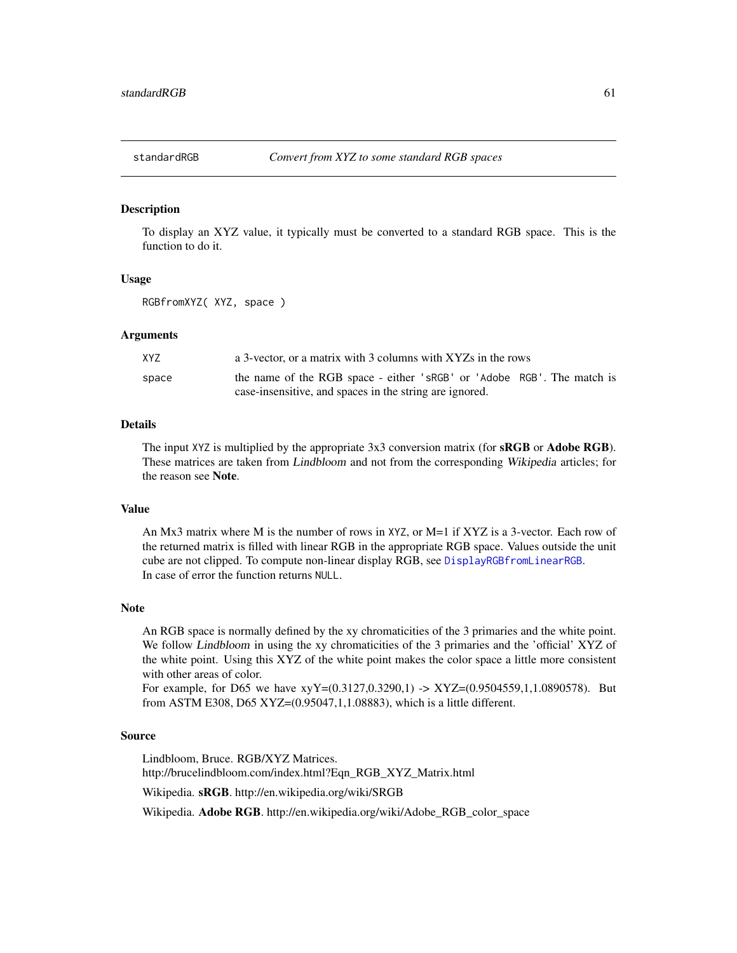<span id="page-60-0"></span>

#### <span id="page-60-1"></span>Description

To display an XYZ value, it typically must be converted to a standard RGB space. This is the function to do it.

#### Usage

RGBfromXYZ( XYZ, space )

# Arguments

| XYZ   | a 3-vector, or a matrix with 3 columns with XYZs in the rows           |
|-------|------------------------------------------------------------------------|
| space | the name of the RGB space - either 'sRGB' or 'Adobe RGB'. The match is |
|       | case-insensitive, and spaces in the string are ignored.                |

# Details

The input XYZ is multiplied by the appropriate 3x3 conversion matrix (for **sRGB** or **Adobe RGB**). These matrices are taken from Lindbloom and not from the corresponding Wikipedia articles; for the reason see Note.

# Value

An Mx3 matrix where M is the number of rows in XYZ, or M=1 if XYZ is a 3-vector. Each row of the returned matrix is filled with linear RGB in the appropriate RGB space. Values outside the unit cube are not clipped. To compute non-linear display RGB, see [DisplayRGBfromLinearRGB](#page-21-1). In case of error the function returns NULL.

# Note

An RGB space is normally defined by the xy chromaticities of the 3 primaries and the white point. We follow Lindbloom in using the xy chromaticities of the 3 primaries and the 'official' XYZ of the white point. Using this XYZ of the white point makes the color space a little more consistent with other areas of color.

For example, for D65 we have  $xyY=(0.3127,0.3290,1)$  ->  $XYZ=(0.9504559,1,1.0890578)$ . But from ASTM E308, D65 XYZ=(0.95047,1,1.08883), which is a little different.

#### Source

Lindbloom, Bruce. RGB/XYZ Matrices. http://brucelindbloom.com/index.html?Eqn\_RGB\_XYZ\_Matrix.html

Wikipedia. sRGB. http://en.wikipedia.org/wiki/SRGB

Wikipedia. Adobe RGB. http://en.wikipedia.org/wiki/Adobe\_RGB\_color\_space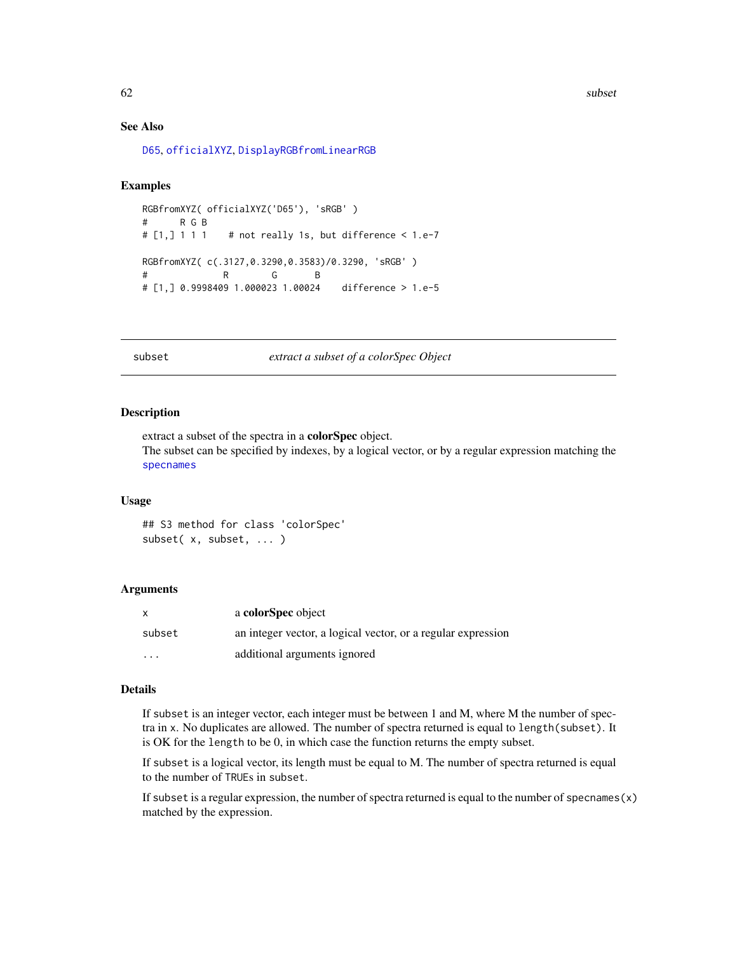<span id="page-61-0"></span>62 subset and the subset of  $\sim$  subset of  $\sim$  subset of  $\sim$  subset of  $\sim$  subset of  $\sim$  subset of  $\sim$  subset of  $\sim$  subset of  $\sim$  subset of  $\sim$  subset of  $\sim$  subset of  $\sim$  subset of  $\sim$  subset of  $\sim$  subset of

# See Also

[D65](#page-19-1), [officialXYZ](#page-36-1), [DisplayRGBfromLinearRGB](#page-21-1)

# Examples

```
RGBfromXYZ( officialXYZ('D65'), 'sRGB' )
# R G B
# [1, ] 1 1 1  # not really 1s, but difference < 1.e-7RGBfromXYZ( c(.3127,0.3290,0.3583)/0.3290, 'sRGB' )
# R G B
# [1,] 0.9998409 1.000023 1.00024 difference > 1.e-5
```
<span id="page-61-1"></span>subset *extract a subset of a colorSpec Object*

#### Description

extract a subset of the spectra in a colorSpec object. The subset can be specified by indexes, by a logical vector, or by a regular expression matching the [specnames](#page-59-1)

# Usage

```
## S3 method for class 'colorSpec'
subset( x, subset, ... )
```
# Arguments

|         | a colorSpec object                                           |
|---------|--------------------------------------------------------------|
| subset  | an integer vector, a logical vector, or a regular expression |
| $\cdot$ | additional arguments ignored                                 |

#### Details

If subset is an integer vector, each integer must be between 1 and M, where M the number of spectra in x. No duplicates are allowed. The number of spectra returned is equal to length(subset). It is OK for the length to be 0, in which case the function returns the empty subset.

If subset is a logical vector, its length must be equal to M. The number of spectra returned is equal to the number of TRUEs in subset.

If subset is a regular expression, the number of spectra returned is equal to the number of specnames $(x)$ matched by the expression.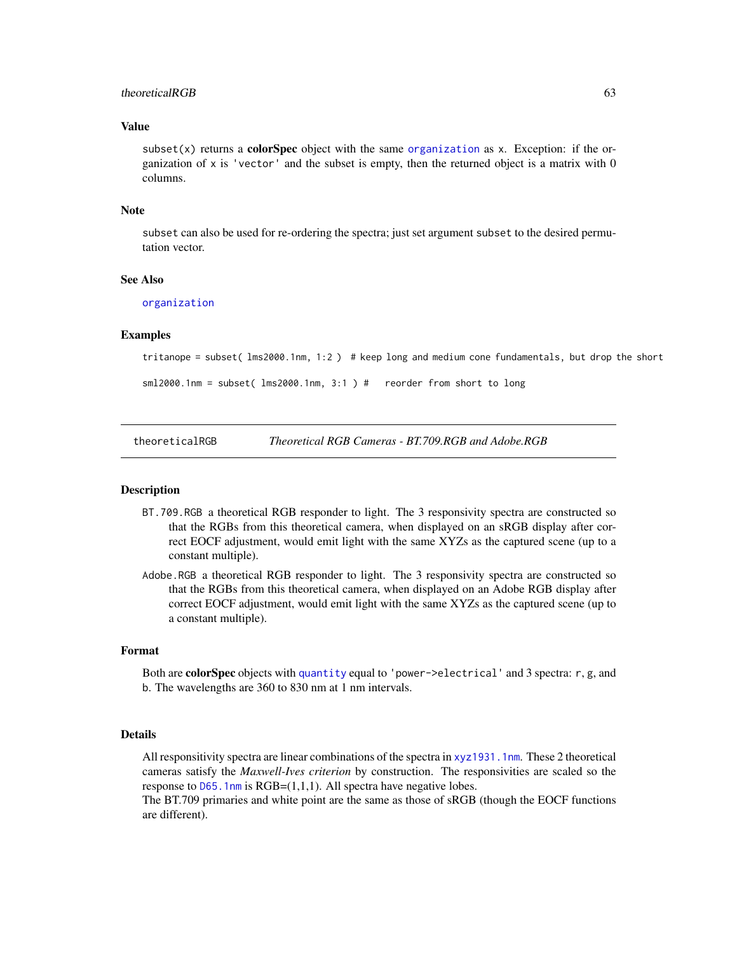# <span id="page-62-0"></span>theoreticalRGB 63

# Value

subset(x) returns a **colorSpec** object with the same [organization](#page-37-1) as x. Exception: if the organization of  $x$  is 'vector' and the subset is empty, then the returned object is a matrix with  $0$ columns.

#### **Note**

subset can also be used for re-ordering the spectra; just set argument subset to the desired permutation vector.

#### See Also

[organization](#page-37-1)

# Examples

tritanope = subset( lms2000.1nm, 1:2 ) # keep long and medium cone fundamentals, but drop the short

```
sml2000.1nm = subset( lms2000.1nm, 3:1 ) # reorder from short to long
```
theoreticalRGB *Theoretical RGB Cameras - BT.709.RGB and Adobe.RGB*

# **Description**

- BT.709.RGB a theoretical RGB responder to light. The 3 responsivity spectra are constructed so that the RGBs from this theoretical camera, when displayed on an sRGB display after correct EOCF adjustment, would emit light with the same XYZs as the captured scene (up to a constant multiple).
- Adobe.RGB a theoretical RGB responder to light. The 3 responsivity spectra are constructed so that the RGBs from this theoretical camera, when displayed on an Adobe RGB display after correct EOCF adjustment, would emit light with the same XYZs as the captured scene (up to a constant multiple).

#### Format

Both are **colorSpec** objects with [quantity](#page-51-1) equal to 'power->electrical' and 3 spectra: r, g, and b. The wavelengths are 360 to 830 nm at 1 nm intervals.

# Details

All responsitivity spectra are linear combinations of the spectra in [xyz1931.1nm](#page-64-1). These 2 theoretical cameras satisfy the *Maxwell-Ives criterion* by construction. The responsivities are scaled so the response to  $D65$ . 1nm is RGB= $(1,1,1)$ . All spectra have negative lobes.

The BT.709 primaries and white point are the same as those of sRGB (though the EOCF functions are different).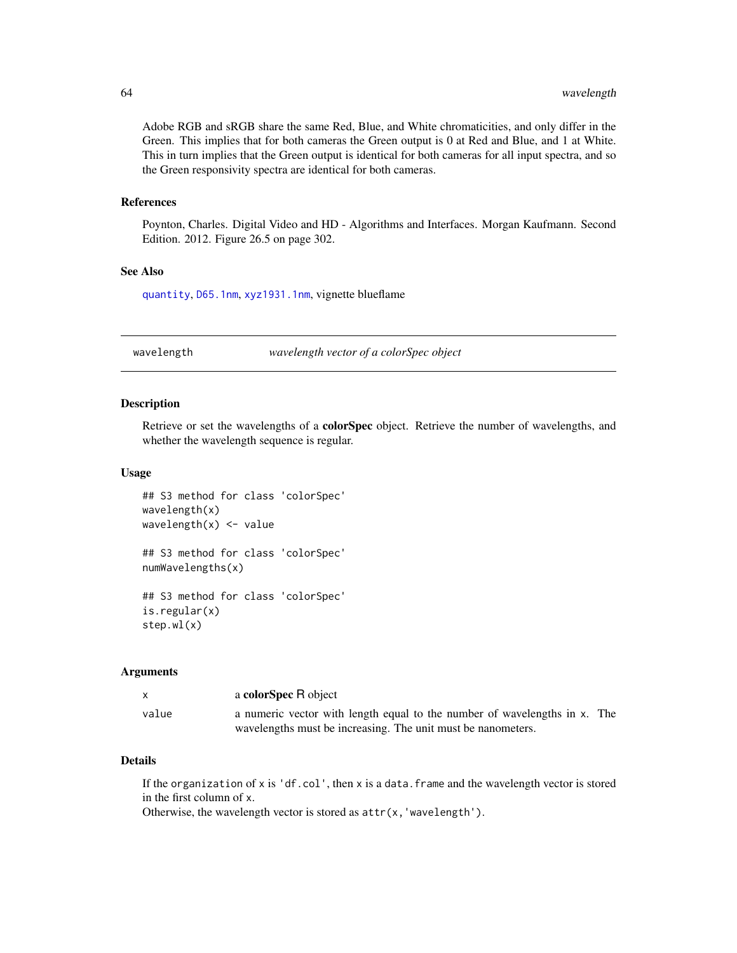<span id="page-63-0"></span>Adobe RGB and sRGB share the same Red, Blue, and White chromaticities, and only differ in the Green. This implies that for both cameras the Green output is 0 at Red and Blue, and 1 at White. This in turn implies that the Green output is identical for both cameras for all input spectra, and so the Green responsivity spectra are identical for both cameras.

#### References

Poynton, Charles. Digital Video and HD - Algorithms and Interfaces. Morgan Kaufmann. Second Edition. 2012. Figure 26.5 on page 302.

# See Also

[quantity](#page-51-1), [D65.1nm](#page-19-2), [xyz1931.1nm](#page-64-1), vignette blueflame

<span id="page-63-1"></span>

wavelength *wavelength vector of a colorSpec object*

#### <span id="page-63-2"></span>Description

Retrieve or set the wavelengths of a colorSpec object. Retrieve the number of wavelengths, and whether the wavelength sequence is regular.

#### Usage

```
## S3 method for class 'colorSpec'
wavelength(x)
wavelength(x) <- value
## S3 method for class 'colorSpec'
numWavelengths(x)
## S3 method for class 'colorSpec'
is.regular(x)
step.wl(x)
```
#### Arguments

x a colorSpec R object value a numeric vector with length equal to the number of wavelengths in x. The wavelengths must be increasing. The unit must be nanometers.

# Details

If the organization of  $x$  is 'df.col', then  $x$  is a data. frame and the wavelength vector is stored in the first column of x.

Otherwise, the wavelength vector is stored as  $attr(x, 'wavelength').$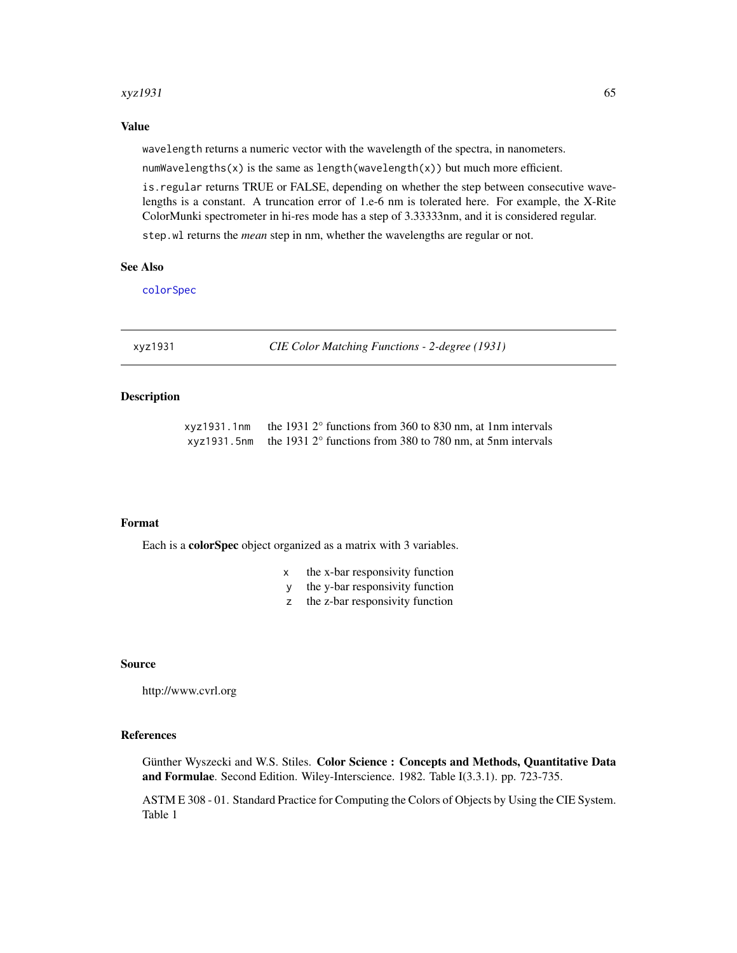#### <span id="page-64-0"></span> $xyz1931$  65

# Value

wavelength returns a numeric vector with the wavelength of the spectra, in nanometers.

numWavelengths(x) is the same as length(wavelength(x)) but much more efficient.

is.regular returns TRUE or FALSE, depending on whether the step between consecutive wavelengths is a constant. A truncation error of 1.e-6 nm is tolerated here. For example, the X-Rite ColorMunki spectrometer in hi-res mode has a step of 3.33333nm, and it is considered regular.

step.wl returns the *mean* step in nm, whether the wavelengths are regular or not.

### See Also

[colorSpec](#page-8-1)

<span id="page-64-2"></span>xyz1931 *CIE Color Matching Functions - 2-degree (1931)*

# <span id="page-64-1"></span>Description

| xyz1931.1nm | the 1931 $2^{\circ}$ functions from 360 to 830 nm, at 1nm intervals             |
|-------------|---------------------------------------------------------------------------------|
|             | xyz1931.5nm the 1931 $2^{\circ}$ functions from 380 to 780 nm, at 5nm intervals |

# Format

Each is a colorSpec object organized as a matrix with 3 variables.

- x the x-bar responsivity function
- y the y-bar responsivity function
- z the z-bar responsivity function

#### Source

http://www.cvrl.org

# References

Günther Wyszecki and W.S. Stiles. Color Science : Concepts and Methods, Quantitative Data and Formulae. Second Edition. Wiley-Interscience. 1982. Table I(3.3.1). pp. 723-735.

ASTM E 308 - 01. Standard Practice for Computing the Colors of Objects by Using the CIE System. Table 1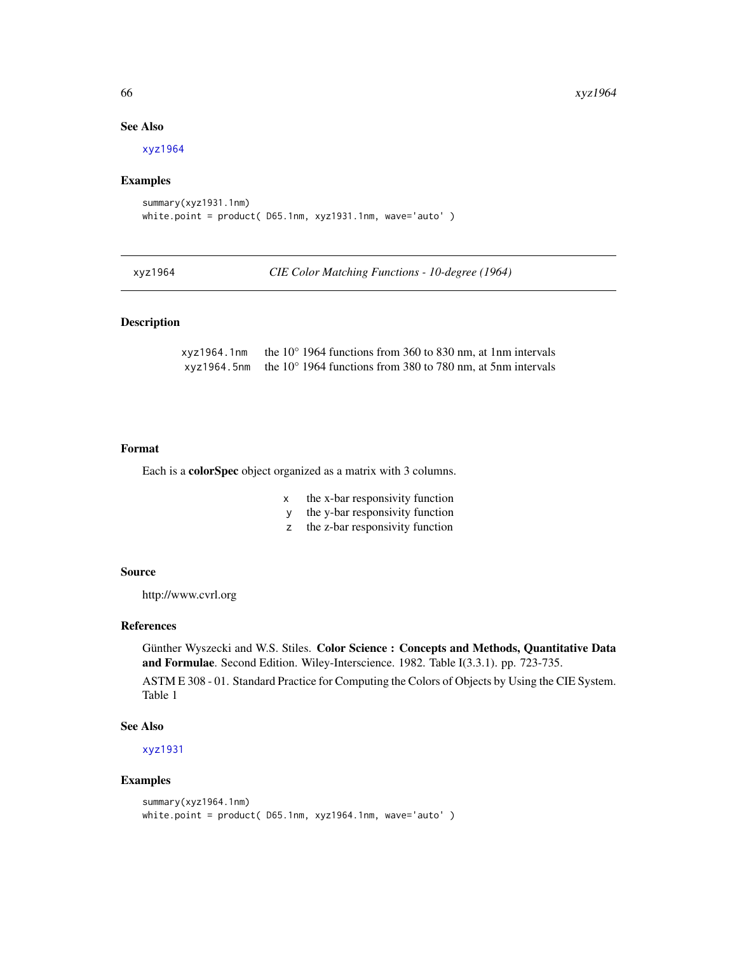# See Also

[xyz1964](#page-65-1)

#### Examples

```
summary(xyz1931.1nm)
white.point = product( D65.1nm, xyz1931.1nm, wave='auto' )
```
<span id="page-65-1"></span>xyz1964 *CIE Color Matching Functions - 10-degree (1964)*

# Description

xyz1964.1nm the 10° 1964 functions from 360 to 830 nm, at 1nm intervals xyz1964.5nm the 10° 1964 functions from 380 to 780 nm, at 5nm intervals

#### Format

Each is a colorSpec object organized as a matrix with 3 columns.

- x the x-bar responsivity function
- y the y-bar responsivity function
- z the z-bar responsivity function

#### Source

http://www.cvrl.org

# References

Günther Wyszecki and W.S. Stiles. Color Science : Concepts and Methods, Quantitative Data and Formulae. Second Edition. Wiley-Interscience. 1982. Table I(3.3.1). pp. 723-735.

ASTM E 308 - 01. Standard Practice for Computing the Colors of Objects by Using the CIE System. Table 1

#### See Also

[xyz1931](#page-64-2)

# Examples

```
summary(xyz1964.1nm)
white.point = product( D65.1nm, xyz1964.1nm, wave='auto')
```
<span id="page-65-0"></span>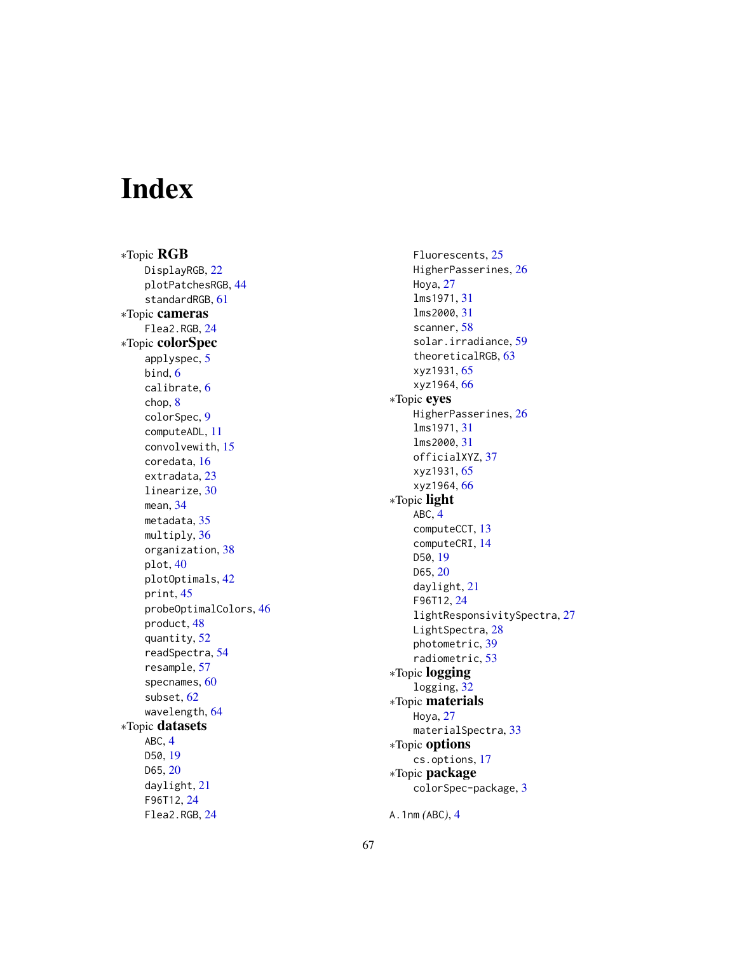# <span id="page-66-0"></span>Index

∗Topic RGB DisplayRGB, [22](#page-21-0) plotPatchesRGB , [44](#page-43-0) standardRGB , [61](#page-60-0) ∗Topic cameras Flea2.RGB , [24](#page-23-0) ∗Topic colorSpec applyspec, [5](#page-4-0) bind , [6](#page-5-0) calibrate , [6](#page-5-0) chop , [8](#page-7-0) colorSpec , [9](#page-8-0) computeADL , [11](#page-10-0) convolvewith , [15](#page-14-0) coredata , [16](#page-15-0) extradata , [23](#page-22-0) linearize , [30](#page-29-0) mean , [34](#page-33-0) metadata, [35](#page-34-0) multiply, [36](#page-35-0) organization , [38](#page-37-0) plot , [40](#page-39-0) plotOptimals , [42](#page-41-0) print , [45](#page-44-0) probeOptimalColors , [46](#page-45-0) product , [48](#page-47-0) quantity , [52](#page-51-0) readSpectra , [54](#page-53-0) resample , [57](#page-56-0) specnames , [60](#page-59-0) subset , [62](#page-61-0) wavelength , [64](#page-63-0) ∗Topic datasets ABC , [4](#page-3-0) D50 , [19](#page-18-0) D65, [20](#page-19-0) daylight , [21](#page-20-0) F96T12 , [24](#page-23-0) Flea2.RGB , [24](#page-23-0)

Fluorescents , [25](#page-24-0) HigherPasserines , [26](#page-25-0) Hoya , [27](#page-26-0) lms1971 , [31](#page-30-0) lms2000 , [31](#page-30-0) scanner, [58](#page-57-0) solar.irradiance , [59](#page-58-0) theoreticalRGB , [63](#page-62-0) xyz1931 , [65](#page-64-0) xyz1964 , [66](#page-65-0) ∗Topic eyes HigherPasserines , [26](#page-25-0) lms1971 , [31](#page-30-0) lms2000 , [31](#page-30-0) officialXYZ , [37](#page-36-0) xyz1931 , [65](#page-64-0) xyz1964 , [66](#page-65-0) ∗Topic light ABC , [4](#page-3-0) computeCCT , [13](#page-12-0) computeCRI , [14](#page-13-0) D50 , [19](#page-18-0) D65, [20](#page-19-0) daylight , [21](#page-20-0) F96T12 , [24](#page-23-0) lightResponsivitySpectra , [27](#page-26-0) LightSpectra, 2<mark>8</mark> photometric , [39](#page-38-0) radiometric , [53](#page-52-0) ∗Topic logging logging , [32](#page-31-0) ∗Topic materials Hoya , [27](#page-26-0) materialSpectra, [33](#page-32-0) ∗Topic options cs.options , [17](#page-16-0) ∗Topic package colorSpec-package , [3](#page-2-0)

A.1nm *(*ABC *)* , [4](#page-3-0)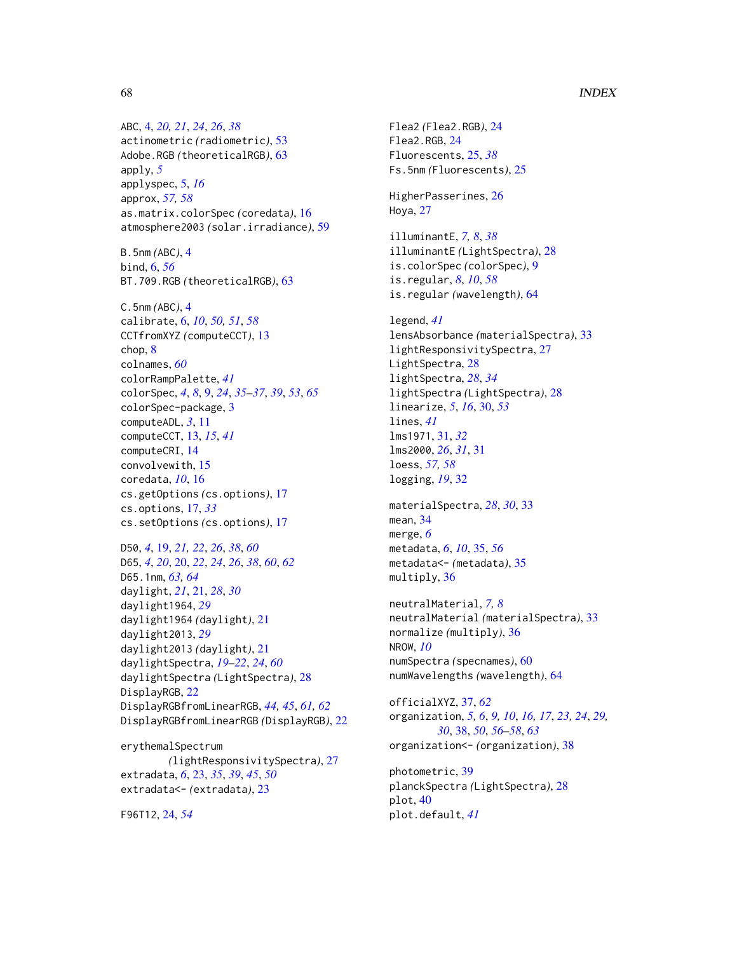# 68 INDEX

ABC, [4,](#page-3-0) *[20,](#page-19-0) [21](#page-20-0)*, *[24](#page-23-0)*, *[26](#page-25-0)*, *[38](#page-37-0)* actinometric *(*radiometric*)*, [53](#page-52-0) Adobe.RGB *(*theoreticalRGB*)*, [63](#page-62-0) apply, *[5](#page-4-0)* applyspec, [5,](#page-4-0) *[16](#page-15-0)* approx, *[57,](#page-56-0) [58](#page-57-0)* as.matrix.colorSpec *(*coredata*)*, [16](#page-15-0) atmosphere2003 *(*solar.irradiance*)*, [59](#page-58-0)

B.5nm *(*ABC*)*, [4](#page-3-0) bind, [6,](#page-5-0) *[56](#page-55-0)* BT.709.RGB *(*theoreticalRGB*)*, [63](#page-62-0)

C.5nm *(*ABC*)*, [4](#page-3-0) calibrate, [6,](#page-5-0) *[10](#page-9-0)*, *[50,](#page-49-0) [51](#page-50-0)*, *[58](#page-57-0)* CCTfromXYZ *(*computeCCT*)*, [13](#page-12-0) chop, [8](#page-7-0) colnames, *[60](#page-59-0)* colorRampPalette, *[41](#page-40-0)* colorSpec, *[4](#page-3-0)*, *[8](#page-7-0)*, [9,](#page-8-0) *[24](#page-23-0)*, *[35–](#page-34-0)[37](#page-36-0)*, *[39](#page-38-0)*, *[53](#page-52-0)*, *[65](#page-64-0)* colorSpec-package, [3](#page-2-0) computeADL, *[3](#page-2-0)*, [11](#page-10-0) computeCCT, [13,](#page-12-0) *[15](#page-14-0)*, *[41](#page-40-0)* computeCRI, [14](#page-13-0) convolvewith, [15](#page-14-0) coredata, *[10](#page-9-0)*, [16](#page-15-0) cs.getOptions *(*cs.options*)*, [17](#page-16-0) cs.options, [17,](#page-16-0) *[33](#page-32-0)* cs.setOptions *(*cs.options*)*, [17](#page-16-0)

D50, *[4](#page-3-0)*, [19,](#page-18-0) *[21,](#page-20-0) [22](#page-21-0)*, *[26](#page-25-0)*, *[38](#page-37-0)*, *[60](#page-59-0)* D65, *[4](#page-3-0)*, *[20](#page-19-0)*, [20,](#page-19-0) *[22](#page-21-0)*, *[24](#page-23-0)*, *[26](#page-25-0)*, *[38](#page-37-0)*, *[60](#page-59-0)*, *[62](#page-61-0)* D65.1nm, *[63,](#page-62-0) [64](#page-63-0)* daylight, *[21](#page-20-0)*, [21,](#page-20-0) *[28](#page-27-0)*, *[30](#page-29-0)* daylight1964, *[29](#page-28-0)* daylight1964 *(*daylight*)*, [21](#page-20-0) daylight2013, *[29](#page-28-0)* daylight2013 *(*daylight*)*, [21](#page-20-0) daylightSpectra, *[19](#page-18-0)[–22](#page-21-0)*, *[24](#page-23-0)*, *[60](#page-59-0)* daylightSpectra *(*LightSpectra*)*, [28](#page-27-0) DisplayRGB, [22](#page-21-0) DisplayRGBfromLinearRGB, *[44,](#page-43-0) [45](#page-44-0)*, *[61,](#page-60-0) [62](#page-61-0)* DisplayRGBfromLinearRGB *(*DisplayRGB*)*, [22](#page-21-0)

erythemalSpectrum *(*lightResponsivitySpectra*)*, [27](#page-26-0) extradata, *[6](#page-5-0)*, [23,](#page-22-0) *[35](#page-34-0)*, *[39](#page-38-0)*, *[45](#page-44-0)*, *[50](#page-49-0)* extradata<- *(*extradata*)*, [23](#page-22-0)

F96T12, [24,](#page-23-0) *[54](#page-53-0)*

Flea2 *(*Flea2.RGB*)*, [24](#page-23-0) Flea2.RGB, [24](#page-23-0) Fluorescents, [25,](#page-24-0) *[38](#page-37-0)* Fs.5nm *(*Fluorescents*)*, [25](#page-24-0)

HigherPasserines, [26](#page-25-0) Hoya, [27](#page-26-0)

illuminantE, *[7,](#page-6-0) [8](#page-7-0)*, *[38](#page-37-0)* illuminantE *(*LightSpectra*)*, [28](#page-27-0) is.colorSpec *(*colorSpec*)*, [9](#page-8-0) is.regular, *[8](#page-7-0)*, *[10](#page-9-0)*, *[58](#page-57-0)* is.regular *(*wavelength*)*, [64](#page-63-0)

legend, *[41](#page-40-0)* lensAbsorbance *(*materialSpectra*)*, [33](#page-32-0) lightResponsivitySpectra, [27](#page-26-0) LightSpectra, [28](#page-27-0) lightSpectra, *[28](#page-27-0)*, *[34](#page-33-0)* lightSpectra *(*LightSpectra*)*, [28](#page-27-0) linearize, *[5](#page-4-0)*, *[16](#page-15-0)*, [30,](#page-29-0) *[53](#page-52-0)* lines, *[41](#page-40-0)* lms1971, [31,](#page-30-0) *[32](#page-31-0)* lms2000, *[26](#page-25-0)*, *[31](#page-30-0)*, [31](#page-30-0) loess, *[57,](#page-56-0) [58](#page-57-0)* logging, *[19](#page-18-0)*, [32](#page-31-0)

materialSpectra, *[28](#page-27-0)*, *[30](#page-29-0)*, [33](#page-32-0) mean, [34](#page-33-0) merge, *[6](#page-5-0)* metadata, *[6](#page-5-0)*, *[10](#page-9-0)*, [35,](#page-34-0) *[56](#page-55-0)* metadata<- *(*metadata*)*, [35](#page-34-0) multiply, [36](#page-35-0)

neutralMaterial, *[7,](#page-6-0) [8](#page-7-0)* neutralMaterial *(*materialSpectra*)*, [33](#page-32-0) normalize *(*multiply*)*, [36](#page-35-0) NROW, *[10](#page-9-0)* numSpectra *(*specnames*)*, [60](#page-59-0) numWavelengths *(*wavelength*)*, [64](#page-63-0)

officialXYZ, [37,](#page-36-0) *[62](#page-61-0)* organization, *[5,](#page-4-0) [6](#page-5-0)*, *[9,](#page-8-0) [10](#page-9-0)*, *[16,](#page-15-0) [17](#page-16-0)*, *[23,](#page-22-0) [24](#page-23-0)*, *[29,](#page-28-0) [30](#page-29-0)*, [38,](#page-37-0) *[50](#page-49-0)*, *[56](#page-55-0)[–58](#page-57-0)*, *[63](#page-62-0)* organization<- *(*organization*)*, [38](#page-37-0)

photometric, [39](#page-38-0) planckSpectra *(*LightSpectra*)*, [28](#page-27-0) plot, [40](#page-39-0) plot.default, *[41](#page-40-0)*